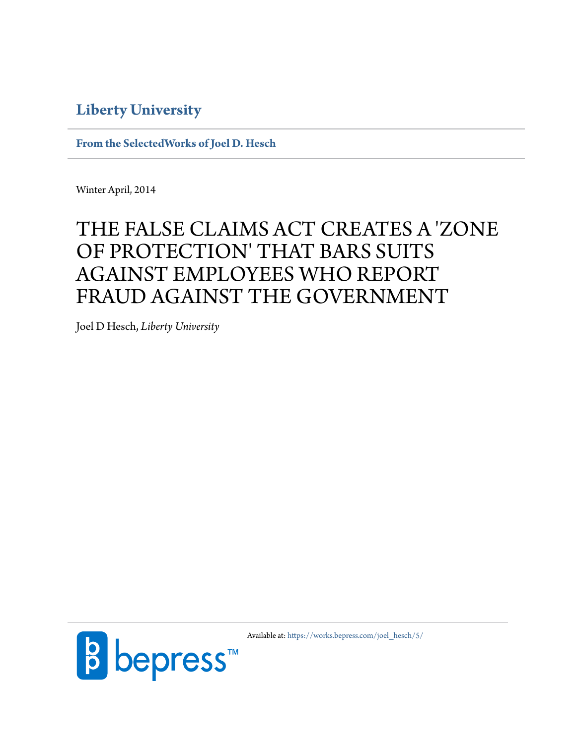# **[Liberty University](http://www.liberty.edu)**

**[From the SelectedWorks of Joel D. Hesch](https://works.bepress.com/joel_hesch/)**

Winter April, 2014

# THE FALSE CLAIMS ACT CREATES A 'ZONE OF PROTECTION' THAT BARS SUITS AGAINST EMPLOYEES WHO REPORT FRAUD AGAINST THE GOVERNMENT

Joel D Hesch, *Liberty University*



Available at: [https://works.bepress.com/joel\\_hesch/5/](https://works.bepress.com/joel_hesch/5/)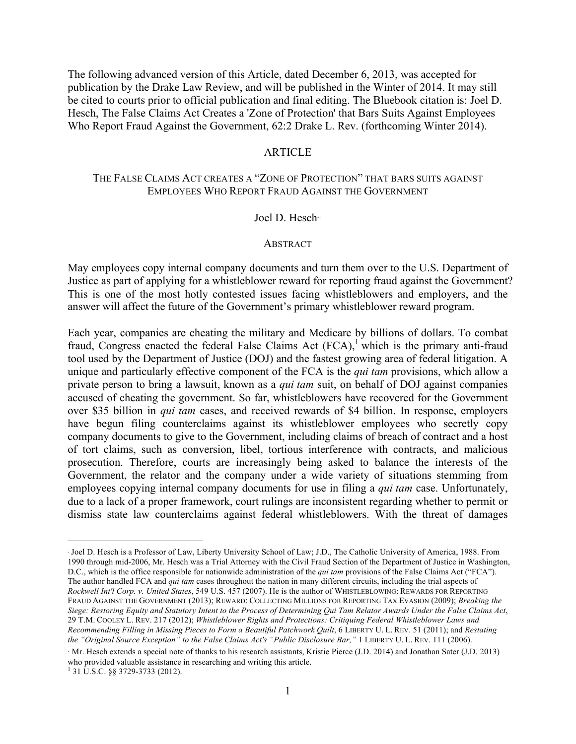The following advanced version of this Article, dated December 6, 2013, was accepted for publication by the Drake Law Review, and will be published in the Winter of 2014. It may still be cited to courts prior to official publication and final editing. The Bluebook citation is: Joel D. Hesch, The False Claims Act Creates a 'Zone of Protection' that Bars Suits Against Employees Who Report Fraud Against the Government, 62:2 Drake L. Rev. (forthcoming Winter 2014).

#### **ARTICLE**

#### THE FALSE CLAIMS ACT CREATES A "ZONE OF PROTECTION" THAT BARS SUITS AGAINST EMPLOYEES WHO REPORT FRAUD AGAINST THE GOVERNMENT

#### Joel D. Hesch∗<sup>±</sup>

#### **ABSTRACT**

May employees copy internal company documents and turn them over to the U.S. Department of Justice as part of applying for a whistleblower reward for reporting fraud against the Government? This is one of the most hotly contested issues facing whistleblowers and employers, and the answer will affect the future of the Government's primary whistleblower reward program.

Each year, companies are cheating the military and Medicare by billions of dollars. To combat fraud, Congress enacted the federal False Claims Act  $(FCA)$ , which is the primary anti-fraud tool used by the Department of Justice (DOJ) and the fastest growing area of federal litigation. A unique and particularly effective component of the FCA is the *qui tam* provisions, which allow a private person to bring a lawsuit, known as a *qui tam* suit, on behalf of DOJ against companies accused of cheating the government. So far, whistleblowers have recovered for the Government over \$35 billion in *qui tam* cases, and received rewards of \$4 billion. In response, employers have begun filing counterclaims against its whistleblower employees who secretly copy company documents to give to the Government, including claims of breach of contract and a host of tort claims, such as conversion, libel, tortious interference with contracts, and malicious prosecution. Therefore, courts are increasingly being asked to balance the interests of the Government, the relator and the company under a wide variety of situations stemming from employees copying internal company documents for use in filing a *qui tam* case. Unfortunately, due to a lack of a proper framework, court rulings are inconsistent regarding whether to permit or dismiss state law counterclaims against federal whistleblowers. With the threat of damages

 $\overline{a}$ 

<sup>∗</sup> Joel D. Hesch is a Professor of Law, Liberty University School of Law; J.D., The Catholic University of America, 1988. From 1990 through mid-2006, Mr. Hesch was a Trial Attorney with the Civil Fraud Section of the Department of Justice in Washington, D.C., which is the office responsible for nationwide administration of the *qui tam* provisions of the False Claims Act ("FCA"). The author handled FCA and *qui tam* cases throughout the nation in many different circuits, including the trial aspects of *Rockwell Int'l Corp. v. United States*, 549 U.S. 457 (2007). He is the author of WHISTLEBLOWING: REWARDS FOR REPORTING FRAUD AGAINST THE GOVERNMENT (2013); REWARD: COLLECTING MILLIONS FOR REPORTING TAX EVASION (2009); *Breaking the Siege: Restoring Equity and Statutory Intent to the Process of Determining Qui Tam Relator Awards Under the False Claims Act*, 29 T.M. COOLEY L. REV. 217 (2012); *Whistleblower Rights and Protections: Critiquing Federal Whistleblower Laws and Recommending Filling in Missing Pieces to Form a Beautiful Patchwork Quilt*, 6 LIBERTY U. L. REV. 51 (2011); and *Restating the "Original Source Exception" to the False Claims Act's "Public Disclosure Bar,"* 1 LIBERTY U. L. REV. 111 (2006).

<sup>±</sup> Mr. Hesch extends a special note of thanks to his research assistants, Kristie Pierce (J.D. 2014) and Jonathan Sater (J.D. 2013) who provided valuable assistance in researching and writing this article. <sup>1</sup> 31 U.S.C. §§ 3729-3733 (2012).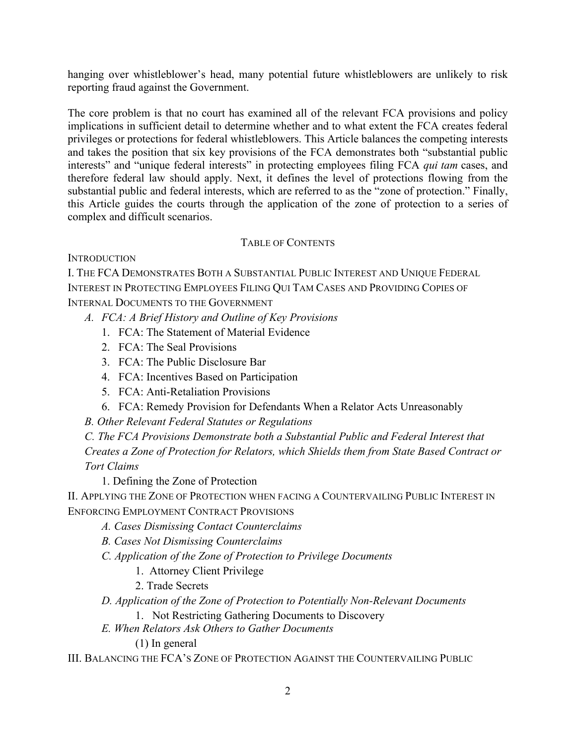hanging over whistleblower's head, many potential future whistleblowers are unlikely to risk reporting fraud against the Government.

The core problem is that no court has examined all of the relevant FCA provisions and policy implications in sufficient detail to determine whether and to what extent the FCA creates federal privileges or protections for federal whistleblowers. This Article balances the competing interests and takes the position that six key provisions of the FCA demonstrates both "substantial public interests" and "unique federal interests" in protecting employees filing FCA *qui tam* cases, and therefore federal law should apply. Next, it defines the level of protections flowing from the substantial public and federal interests, which are referred to as the "zone of protection." Finally, this Article guides the courts through the application of the zone of protection to a series of complex and difficult scenarios.

### TABLE OF CONTENTS

**INTRODUCTION** 

I. THE FCA DEMONSTRATES BOTH A SUBSTANTIAL PUBLIC INTEREST AND UNIQUE FEDERAL INTEREST IN PROTECTING EMPLOYEES FILING QUI TAM CASES AND PROVIDING COPIES OF INTERNAL DOCUMENTS TO THE GOVERNMENT

- *A. FCA: A Brief History and Outline of Key Provisions* 
	- 1. FCA: The Statement of Material Evidence
	- 2. FCA: The Seal Provisions
	- 3. FCA: The Public Disclosure Bar
	- 4. FCA: Incentives Based on Participation
	- 5. FCA: Anti-Retaliation Provisions
	- 6. FCA: Remedy Provision for Defendants When a Relator Acts Unreasonably

*B. Other Relevant Federal Statutes or Regulations* 

*C. The FCA Provisions Demonstrate both a Substantial Public and Federal Interest that Creates a Zone of Protection for Relators, which Shields them from State Based Contract or Tort Claims*

1. Defining the Zone of Protection

II. APPLYING THE ZONE OF PROTECTION WHEN FACING A COUNTERVAILING PUBLIC INTEREST IN ENFORCING EMPLOYMENT CONTRACT PROVISIONS

- *A. Cases Dismissing Contact Counterclaims*
- *B. Cases Not Dismissing Counterclaims*
- *C. Application of the Zone of Protection to Privilege Documents*
	- 1. Attorney Client Privilege
	- 2. Trade Secrets

*D. Application of the Zone of Protection to Potentially Non-Relevant Documents*

- 1. Not Restricting Gathering Documents to Discovery
- *E. When Relators Ask Others to Gather Documents*

(1) In general

III. BALANCING THE FCA'S ZONE OF PROTECTION AGAINST THE COUNTERVAILING PUBLIC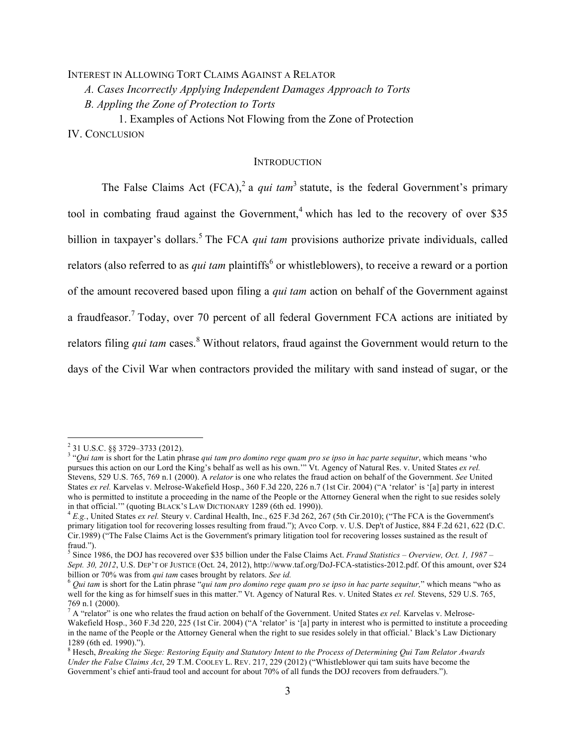## INTEREST IN ALLOWING TORT CLAIMS AGAINST A RELATOR *A. Cases Incorrectly Applying Independent Damages Approach to Torts B. Appling the Zone of Protection to Torts*

1. Examples of Actions Not Flowing from the Zone of Protection IV. CONCLUSION

#### **INTRODUCTION**

The False Claims Act  $(FCA)^2$  a *qui tam*<sup>3</sup> statute, is the federal Government's primary tool in combating fraud against the Government,<sup>4</sup> which has led to the recovery of over \$35 billion in taxpayer's dollars. <sup>5</sup> The FCA *qui tam* provisions authorize private individuals, called relators (also referred to as *qui tam* plaintiffs<sup>6</sup> or whistleblowers), to receive a reward or a portion of the amount recovered based upon filing a *qui tam* action on behalf of the Government against a fraudfeasor.<sup>7</sup> Today, over 70 percent of all federal Government FCA actions are initiated by relators filing *qui tam* cases.<sup>8</sup> Without relators, fraud against the Government would return to the days of the Civil War when contractors provided the military with sand instead of sugar, or the

<sup>&</sup>lt;sup>2</sup> 31 U.S.C. §§ 3729–3733 (2012).<br><sup>3</sup> "*Qui tam* is short for the Latin phrase *qui tam pro domino rege quam pro se ipso in hac parte sequitur*, which means 'who pursues this action on our Lord the King's behalf as well as his own.'" Vt. Agency of Natural Res. v. United States *ex rel.* Stevens, 529 U.S. 765, 769 n.1 (2000). A *relator* is one who relates the fraud action on behalf of the Government. *See* United States *ex rel.* Karvelas v. Melrose-Wakefield Hosp., 360 F.3d 220, 226 n.7 (1st Cir. 2004) ("A 'relator' is '[a] party in interest who is permitted to institute a proceeding in the name of the People or the Attorney General when the right to sue resides solely in that official.'" (quoting BLACK'S LAW DICTIONARY 1289 (6th ed. 1990)). <sup>4</sup> *E.g.*, United States *ex rel.* Steury v. Cardinal Health, Inc., 625 F.3d 262, 267 (5th Cir.2010); ("The FCA is the Government's

primary litigation tool for recovering losses resulting from fraud."); Avco Corp. v. U.S. Dep't of Justice, 884 F.2d 621, 622 (D.C. Cir.1989) ("The False Claims Act is the Government's primary litigation tool for recovering losses sustained as the result of fraud.").

<sup>5</sup> Since 1986, the DOJ has recovered over \$35 billion under the False Claims Act. *Fraud Statistics – Overview, Oct. 1, 1987 – Sept. 30, 2012*, U.S. DEP'T OF JUSTICE (Oct. 24, 2012), http://www.taf.org/DoJ-FCA-statistics-2012.pdf. Of this amount, over \$24 billion or 70% was from *qui tam* cases brought by relators. *See id.* 

<sup>&</sup>lt;sup>6</sup> Qui tam is short for the Latin phrase "*qui tam pro domino rege quam pro se ipso in hac parte sequitur*," which means "who as well for the king as for himself sues in this matter." Vt. Agency of Natural Res. v. United States *ex rel.* Stevens, 529 U.S. 765, 769 n.1 (2000).

A "relator" is one who relates the fraud action on behalf of the Government. United States *ex rel*. Karvelas v. Melrose-Wakefield Hosp., 360 F.3d 220, 225 (1st Cir. 2004) ("A 'relator' is '[a] party in interest who is permitted to institute a proceeding in the name of the People or the Attorney General when the right to sue resides solely in that official.' Black's Law Dictionary 1289 (6th ed. 1990).").

<sup>8</sup> Hesch, *Breaking the Siege: Restoring Equity and Statutory Intent to the Process of Determining Qui Tam Relator Awards Under the False Claims Act*, 29 T.M. COOLEY L. REV. 217, 229 (2012) ("Whistleblower qui tam suits have become the Government's chief anti-fraud tool and account for about 70% of all funds the DOJ recovers from defrauders.").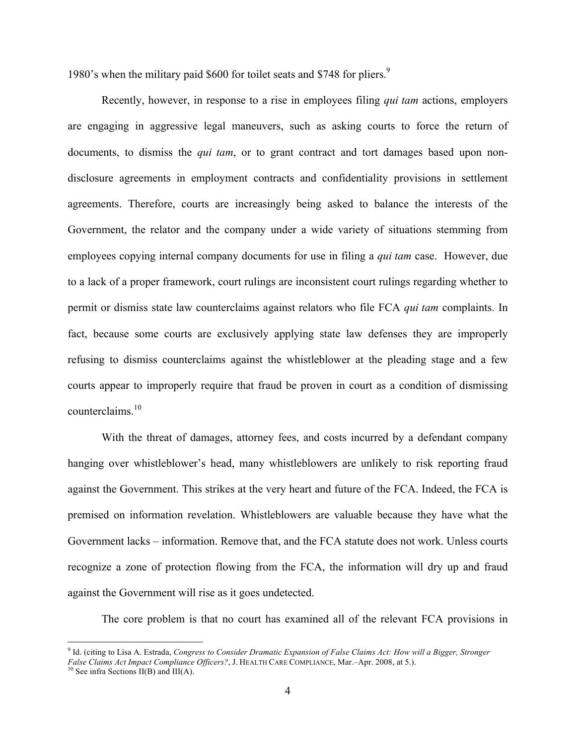1980's when the military paid \$600 for toilet seats and \$748 for pliers.<sup>9</sup>

Recently, however, in response to a rise in employees filing *qui tam* actions, employers are engaging in aggressive legal maneuvers, such as asking courts to force the return of documents, to dismiss the *qui tam*, or to grant contract and tort damages based upon nondisclosure agreements in employment contracts and confidentiality provisions in settlement agreements. Therefore, courts are increasingly being asked to balance the interests of the Government, the relator and the company under a wide variety of situations stemming from employees copying internal company documents for use in filing a *qui tam* case. However, due to a lack of a proper framework, court rulings are inconsistent court rulings regarding whether to permit or dismiss state law counterclaims against relators who file FCA *qui tam* complaints. In fact, because some courts are exclusively applying state law defenses they are improperly refusing to dismiss counterclaims against the whistleblower at the pleading stage and a few courts appear to improperly require that fraud be proven in court as a condition of dismissing counterclaims. 10

With the threat of damages, attorney fees, and costs incurred by a defendant company hanging over whistleblower's head, many whistleblowers are unlikely to risk reporting fraud against the Government. This strikes at the very heart and future of the FCA. Indeed, the FCA is premised on information revelation. Whistleblowers are valuable because they have what the Government lacks – information. Remove that, and the FCA statute does not work. Unless courts recognize a zone of protection flowing from the FCA, the information will dry up and fraud against the Government will rise as it goes undetected.

The core problem is that no court has examined all of the relevant FCA provisions in

 <sup>9</sup> Id. (citing to Lisa A. Estrada, *Congress to Consider Dramatic Expansion of False Claims Act: How will a Bigger, Stronger False Claims Act Impact Compliance Officers?*, J. HEALTH CARE COMPLIANCE, Mar.–Apr. 2008, at 5.). <sup>10</sup> See infra Sections II(B) and III(A).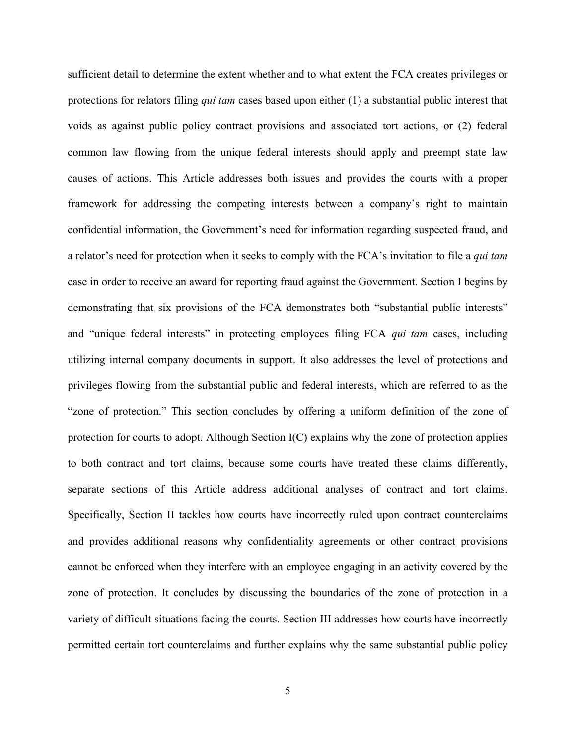sufficient detail to determine the extent whether and to what extent the FCA creates privileges or protections for relators filing *qui tam* cases based upon either (1) a substantial public interest that voids as against public policy contract provisions and associated tort actions, or (2) federal common law flowing from the unique federal interests should apply and preempt state law causes of actions. This Article addresses both issues and provides the courts with a proper framework for addressing the competing interests between a company's right to maintain confidential information, the Government's need for information regarding suspected fraud, and a relator's need for protection when it seeks to comply with the FCA's invitation to file a *qui tam* case in order to receive an award for reporting fraud against the Government. Section I begins by demonstrating that six provisions of the FCA demonstrates both "substantial public interests" and "unique federal interests" in protecting employees filing FCA *qui tam* cases, including utilizing internal company documents in support. It also addresses the level of protections and privileges flowing from the substantial public and federal interests, which are referred to as the "zone of protection." This section concludes by offering a uniform definition of the zone of protection for courts to adopt. Although Section I(C) explains why the zone of protection applies to both contract and tort claims, because some courts have treated these claims differently, separate sections of this Article address additional analyses of contract and tort claims. Specifically, Section II tackles how courts have incorrectly ruled upon contract counterclaims and provides additional reasons why confidentiality agreements or other contract provisions cannot be enforced when they interfere with an employee engaging in an activity covered by the zone of protection. It concludes by discussing the boundaries of the zone of protection in a variety of difficult situations facing the courts. Section III addresses how courts have incorrectly permitted certain tort counterclaims and further explains why the same substantial public policy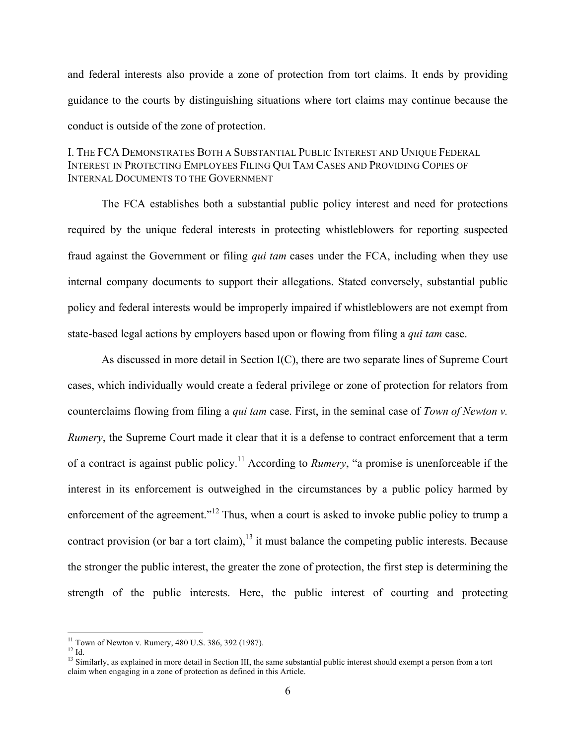and federal interests also provide a zone of protection from tort claims. It ends by providing guidance to the courts by distinguishing situations where tort claims may continue because the conduct is outside of the zone of protection.

#### I. THE FCA DEMONSTRATES BOTH A SUBSTANTIAL PUBLIC INTEREST AND UNIQUE FEDERAL INTEREST IN PROTECTING EMPLOYEES FILING QUI TAM CASES AND PROVIDING COPIES OF INTERNAL DOCUMENTS TO THE GOVERNMENT

The FCA establishes both a substantial public policy interest and need for protections required by the unique federal interests in protecting whistleblowers for reporting suspected fraud against the Government or filing *qui tam* cases under the FCA, including when they use internal company documents to support their allegations. Stated conversely, substantial public policy and federal interests would be improperly impaired if whistleblowers are not exempt from state-based legal actions by employers based upon or flowing from filing a *qui tam* case.

As discussed in more detail in Section I(C), there are two separate lines of Supreme Court cases, which individually would create a federal privilege or zone of protection for relators from counterclaims flowing from filing a *qui tam* case. First, in the seminal case of *Town of Newton v. Rumery*, the Supreme Court made it clear that it is a defense to contract enforcement that a term of a contract is against public policy.11 According to *Rumery*, "a promise is unenforceable if the interest in its enforcement is outweighed in the circumstances by a public policy harmed by enforcement of the agreement."<sup>12</sup> Thus, when a court is asked to invoke public policy to trump a contract provision (or bar a tort claim), $13$  it must balance the competing public interests. Because the stronger the public interest, the greater the zone of protection, the first step is determining the strength of the public interests. Here, the public interest of courting and protecting

<sup>&</sup>lt;sup>11</sup> Town of Newton v. Rumery, 480 U.S. 386, 392 (1987).<br><sup>12</sup> Id. <sup>13</sup> Similarly, as explained in more detail in Section III, the same substantial public interest should exempt a person from a tort claim when engaging in a zone of protection as defined in this Article.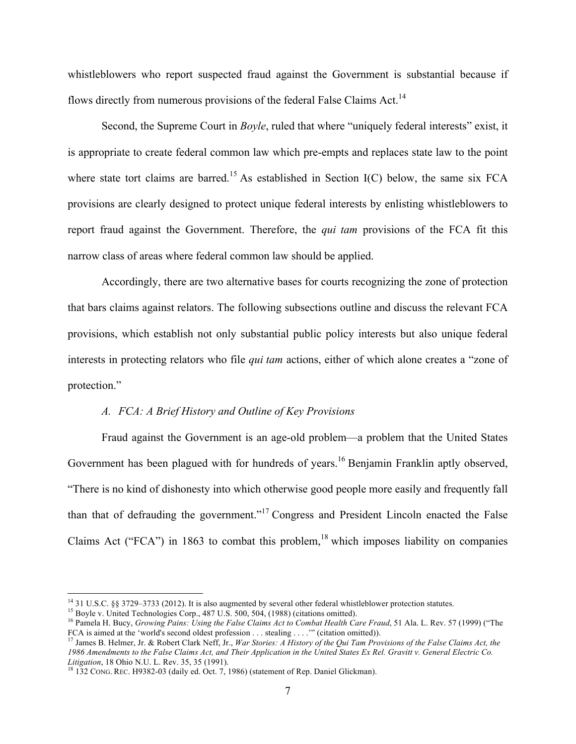whistleblowers who report suspected fraud against the Government is substantial because if flows directly from numerous provisions of the federal False Claims Act.<sup>14</sup>

Second, the Supreme Court in *Boyle*, ruled that where "uniquely federal interests" exist, it is appropriate to create federal common law which pre-empts and replaces state law to the point where state tort claims are barred.<sup>15</sup> As established in Section  $I(C)$  below, the same six FCA provisions are clearly designed to protect unique federal interests by enlisting whistleblowers to report fraud against the Government. Therefore, the *qui tam* provisions of the FCA fit this narrow class of areas where federal common law should be applied.

Accordingly, there are two alternative bases for courts recognizing the zone of protection that bars claims against relators. The following subsections outline and discuss the relevant FCA provisions, which establish not only substantial public policy interests but also unique federal interests in protecting relators who file *qui tam* actions, either of which alone creates a "zone of protection."

#### *A. FCA: A Brief History and Outline of Key Provisions*

Fraud against the Government is an age-old problem—a problem that the United States Government has been plagued with for hundreds of years.<sup>16</sup> Benjamin Franklin aptly observed, "There is no kind of dishonesty into which otherwise good people more easily and frequently fall than that of defrauding the government."<sup>17</sup> Congress and President Lincoln enacted the False Claims Act ("FCA") in 1863 to combat this problem,  $18$  which imposes liability on companies

<sup>&</sup>lt;sup>14</sup> 31 U.S.C. §§ 3729–3733 (2012). It is also augmented by several other federal whistleblower protection statutes.<br><sup>15</sup> Boyle v. United Technologies Corp., 487 U.S. 500, 504, (1988) (citations omitted).<br><sup>15</sup> Pamela H. B

<sup>&</sup>lt;sup>17</sup> James B. Helmer, Jr. & Robert Clark Neff, Jr., War Stories: A History of the Qui Tam Provisions of the False Claims Act, the 1986 Amendments to the False Claims Act, and Their Application in the United States Ex Rel. Gravitt v. General Electric Co. Litigation, 18 Ohio N.U. L. Rev. 35, 35 (1991).

<sup>&</sup>lt;sup>18</sup> 132 CONG. REC. H9382-03 (daily ed. Oct. 7, 1986) (statement of Rep. Daniel Glickman).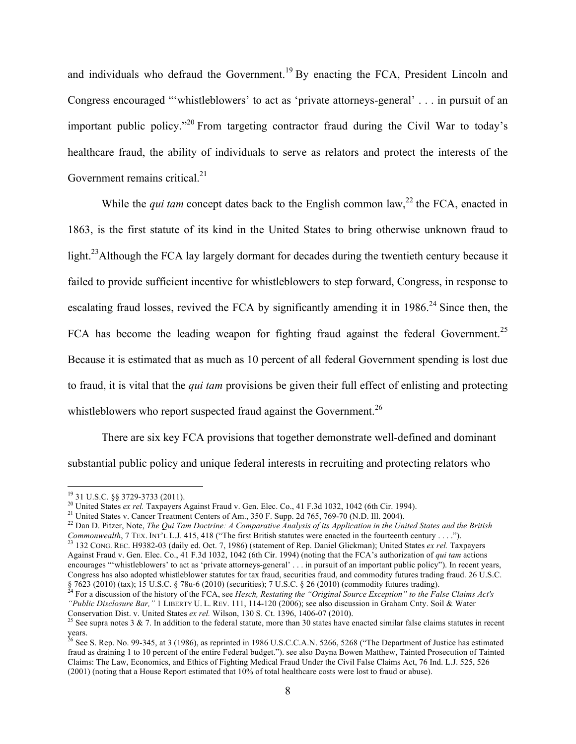and individuals who defraud the Government.<sup>19</sup> By enacting the FCA, President Lincoln and Congress encouraged "'whistleblowers' to act as 'private attorneys-general' . . . in pursuit of an important public policy."<sup>20</sup> From targeting contractor fraud during the Civil War to today's healthcare fraud, the ability of individuals to serve as relators and protect the interests of the Government remains critical.<sup>21</sup>

While the *qui tam* concept dates back to the English common law,<sup>22</sup> the FCA, enacted in 1863, is the first statute of its kind in the United States to bring otherwise unknown fraud to light.<sup>23</sup>Although the FCA lay largely dormant for decades during the twentieth century because it failed to provide sufficient incentive for whistleblowers to step forward, Congress, in response to escalating fraud losses, revived the FCA by significantly amending it in  $1986$ <sup>24</sup> Since then, the FCA has become the leading weapon for fighting fraud against the federal Government.<sup>25</sup> Because it is estimated that as much as 10 percent of all federal Government spending is lost due to fraud, it is vital that the *qui tam* provisions be given their full effect of enlisting and protecting whistleblowers who report suspected fraud against the Government.<sup>26</sup>

There are six key FCA provisions that together demonstrate well-defined and dominant substantial public policy and unique federal interests in recruiting and protecting relators who

<sup>&</sup>lt;sup>19</sup> 31 U.S.C. §§ 3729-3733 (2011).<br><sup>20</sup> United States *ex rel*. Taxpayers Against Fraud v. Gen. Elec. Co., 41 F.3d 1032, 1042 (6th Cir. 1994).<br><sup>21</sup> United States v. Cancer Treatment Centers of Am., 350 F. Supp. 2d 765, 7 Commonwealth, 7 Tex. INT'L L.J. 415, 418 ("The first British statutes were enacted in the fourteenth century . . . .").<br><sup>23</sup> 132 Cong. Rec. H9382-03 (daily ed. Oct. 7, 1986) (statement of Rep. Daniel Glickman); United Stat Against Fraud v. Gen. Elec. Co., 41 F.3d 1032, 1042 (6th Cir. 1994) (noting that the FCA's authorization of *qui tam* actions

encourages "'whistleblowers' to act as 'private attorneys-general' . . . in pursuit of an important public policy"). In recent years, Congress has also adopted whistleblower statutes for tax fraud, securities fraud, and commodity futures trading fraud. 26 U.S.C. 87623 (2010) (tax); 15 U.S.C. § 78u-6 (2010) (securities); 7 U.S.C. § 26 (2010) (commodity futures trading).<br><sup>24</sup> For a discussion of the history of the FCA, see *Hesch*, *Restating the "Original Source Exception" to the F* 

*<sup>&</sup>quot;Public Disclosure Bar,"* 1 LIBERTY U. L. REV. 111, 114-120 (2006); see also discussion in Graham Cnty. Soil & Water Conservation Dist. v. United States ex rel. Wilson, 130 S. Ct. 1396, 1406-07 (2010).<br><sup>25</sup> See supra notes 3 & 7. In addition to the federal statute, more than 30 states have enacted similar false claims statutes in recent

years.

<sup>&</sup>lt;sup>26</sup> See S. Rep. No. 99-345, at 3 (1986), as reprinted in 1986 U.S.C.C.A.N. 5266, 5268 ("The Department of Justice has estimated fraud as draining 1 to 10 percent of the entire Federal budget."). see also Dayna Bowen Matthew, Tainted Prosecution of Tainted Claims: The Law, Economics, and Ethics of Fighting Medical Fraud Under the Civil False Claims Act, 76 Ind. L.J. 525, 526 (2001) (noting that a House Report estimated that 10% of total healthcare costs were lost to fraud or abuse).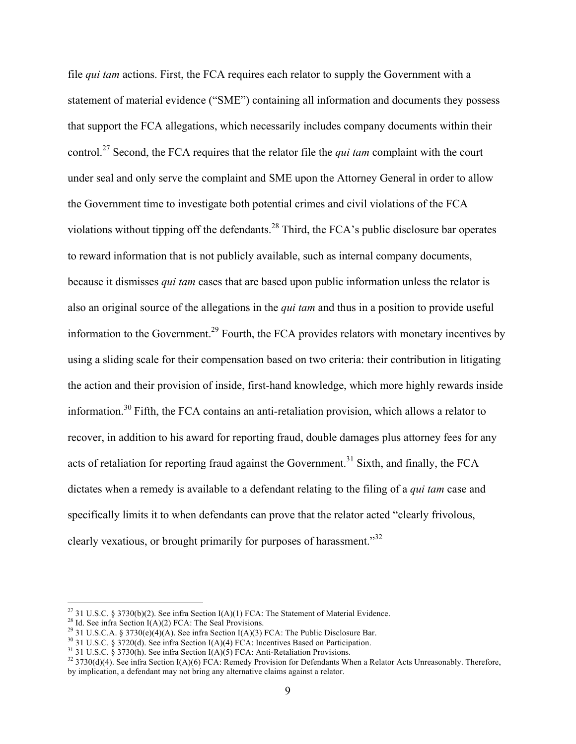file *qui tam* actions. First, the FCA requires each relator to supply the Government with a statement of material evidence ("SME") containing all information and documents they possess that support the FCA allegations, which necessarily includes company documents within their control. <sup>27</sup> Second, the FCA requires that the relator file the *qui tam* complaint with the court under seal and only serve the complaint and SME upon the Attorney General in order to allow the Government time to investigate both potential crimes and civil violations of the FCA violations without tipping off the defendants.<sup>28</sup> Third, the FCA's public disclosure bar operates to reward information that is not publicly available, such as internal company documents, because it dismisses *qui tam* cases that are based upon public information unless the relator is also an original source of the allegations in the *qui tam* and thus in a position to provide useful information to the Government.<sup>29</sup> Fourth, the FCA provides relators with monetary incentives by using a sliding scale for their compensation based on two criteria: their contribution in litigating the action and their provision of inside, first-hand knowledge, which more highly rewards inside information. <sup>30</sup> Fifth, the FCA contains an anti-retaliation provision, which allows a relator to recover, in addition to his award for reporting fraud, double damages plus attorney fees for any acts of retaliation for reporting fraud against the Government.<sup>31</sup> Sixth, and finally, the FCA dictates when a remedy is available to a defendant relating to the filing of a *qui tam* case and specifically limits it to when defendants can prove that the relator acted "clearly frivolous, clearly vexatious, or brought primarily for purposes of harassment."<sup>32</sup>

<sup>&</sup>lt;sup>27</sup> 31 U.S.C. § 3730(b)(2). See infra Section I(A)(1) FCA: The Statement of Material Evidence.<br><sup>28</sup> Id. See infra Section I(A)(2) FCA: The Seal Provisions.<br><sup>29</sup> 31 U.S.C.A. § 3730(e)(4)(A). See infra Section I(A)(3) FCA: by implication, a defendant may not bring any alternative claims against a relator.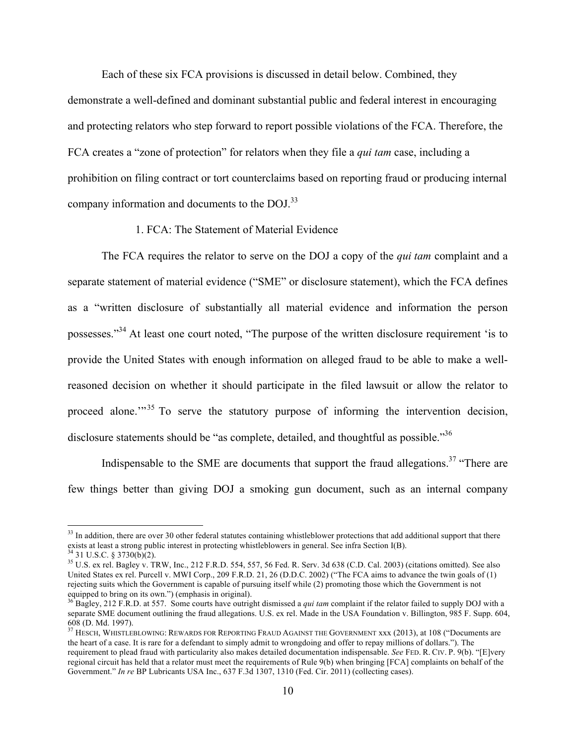Each of these six FCA provisions is discussed in detail below. Combined, they

demonstrate a well-defined and dominant substantial public and federal interest in encouraging and protecting relators who step forward to report possible violations of the FCA. Therefore, the FCA creates a "zone of protection" for relators when they file a *qui tam* case, including a prohibition on filing contract or tort counterclaims based on reporting fraud or producing internal company information and documents to the DOJ.<sup>33</sup>

1. FCA: The Statement of Material Evidence

The FCA requires the relator to serve on the DOJ a copy of the *qui tam* complaint and a separate statement of material evidence ("SME" or disclosure statement), which the FCA defines as a "written disclosure of substantially all material evidence and information the person possesses."34 At least one court noted, "The purpose of the written disclosure requirement 'is to provide the United States with enough information on alleged fraud to be able to make a wellreasoned decision on whether it should participate in the filed lawsuit or allow the relator to proceed alone."<sup>35</sup> To serve the statutory purpose of informing the intervention decision, disclosure statements should be "as complete, detailed, and thoughtful as possible."<sup>36</sup>

Indispensable to the SME are documents that support the fraud allegations.<sup>37</sup> "There are few things better than giving DOJ a smoking gun document, such as an internal company

 $33$  In addition, there are over 30 other federal statutes containing whistleblower protections that add additional support that there exists at least a strong public interest in protecting whistleblowers in general. See infra Section I(B).<br><sup>34</sup> 31 U.S.C. § 3730(b)(2).<br><sup>35</sup> U.S. ex rel. Bagley v. TRW, Inc., 212 F.R.D. 554, 557, 56 Fed. R. Serv. 3d 638 (C.

United States ex rel. Purcell v. MWI Corp., 209 F.R.D. 21, 26 (D.D.C. 2002) ("The FCA aims to advance the twin goals of (1) rejecting suits which the Government is capable of pursuing itself while (2) promoting those which the Government is not equipped to bring on its own.") (emphasis in original).

<sup>&</sup>lt;sup>36</sup> Bagley, 212 F.R.D. at 557. Some courts have outright dismissed a *qui tam* complaint if the relator failed to supply DOJ with a separate SME document outlining the fraud allegations. U.S. ex rel. Made in the USA Foundation v. Billington, 985 F. Supp. 604, 608 (D. Md. 1997).

<sup>&</sup>lt;sup>37</sup> HESCH, WHISTLEBLOWING: REWARDS FOR REPORTING FRAUD AGAINST THE GOVERNMENT xxx (2013), at 108 ("Documents are the heart of a case. It is rare for a defendant to simply admit to wrongdoing and offer to repay millions of dollars."). The requirement to plead fraud with particularity also makes detailed documentation indispensable. *See* FED. R. CIV. P. 9(b). "[E]very regional circuit has held that a relator must meet the requirements of Rule 9(b) when bringing [FCA] complaints on behalf of the Government." *In re* BP Lubricants USA Inc., 637 F.3d 1307, 1310 (Fed. Cir. 2011) (collecting cases).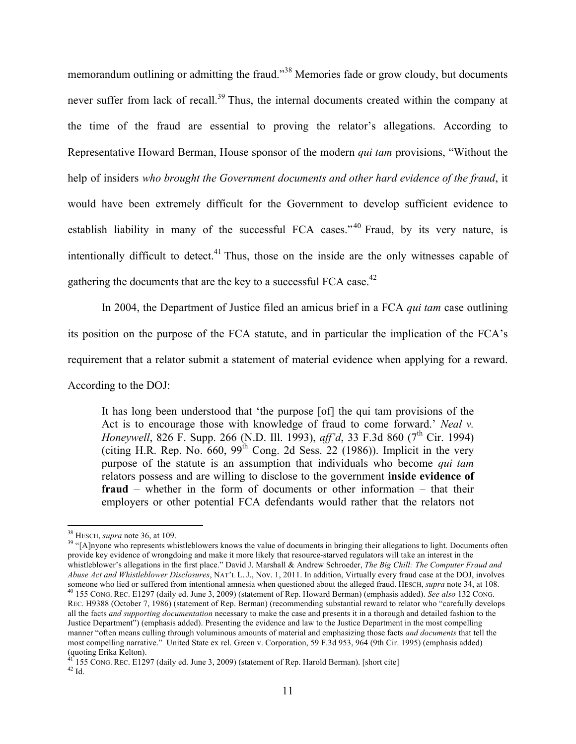memorandum outlining or admitting the fraud."<sup>38</sup> Memories fade or grow cloudy, but documents never suffer from lack of recall.<sup>39</sup> Thus, the internal documents created within the company at the time of the fraud are essential to proving the relator's allegations. According to Representative Howard Berman, House sponsor of the modern *qui tam* provisions, "Without the help of insiders *who brought the Government documents and other hard evidence of the fraud*, it would have been extremely difficult for the Government to develop sufficient evidence to establish liability in many of the successful FCA cases."<sup>40</sup> Fraud, by its very nature, is intentionally difficult to detect.<sup>41</sup> Thus, those on the inside are the only witnesses capable of gathering the documents that are the key to a successful FCA case.<sup>42</sup>

In 2004, the Department of Justice filed an amicus brief in a FCA *qui tam* case outlining its position on the purpose of the FCA statute, and in particular the implication of the FCA's requirement that a relator submit a statement of material evidence when applying for a reward. According to the DOJ:

It has long been understood that 'the purpose [of] the qui tam provisions of the Act is to encourage those with knowledge of fraud to come forward.' *Neal v. Honeywell*, 826 F. Supp. 266 (N.D. Ill. 1993), *aff'd*, 33 F.3d 860 (7<sup>th</sup> Cir. 1994) (citing H.R. Rep. No.  $660$ ,  $99<sup>th</sup>$  Cong. 2d Sess. 22 (1986)). Implicit in the very purpose of the statute is an assumption that individuals who become *qui tam* relators possess and are willing to disclose to the government **inside evidence of fraud** – whether in the form of documents or other information – that their employers or other potential FCA defendants would rather that the relators not

<sup>&</sup>lt;sup>38</sup> HESCH, *supra* note 36, at 109.<br><sup>39</sup> "[A]nyone who represents whistleblowers knows the value of documents in bringing their allegations to light. Documents often provide key evidence of wrongdoing and make it more likely that resource-starved regulators will take an interest in the whistleblower's allegations in the first place." David J. Marshall & Andrew Schroeder, *The Big Chill: The Computer Fraud and Abuse Act and Whistleblower Disclosures*, NAT'L L. J., Nov. 1, 2011. In addition, Virtually every fraud case at the DOJ, involves someone who lied or suffered from intentional amnesia when questioned about the alleged fra <sup>40</sup> 155 CONG. REC. E1297 (daily ed. June 3, 2009) (statement of Rep. Howard Berman) (emphasis added). See also 132 CONG. REC. H9388 (October 7, 1986) (statement of Rep. Berman) (recommending substantial reward to relator who "carefully develops all the facts *and supporting documentation* necessary to make the case and presents it in a thorough and detailed fashion to the Justice Department") (emphasis added). Presenting the evidence and law to the Justice Department in the most compelling manner "often means culling through voluminous amounts of material and emphasizing those facts *and documents* that tell the most compelling narrative." United State ex rel. Green v. Corporation, 59 F.3d 953, 964 (9th Cir. 1995) (emphasis added) (quoting Erika Kelton).

 $41^{\circ}$  155 CONG. REC. E1297 (daily ed. June 3, 2009) (statement of Rep. Harold Berman). [short cite]  $42$  Id.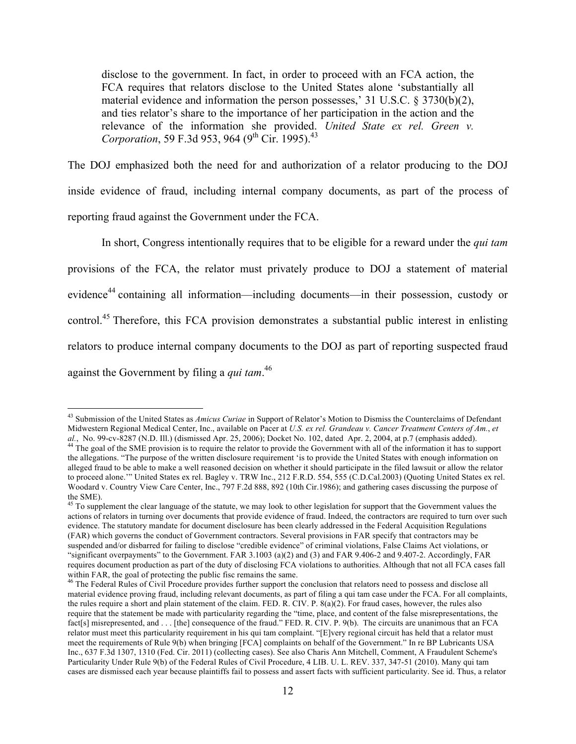disclose to the government. In fact, in order to proceed with an FCA action, the FCA requires that relators disclose to the United States alone 'substantially all material evidence and information the person possesses,' 31 U.S.C. § 3730(b)(2), and ties relator's share to the importance of her participation in the action and the relevance of the information she provided. *United State ex rel. Green v. Corporation*, 59 F.3d 953, 964 (9<sup>th</sup> Cir. 1995).<sup>43</sup>

The DOJ emphasized both the need for and authorization of a relator producing to the DOJ inside evidence of fraud, including internal company documents, as part of the process of reporting fraud against the Government under the FCA.

In short, Congress intentionally requires that to be eligible for a reward under the *qui tam* provisions of the FCA, the relator must privately produce to DOJ a statement of material evidence<sup>44</sup> containing all information—including documents—in their possession, custody or control.<sup>45</sup> Therefore, this FCA provision demonstrates a substantial public interest in enlisting relators to produce internal company documents to the DOJ as part of reporting suspected fraud against the Government by filing a *qui tam*. 46

 <sup>43</sup> Submission of the United States as *Amicus Curiae* in Support of Relator's Motion to Dismiss the Counterclaims of Defendant Midwestern Regional Medical Center, Inc., available on Pacer at *U.S. ex rel. Grandeau v. Cancer Treatment Centers of Am.*, *et al.*, No. 99-cv-8287 (N.D. Ill.) (dismissed Apr. 25, 2006); Docket No. 102, dated Apr. 2, 2004 <sup>44</sup> The goal of the SME provision is to require the relator to provide the Government with all of the information it has to support the allegations. "The purpose of the written disclosure requirement 'is to provide the United States with enough information on alleged fraud to be able to make a well reasoned decision on whether it should participate in the filed lawsuit or allow the relator to proceed alone.'" United States ex rel. Bagley v. TRW Inc., 212 F.R.D. 554, 555 (C.D.Cal.2003) (Quoting United States ex rel. Woodard v. Country View Care Center, Inc., 797 F.2d 888, 892 (10th Cir.1986); and gathering cases discussing the purpose of the SME).

<sup>&</sup>lt;sup>45</sup> To supplement the clear language of the statute, we may look to other legislation for support that the Government values the actions of relators in turning over documents that provide evidence of fraud. Indeed, the contractors are required to turn over such evidence. The statutory mandate for document disclosure has been clearly addressed in the Federal Acquisition Regulations (FAR) which governs the conduct of Government contractors. Several provisions in FAR specify that contractors may be suspended and/or disbarred for failing to disclose "credible evidence" of criminal violations, False Claims Act violations, or "significant overpayments" to the Government. FAR 3.1003 (a)(2) and (3) and FAR 9.406-2 and 9.407-2. Accordingly, FAR requires document production as part of the duty of disclosing FCA violations to authorities. Although that not all FCA cases fall within FAR, the goal of protecting the public fisc remains the same.

<sup>&</sup>lt;sup>46</sup> The Federal Rules of Civil Procedure provides further support the conclusion that relators need to possess and disclose all material evidence proving fraud, including relevant documents, as part of filing a qui tam case under the FCA. For all complaints, the rules require a short and plain statement of the claim. FED. R. CIV. P. 8(a)(2). For fraud cases, however, the rules also require that the statement be made with particularity regarding the "time, place, and content of the false misrepresentations, the fact[s] misrepresented, and . . . [the] consequence of the fraud." FED, R. CIV. P. 9(b). The circuits are unanimous that an FCA relator must meet this particularity requirement in his qui tam complaint. "[E]very regional circuit has held that a relator must meet the requirements of Rule 9(b) when bringing [FCA] complaints on behalf of the Government." In re BP Lubricants USA Inc., 637 F.3d 1307, 1310 (Fed. Cir. 2011) (collecting cases). See also Charis Ann Mitchell, Comment, A Fraudulent Scheme's Particularity Under Rule 9(b) of the Federal Rules of Civil Procedure, 4 LIB. U. L. REV. 337, 347-51 (2010). Many qui tam cases are dismissed each year because plaintiffs fail to possess and assert facts with sufficient particularity. See id. Thus, a relator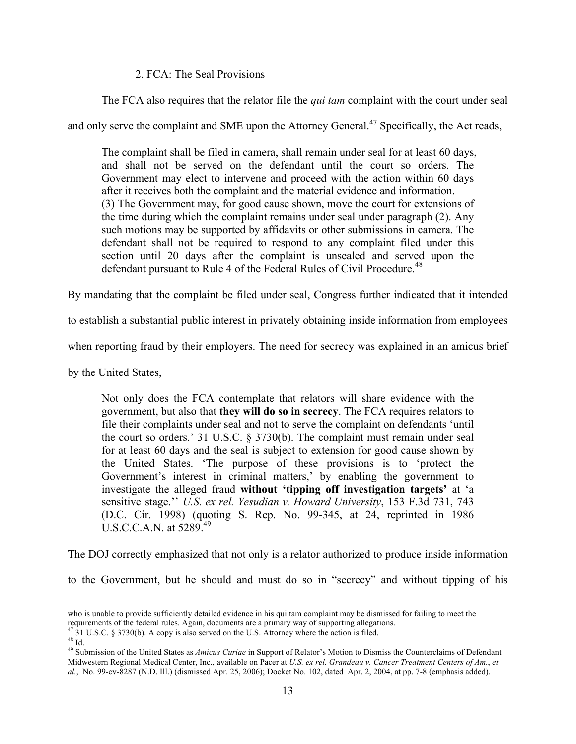#### 2. FCA: The Seal Provisions

The FCA also requires that the relator file the *qui tam* complaint with the court under seal

and only serve the complaint and SME upon the Attorney General.<sup>47</sup> Specifically, the Act reads,

The complaint shall be filed in camera, shall remain under seal for at least 60 days, and shall not be served on the defendant until the court so orders. The Government may elect to intervene and proceed with the action within 60 days after it receives both the complaint and the material evidence and information. (3) The Government may, for good cause shown, move the court for extensions of the time during which the complaint remains under seal under paragraph (2). Any such motions may be supported by affidavits or other submissions in camera. The defendant shall not be required to respond to any complaint filed under this section until 20 days after the complaint is unsealed and served upon the defendant pursuant to Rule 4 of the Federal Rules of Civil Procedure.<sup>48</sup>

By mandating that the complaint be filed under seal, Congress further indicated that it intended

to establish a substantial public interest in privately obtaining inside information from employees

when reporting fraud by their employers. The need for secrecy was explained in an amicus brief

by the United States,

Not only does the FCA contemplate that relators will share evidence with the government, but also that **they will do so in secrecy**. The FCA requires relators to file their complaints under seal and not to serve the complaint on defendants 'until the court so orders.' 31 U.S.C. § 3730(b). The complaint must remain under seal for at least 60 days and the seal is subject to extension for good cause shown by the United States. 'The purpose of these provisions is to 'protect the Government's interest in criminal matters,' by enabling the government to investigate the alleged fraud **without 'tipping off investigation targets'** at 'a sensitive stage.'' *U.S. ex rel. Yesudian v. Howard University*, 153 F.3d 731, 743 (D.C. Cir. 1998) (quoting S. Rep. No. 99-345, at 24, reprinted in 1986 U.S.C.C.A.N. at 5289.49

The DOJ correctly emphasized that not only is a relator authorized to produce inside information

to the Government, but he should and must do so in "secrecy" and without tipping of his

who is unable to provide sufficiently detailed evidence in his qui tam complaint may be dismissed for failing to meet the

requirements of the federal rules. Again, documents are a primary way of supporting allegations.<br><sup>47</sup> 31 U.S.C. § 3730(b). A copy is also served on the U.S. Attorney where the action is filed.<br><sup>48</sup> Id.<br><sup>49</sup> Submission of Midwestern Regional Medical Center, Inc., available on Pacer at *U.S. ex rel. Grandeau v. Cancer Treatment Centers of Am.*, *et al.*, No. 99-cv-8287 (N.D. Ill.) (dismissed Apr. 25, 2006); Docket No. 102, dated Apr. 2, 2004, at pp. 7-8 (emphasis added).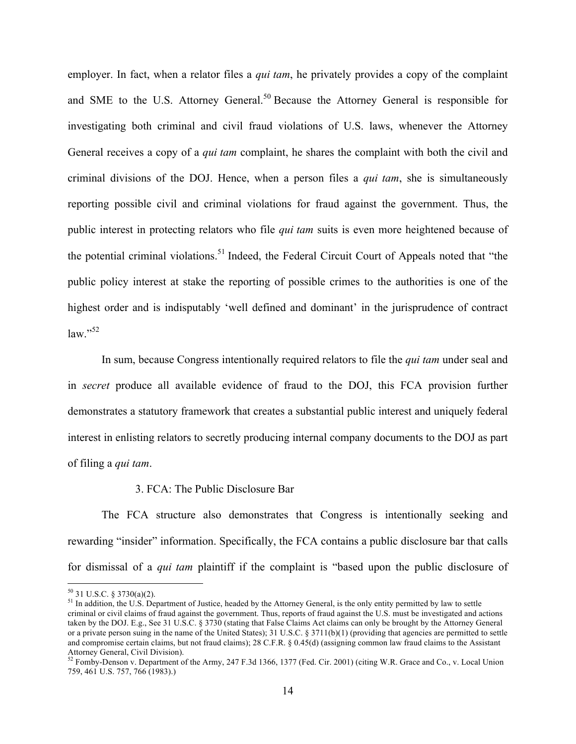employer. In fact, when a relator files a *qui tam*, he privately provides a copy of the complaint and SME to the U.S. Attorney General.<sup>50</sup> Because the Attorney General is responsible for investigating both criminal and civil fraud violations of U.S. laws, whenever the Attorney General receives a copy of a *qui tam* complaint, he shares the complaint with both the civil and criminal divisions of the DOJ. Hence, when a person files a *qui tam*, she is simultaneously reporting possible civil and criminal violations for fraud against the government. Thus, the public interest in protecting relators who file *qui tam* suits is even more heightened because of the potential criminal violations.<sup>51</sup> Indeed, the Federal Circuit Court of Appeals noted that "the public policy interest at stake the reporting of possible crimes to the authorities is one of the highest order and is indisputably 'well defined and dominant' in the jurisprudence of contract  $law.$ <sup>52</sup>

In sum, because Congress intentionally required relators to file the *qui tam* under seal and in *secret* produce all available evidence of fraud to the DOJ, this FCA provision further demonstrates a statutory framework that creates a substantial public interest and uniquely federal interest in enlisting relators to secretly producing internal company documents to the DOJ as part of filing a *qui tam*.

#### 3. FCA: The Public Disclosure Bar

The FCA structure also demonstrates that Congress is intentionally seeking and rewarding "insider" information. Specifically, the FCA contains a public disclosure bar that calls for dismissal of a *qui tam* plaintiff if the complaint is "based upon the public disclosure of

<sup>&</sup>lt;sup>50</sup> 31 U.S.C. § 3730(a)(2).<br><sup>51</sup> In addition, the U.S. Department of Justice, headed by the Attorney General, is the only entity permitted by law to settle criminal or civil claims of fraud against the government. Thus, reports of fraud against the U.S. must be investigated and actions taken by the DOJ. E.g., See 31 U.S.C. § 3730 (stating that False Claims Act claims can only be brought by the Attorney General or a private person suing in the name of the United States); 31 U.S.C. § 3711(b)(1) (providing that agencies are permitted to settle and compromise certain claims, but not fraud claims); 28 C.F.R. § 0.45(d) (assigning common law fraud claims to the Assistant Attorney General, Civil Division).<br><sup>52</sup> Fomby-Denson v. Department of the Army, 247 F.3d 1366, 1377 (Fed. Cir. 2001) (citing W.R. Grace and Co., v. Local Union

<sup>759, 461</sup> U.S. 757, 766 (1983).)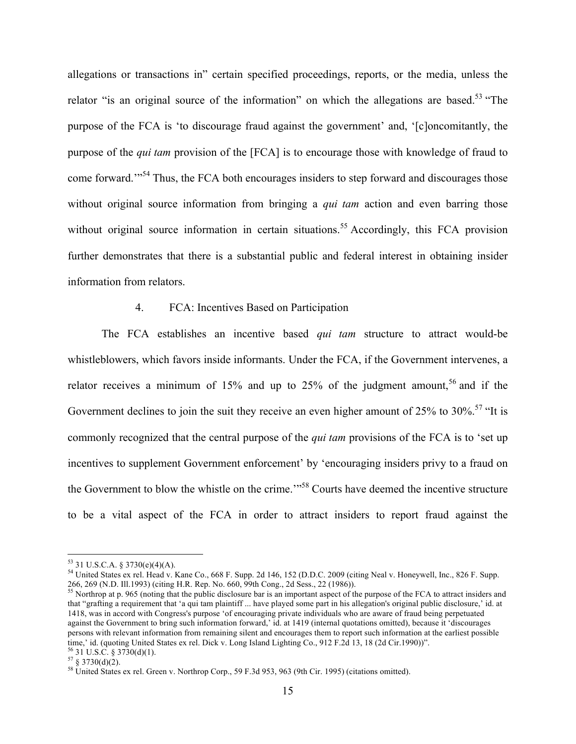allegations or transactions in" certain specified proceedings, reports, or the media, unless the relator "is an original source of the information" on which the allegations are based.<sup>53</sup> "The purpose of the FCA is 'to discourage fraud against the government' and, '[c]oncomitantly, the purpose of the *qui tam* provision of the [FCA] is to encourage those with knowledge of fraud to come forward.<sup>"54</sup> Thus, the FCA both encourages insiders to step forward and discourages those without original source information from bringing a *qui tam* action and even barring those without original source information in certain situations.<sup>55</sup> Accordingly, this FCA provision further demonstrates that there is a substantial public and federal interest in obtaining insider information from relators.

#### 4. FCA: Incentives Based on Participation

The FCA establishes an incentive based *qui tam* structure to attract would-be whistleblowers, which favors inside informants. Under the FCA, if the Government intervenes, a relator receives a minimum of  $15%$  and up to  $25%$  of the judgment amount,<sup>56</sup> and if the Government declines to join the suit they receive an even higher amount of 25% to 30%.<sup>57</sup> "It is commonly recognized that the central purpose of the *qui tam* provisions of the FCA is to 'set up incentives to supplement Government enforcement' by 'encouraging insiders privy to a fraud on the Government to blow the whistle on the crime."<sup>58</sup> Courts have deemed the incentive structure to be a vital aspect of the FCA in order to attract insiders to report fraud against the

<sup>53 31</sup> U.S.C.A. § 3730(e)(4)(A).<br><sup>54</sup> United States ex rel. Head v. Kane Co., 668 F. Supp. 2d 146, 152 (D.D.C. 2009 (citing Neal v. Honeywell, Inc., 826 F. Supp. 266, 269 (N.D. Ill.1993) (citing H.R. Rep. No. 660, 99th Con

<sup>&</sup>lt;sup>55</sup> Northrop at p. 965 (noting that the public disclosure bar is an important aspect of the purpose of the FCA to attract insiders and that "grafting a requirement that 'a qui tam plaintiff ... have played some part in his allegation's original public disclosure,' id. at 1418, was in accord with Congress's purpose 'of encouraging private individuals who are aware of fraud being perpetuated against the Government to bring such information forward,' id. at 1419 (internal quotations omitted), because it 'discourages persons with relevant information from remaining silent and encourages them to report such information at the earliest possible time,' id. (quoting United States ex rel. Dick v. Long Island Lighting Co., 912 F.2d 13, 18 (2d Cir.1990))". <sup>56</sup> 31 U.S.C. § 3730(d)(1).

 $57 \text{ }\frac{2}{3}$  3730(d)(2).<br><sup>58</sup> United States ex rel. Green v. Northrop Corp., 59 F.3d 953, 963 (9th Cir. 1995) (citations omitted).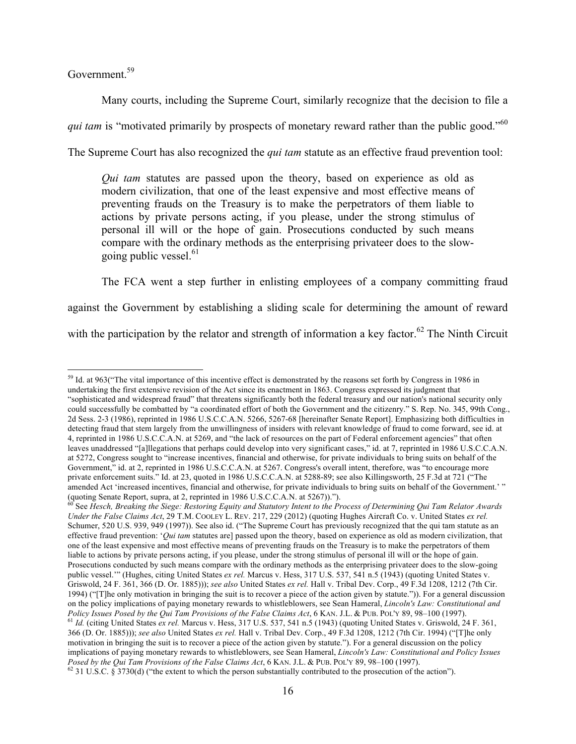Government.<sup>59</sup>

Many courts, including the Supreme Court, similarly recognize that the decision to file a *qui tam* is "motivated primarily by prospects of monetary reward rather than the public good."<sup>60</sup> The Supreme Court has also recognized the *qui tam* statute as an effective fraud prevention tool:

*Qui tam* statutes are passed upon the theory, based on experience as old as modern civilization, that one of the least expensive and most effective means of preventing frauds on the Treasury is to make the perpetrators of them liable to actions by private persons acting, if you please, under the strong stimulus of personal ill will or the hope of gain. Prosecutions conducted by such means compare with the ordinary methods as the enterprising privateer does to the slowgoing public vessel.  $61$ 

The FCA went a step further in enlisting employees of a company committing fraud against the Government by establishing a sliding scale for determining the amount of reward with the participation by the relator and strength of information a key factor.<sup>62</sup> The Ninth Circuit

<sup>&</sup>lt;sup>59</sup> Id. at 963("The vital importance of this incentive effect is demonstrated by the reasons set forth by Congress in 1986 in undertaking the first extensive revision of the Act since its enactment in 1863. Congress expressed its judgment that "sophisticated and widespread fraud" that threatens significantly both the federal treasury and our nation's national security only could successfully be combatted by "a coordinated effort of both the Government and the citizenry." S. Rep. No. 345, 99th Cong., 2d Sess. 2-3 (1986), reprinted in 1986 U.S.C.C.A.N. 5266, 5267-68 [hereinafter Senate Report]. Emphasizing both difficulties in detecting fraud that stem largely from the unwillingness of insiders with relevant knowledge of fraud to come forward, see id. at 4, reprinted in 1986 U.S.C.C.A.N. at 5269, and "the lack of resources on the part of Federal enforcement agencies" that often leaves unaddressed "[a]llegations that perhaps could develop into very significant cases," id. at 7, reprinted in 1986 U.S.C.C.A.N. at 5272, Congress sought to "increase incentives, financial and otherwise, for private individuals to bring suits on behalf of the Government," id. at 2, reprinted in 1986 U.S.C.C.A.N. at 5267. Congress's overall intent, therefore, was "to encourage more private enforcement suits." Id. at 23, quoted in 1986 U.S.C.C.A.N. at 5288-89; see also Killingsworth, 25 F.3d at 721 ("The amended Act 'increased incentives, financial and otherwise, for private individuals to bring suits on behalf of the Government.' " (quoting Senate Report, supra, at 2, reprinted in 1986 U.S.C.C.A.N. at 5267)).").

<sup>60</sup> See *Hesch, Breaking the Siege: Restoring Equity and Statutory Intent to the Process of Determining Qui Tam Relator Awards Under the False Claims Act*, 29 T.M. COOLEY L. REV. 217, 229 (2012) (quoting Hughes Aircraft Co. v. United States *ex rel.* Schumer, 520 U.S. 939, 949 (1997)). See also id. ("The Supreme Court has previously recognized that the qui tam statute as an effective fraud prevention: '*Qui tam* statutes are] passed upon the theory, based on experience as old as modern civilization, that one of the least expensive and most effective means of preventing frauds on the Treasury is to make the perpetrators of them liable to actions by private persons acting, if you please, under the strong stimulus of personal ill will or the hope of gain. Prosecutions conducted by such means compare with the ordinary methods as the enterprising privateer does to the slow-going public vessel.'" (Hughes, citing United States *ex rel.* Marcus v. Hess, 317 U.S. 537, 541 n.5 (1943) (quoting United States v. Griswold, 24 F. 361, 366 (D. Or. 1885))); *see also* United States *ex rel.* Hall v. Tribal Dev. Corp., 49 F.3d 1208, 1212 (7th Cir. 1994) ("[T]he only motivation in bringing the suit is to recover a piece of the action given by statute.")). For a general discussion on the policy implications of paying monetary rewards to whistleblowers, see Sean Hameral, *Lincoln's Law: Constitutional and*  Policy Issues Posed by the Qui Tam Provisions of the False Claims Act, 6 KAN. J.L. & PUB. POL'Y 89, 98-100 (1997).<br><sup>61</sup> Id. (citing United States ex rel. Marcus v. Hess, 317 U.S. 537, 541 n.5 (1943) (quoting United States 366 (D. Or. 1885))); *see also* United States *ex rel.* Hall v. Tribal Dev. Corp., 49 F.3d 1208, 1212 (7th Cir. 1994) ("[T]he only motivation in bringing the suit is to recover a piece of the action given by statute."). For a general discussion on the policy implications of paying monetary rewards to whistleblowers, see Sean Hameral, *Lincoln's Law: Constitutional and Policy Issues*   $^{62}$  31 U.S.C. § 3730(d) ("the extent to which the person substantially contributed to the prosecution of the action").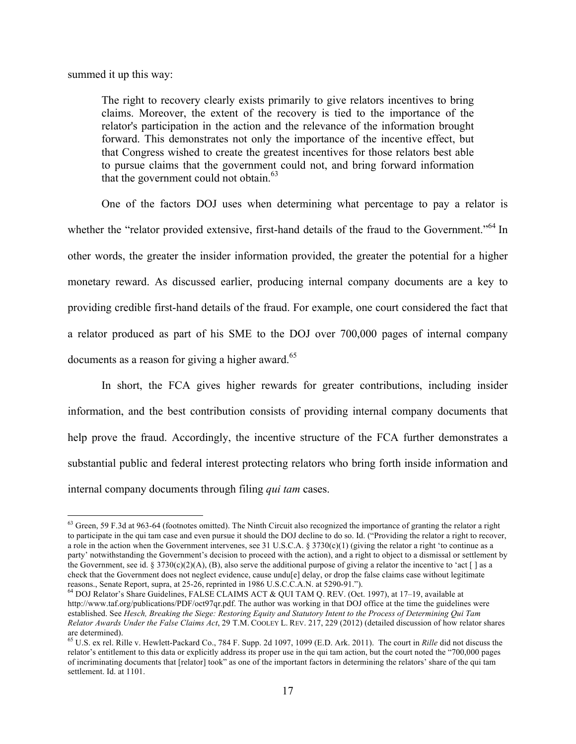summed it up this way:

The right to recovery clearly exists primarily to give relators incentives to bring claims. Moreover, the extent of the recovery is tied to the importance of the relator's participation in the action and the relevance of the information brought forward. This demonstrates not only the importance of the incentive effect, but that Congress wished to create the greatest incentives for those relators best able to pursue claims that the government could not, and bring forward information that the government could not obtain. $63$ 

One of the factors DOJ uses when determining what percentage to pay a relator is whether the "relator provided extensive, first-hand details of the fraud to the Government."<sup>64</sup> In other words, the greater the insider information provided, the greater the potential for a higher monetary reward. As discussed earlier, producing internal company documents are a key to providing credible first-hand details of the fraud. For example, one court considered the fact that a relator produced as part of his SME to the DOJ over 700,000 pages of internal company documents as a reason for giving a higher award. $65$ 

In short, the FCA gives higher rewards for greater contributions, including insider information, and the best contribution consists of providing internal company documents that help prove the fraud. Accordingly, the incentive structure of the FCA further demonstrates a substantial public and federal interest protecting relators who bring forth inside information and internal company documents through filing *qui tam* cases.

<sup>&</sup>lt;sup>63</sup> Green. 59 F.3d at 963-64 (footnotes omitted). The Ninth Circuit also recognized the importance of granting the relator a right to participate in the qui tam case and even pursue it should the DOJ decline to do so. Id. ("Providing the relator a right to recover, a role in the action when the Government intervenes, see 31 U.S.C.A. § 3730(c)(1) (giving the relator a right 'to continue as a party' notwithstanding the Government's decision to proceed with the action), and a right to object to a dismissal or settlement by the Government, see id. § 3730(c)(2)(A), (B), also serve the additional purpose of giving a relator the incentive to 'act [ ] as a check that the Government does not neglect evidence, cause undu[e] delay, or drop the false claims case without legitimate reasons., Senate Report, supra, at 25-26, reprinted in 1986 U.S.C.C.A.N. at 5290-91.").

 $^{64}$  DOJ Relator's Share Guidelines, FALSE CLAIMS ACT & QUI TAM Q. REV. (Oct. 1997), at 17–19, available at http://www.taf.org/publications/PDF/oct97qr.pdf. The author was working in that DOJ office at the time the guidelines were established. See *Hesch, Breaking the Siege: Restoring Equity and Statutory Intent to the Process of Determining Qui Tam Relator Awards Under the False Claims Act*, 29 T.M. COOLEY L. REV. 217, 229 (2012) (detailed discussion of how relator shares are determined).

<sup>65</sup> U.S. ex rel. Rille v. Hewlett-Packard Co., 784 F. Supp. 2d 1097, 1099 (E.D. Ark. 2011). The court in *Rille* did not discuss the relator's entitlement to this data or explicitly address its proper use in the qui tam action, but the court noted the "700,000 pages of incriminating documents that [relator] took" as one of the important factors in determining the relators' share of the qui tam settlement. Id. at 1101.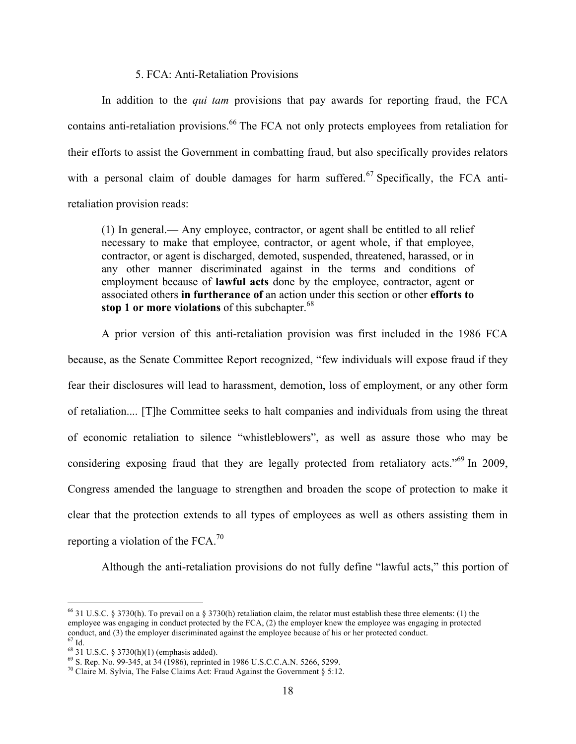#### 5. FCA: Anti-Retaliation Provisions

In addition to the *qui tam* provisions that pay awards for reporting fraud, the FCA contains anti-retaliation provisions.<sup>66</sup> The FCA not only protects employees from retaliation for their efforts to assist the Government in combatting fraud, but also specifically provides relators with a personal claim of double damages for harm suffered.<sup>67</sup> Specifically, the FCA antiretaliation provision reads:

(1) In general.— Any employee, contractor, or agent shall be entitled to all relief necessary to make that employee, contractor, or agent whole, if that employee, contractor, or agent is discharged, demoted, suspended, threatened, harassed, or in any other manner discriminated against in the terms and conditions of employment because of **lawful acts** done by the employee, contractor, agent or associated others **in furtherance of** an action under this section or other **efforts to stop 1 or more violations** of this subchapter.<sup>68</sup>

A prior version of this anti-retaliation provision was first included in the 1986 FCA because, as the Senate Committee Report recognized, "few individuals will expose fraud if they fear their disclosures will lead to harassment, demotion, loss of employment, or any other form of retaliation.... [T]he Committee seeks to halt companies and individuals from using the threat of economic retaliation to silence "whistleblowers", as well as assure those who may be considering exposing fraud that they are legally protected from retaliatory acts."<sup>69</sup> In 2009, Congress amended the language to strengthen and broaden the scope of protection to make it clear that the protection extends to all types of employees as well as others assisting them in reporting a violation of the FCA.<sup>70</sup>

Although the anti-retaliation provisions do not fully define "lawful acts," this portion of

<sup>&</sup>lt;sup>66</sup> 31 U.S.C. § 3730(h). To prevail on a § 3730(h) retaliation claim, the relator must establish these three elements: (1) the employee was engaging in conduct protected by the FCA, (2) the employer knew the employee was engaging in protected conduct, and (3) the employer discriminated against the employee because of his or her protected conduct.  $^{67}$  Id.

<sup>&</sup>lt;sup>68</sup> 31 U.S.C. § 3730(h)(1) (emphasis added).<br><sup>69</sup> S. Rep. No. 99-345, at 34 (1986), reprinted in 1986 U.S.C.C.A.N. 5266, 5299.<br><sup>70</sup> Claire M. Sylvia, The False Claims Act: Fraud Against the Government § 5:12.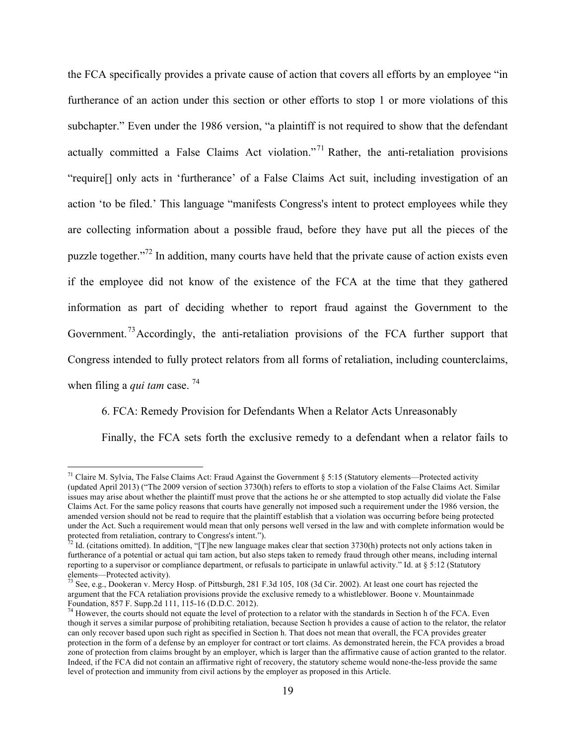the FCA specifically provides a private cause of action that covers all efforts by an employee "in furtherance of an action under this section or other efforts to stop 1 or more violations of this subchapter." Even under the 1986 version, "a plaintiff is not required to show that the defendant actually committed a False Claims Act violation."<sup>71</sup> Rather, the anti-retaliation provisions "require[] only acts in 'furtherance' of a False Claims Act suit, including investigation of an action 'to be filed.' This language "manifests Congress's intent to protect employees while they are collecting information about a possible fraud, before they have put all the pieces of the puzzle together."<sup>72</sup> In addition, many courts have held that the private cause of action exists even if the employee did not know of the existence of the FCA at the time that they gathered information as part of deciding whether to report fraud against the Government to the Government.<sup>73</sup> Accordingly, the anti-retaliation provisions of the FCA further support that Congress intended to fully protect relators from all forms of retaliation, including counterclaims,

when filing a *qui tam* case.<sup>74</sup>

6. FCA: Remedy Provision for Defendants When a Relator Acts Unreasonably

Finally, the FCA sets forth the exclusive remedy to a defendant when a relator fails to

<sup>&</sup>lt;sup>71</sup> Claire M. Sylvia, The False Claims Act: Fraud Against the Government  $\S 5:15$  (Statutory elements—Protected activity (updated April 2013) ("The 2009 version of section 3730(h) refers to efforts to stop a violation of the False Claims Act. Similar issues may arise about whether the plaintiff must prove that the actions he or she attempted to stop actually did violate the False Claims Act. For the same policy reasons that courts have generally not imposed such a requirement under the 1986 version, the amended version should not be read to require that the plaintiff establish that a violation was occurring before being protected under the Act. Such a requirement would mean that only persons well versed in the law and with complete information would be protected from retaliation, contrary to Congress's intent.").

Id. (citations omitted). In addition, "[T]he new language makes clear that section 3730(h) protects not only actions taken in furtherance of a potential or actual qui tam action, but also steps taken to remedy fraud through other means, including internal reporting to a supervisor or compliance department, or refusals to participate in unlawful activity." Id. at § 5:12 (Statutory

elements—Protected activity).<br><sup>73</sup> See, e.g., Dookeran v. Mercy Hosp. of Pittsburgh, 281 F.3d 105, 108 (3d Cir. 2002). At least one court has rejected the argument that the FCA retaliation provisions provide the exclusive remedy to a whistleblower. Boone v. Mountainmade Foundation, 857 F. Supp.2d 111, 115-16 (D.D.C. 2012).<br><sup>74</sup> However, the courts should not equate the level of protection to a relator with the standards in Section h of the FCA. Even

though it serves a similar purpose of prohibiting retaliation, because Section h provides a cause of action to the relator, the relator can only recover based upon such right as specified in Section h. That does not mean that overall, the FCA provides greater protection in the form of a defense by an employer for contract or tort claims. As demonstrated herein, the FCA provides a broad zone of protection from claims brought by an employer, which is larger than the affirmative cause of action granted to the relator. Indeed, if the FCA did not contain an affirmative right of recovery, the statutory scheme would none-the-less provide the same level of protection and immunity from civil actions by the employer as proposed in this Article.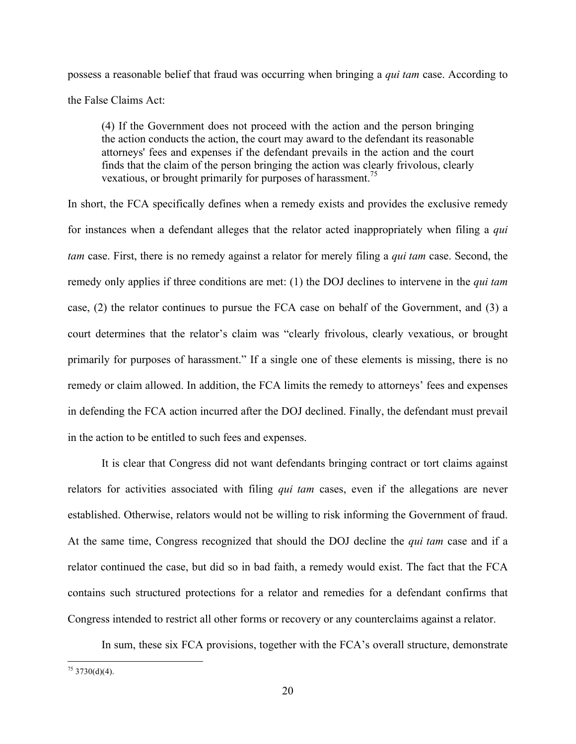possess a reasonable belief that fraud was occurring when bringing a *qui tam* case. According to the False Claims Act:

(4) If the Government does not proceed with the action and the person bringing the action conducts the action, the court may award to the defendant its reasonable attorneys' fees and expenses if the defendant prevails in the action and the court finds that the claim of the person bringing the action was clearly frivolous, clearly vexatious, or brought primarily for purposes of harassment.<sup>75</sup>

In short, the FCA specifically defines when a remedy exists and provides the exclusive remedy for instances when a defendant alleges that the relator acted inappropriately when filing a *qui tam* case. First, there is no remedy against a relator for merely filing a *qui tam* case. Second, the remedy only applies if three conditions are met: (1) the DOJ declines to intervene in the *qui tam* case, (2) the relator continues to pursue the FCA case on behalf of the Government, and (3) a court determines that the relator's claim was "clearly frivolous, clearly vexatious, or brought primarily for purposes of harassment." If a single one of these elements is missing, there is no remedy or claim allowed. In addition, the FCA limits the remedy to attorneys' fees and expenses in defending the FCA action incurred after the DOJ declined. Finally, the defendant must prevail in the action to be entitled to such fees and expenses.

It is clear that Congress did not want defendants bringing contract or tort claims against relators for activities associated with filing *qui tam* cases, even if the allegations are never established. Otherwise, relators would not be willing to risk informing the Government of fraud. At the same time, Congress recognized that should the DOJ decline the *qui tam* case and if a relator continued the case, but did so in bad faith, a remedy would exist. The fact that the FCA contains such structured protections for a relator and remedies for a defendant confirms that Congress intended to restrict all other forms or recovery or any counterclaims against a relator.

In sum, these six FCA provisions, together with the FCA's overall structure, demonstrate

 $75$  3730(d)(4).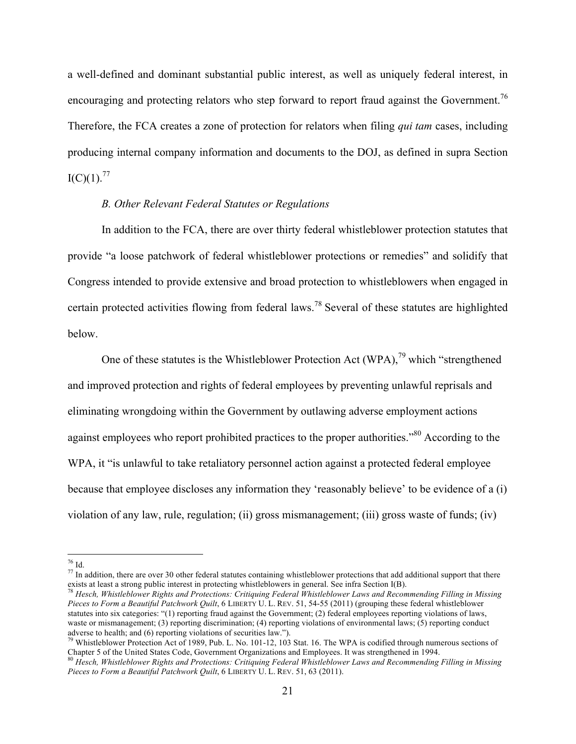a well-defined and dominant substantial public interest, as well as uniquely federal interest, in encouraging and protecting relators who step forward to report fraud against the Government.<sup>76</sup> Therefore, the FCA creates a zone of protection for relators when filing *qui tam* cases, including producing internal company information and documents to the DOJ, as defined in supra Section  $I(C)(1).^{77}$ 

#### *B. Other Relevant Federal Statutes or Regulations*

In addition to the FCA, there are over thirty federal whistleblower protection statutes that provide "a loose patchwork of federal whistleblower protections or remedies" and solidify that Congress intended to provide extensive and broad protection to whistleblowers when engaged in certain protected activities flowing from federal laws.<sup>78</sup> Several of these statutes are highlighted below.

One of these statutes is the Whistleblower Protection Act (WPA),  $^{79}$  which "strengthened and improved protection and rights of federal employees by preventing unlawful reprisals and eliminating wrongdoing within the Government by outlawing adverse employment actions against employees who report prohibited practices to the proper authorities."<sup>80</sup> According to the WPA, it "is unlawful to take retaliatory personnel action against a protected federal employee because that employee discloses any information they 'reasonably believe' to be evidence of a (i) violation of any law, rule, regulation; (ii) gross mismanagement; (iii) gross waste of funds; (iv)

 $^{78}$  Hesch, Whistleblower Rights and Protections: Critiquing Federal Whistleblower Laws and Recommending Filling in Missing *Pieces to Form a Beautiful Patchwork Quilt*, 6 LIBERTY U. L. REV. 51, 54-55 (2011) (grouping these federal whistleblower statutes into six categories: "(1) reporting fraud against the Government; (2) federal employees reporting violations of laws, waste or mismanagement; (3) reporting discrimination; (4) reporting violations of environmental laws; (5) reporting conduct adverse to health; and (6) reporting violations of securities law.").

<sup>&</sup>lt;sup>76</sup> Id.<br><sup>77</sup> In addition, there are over 30 other federal statutes containing whistleblower protections that add additional support that there exists at least a strong public interest in protecting whistleblowers in gene

<sup>&</sup>lt;sup>79</sup> Whistleblower Protection Act of 1989, Pub. L. No. 101-12, 103 Stat. 16. The WPA is codified through numerous sections of Chapter 5 of the United States Code, Government Organizations and Employees. It was strengthened in 1994.

<sup>80</sup> *Hesch, Whistleblower Rights and Protections: Critiquing Federal Whistleblower Laws and Recommending Filling in Missing*  Pieces to Form a Beautiful Patchwork Quilt, 6 LIBERTY U. L. REV. 51, 63 (2011).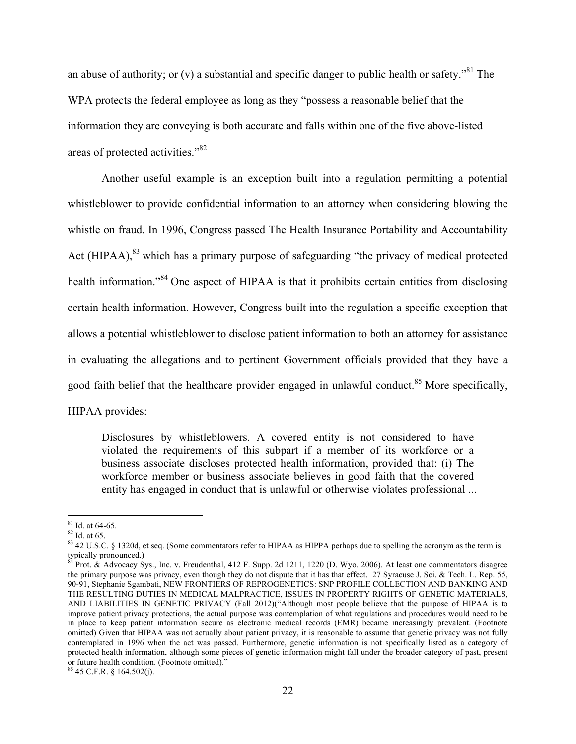an abuse of authority; or (v) a substantial and specific danger to public health or safety.<sup> $81$ </sup> The WPA protects the federal employee as long as they "possess a reasonable belief that the information they are conveying is both accurate and falls within one of the five above-listed areas of protected activities."82

Another useful example is an exception built into a regulation permitting a potential whistleblower to provide confidential information to an attorney when considering blowing the whistle on fraud. In 1996, Congress passed The Health Insurance Portability and Accountability Act (HIPAA), $^{83}$  which has a primary purpose of safeguarding "the privacy of medical protected health information."<sup>84</sup> One aspect of HIPAA is that it prohibits certain entities from disclosing certain health information. However, Congress built into the regulation a specific exception that allows a potential whistleblower to disclose patient information to both an attorney for assistance in evaluating the allegations and to pertinent Government officials provided that they have a good faith belief that the healthcare provider engaged in unlawful conduct.<sup>85</sup> More specifically, HIPAA provides:

Disclosures by whistleblowers. A covered entity is not considered to have violated the requirements of this subpart if a member of its workforce or a business associate discloses protected health information, provided that: (i) The workforce member or business associate believes in good faith that the covered entity has engaged in conduct that is unlawful or otherwise violates professional ...

<sup>&</sup>lt;sup>81</sup> Id. at 64-65.<br><sup>82</sup> Id. at 65.<br><sup>83</sup> 42 U.S.C. § 1320d, et seq. (Some commentators refer to HIPAA as HIPPA perhaps due to spelling the acronym as the term is typically pronounced.)

<sup>84</sup> Prot. & Advocacy Sys., Inc. v. Freudenthal, 412 F. Supp. 2d 1211, 1220 (D. Wyo. 2006). At least one commentators disagree the primary purpose was privacy, even though they do not dispute that it has that effect. 27 Syracuse J. Sci. & Tech. L. Rep. 55, 90-91, Stephanie Sgambati, NEW FRONTIERS OF REPROGENETICS: SNP PROFILE COLLECTION AND BANKING AND THE RESULTING DUTIES IN MEDICAL MALPRACTICE, ISSUES IN PROPERTY RIGHTS OF GENETIC MATERIALS, AND LIABILITIES IN GENETIC PRIVACY (Fall 2012)("Although most people believe that the purpose of HIPAA is to improve patient privacy protections, the actual purpose was contemplation of what regulations and procedures would need to be in place to keep patient information secure as electronic medical records (EMR) became increasingly prevalent. (Footnote omitted) Given that HIPAA was not actually about patient privacy, it is reasonable to assume that genetic privacy was not fully contemplated in 1996 when the act was passed. Furthermore, genetic information is not specifically listed as a category of protected health information, although some pieces of genetic information might fall under the broader category of past, present or future health condition. (Footnote omitted)."

 $85$  45 C.F.R. § 164.502(j).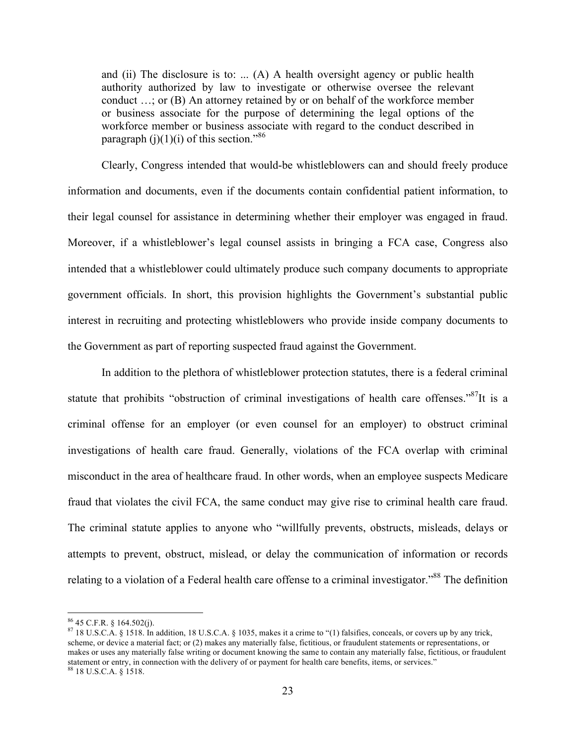and (ii) The disclosure is to: ... (A) A health oversight agency or public health authority authorized by law to investigate or otherwise oversee the relevant conduct …; or (B) An attorney retained by or on behalf of the workforce member or business associate for the purpose of determining the legal options of the workforce member or business associate with regard to the conduct described in paragraph  $(j)(1)(i)$  of this section."<sup>86</sup>

Clearly, Congress intended that would-be whistleblowers can and should freely produce information and documents, even if the documents contain confidential patient information, to their legal counsel for assistance in determining whether their employer was engaged in fraud. Moreover, if a whistleblower's legal counsel assists in bringing a FCA case, Congress also intended that a whistleblower could ultimately produce such company documents to appropriate government officials. In short, this provision highlights the Government's substantial public interest in recruiting and protecting whistleblowers who provide inside company documents to the Government as part of reporting suspected fraud against the Government.

In addition to the plethora of whistleblower protection statutes, there is a federal criminal statute that prohibits "obstruction of criminal investigations of health care offenses."<sup>87</sup>It is a criminal offense for an employer (or even counsel for an employer) to obstruct criminal investigations of health care fraud. Generally, violations of the FCA overlap with criminal misconduct in the area of healthcare fraud. In other words, when an employee suspects Medicare fraud that violates the civil FCA, the same conduct may give rise to criminal health care fraud. The criminal statute applies to anyone who "willfully prevents, obstructs, misleads, delays or attempts to prevent, obstruct, mislead, or delay the communication of information or records relating to a violation of a Federal health care offense to a criminal investigator."<sup>88</sup> The definition

<sup>&</sup>lt;sup>86</sup> 45 C.F.R. § 164.502(j).<br><sup>87</sup> 18 U.S.C.A. § 1518. In addition, 18 U.S.C.A. § 1035, makes it a crime to "(1) falsifies, conceals, or covers up by any trick, scheme, or device a material fact; or (2) makes any materially false, fictitious, or fraudulent statements or representations, or makes or uses any materially false writing or document knowing the same to contain any materially false, fictitious, or fraudulent statement or entry, in connection with the delivery of or payment for health care benefits, items, or services." <sup>88</sup> 18 U.S.C.A. § 1518.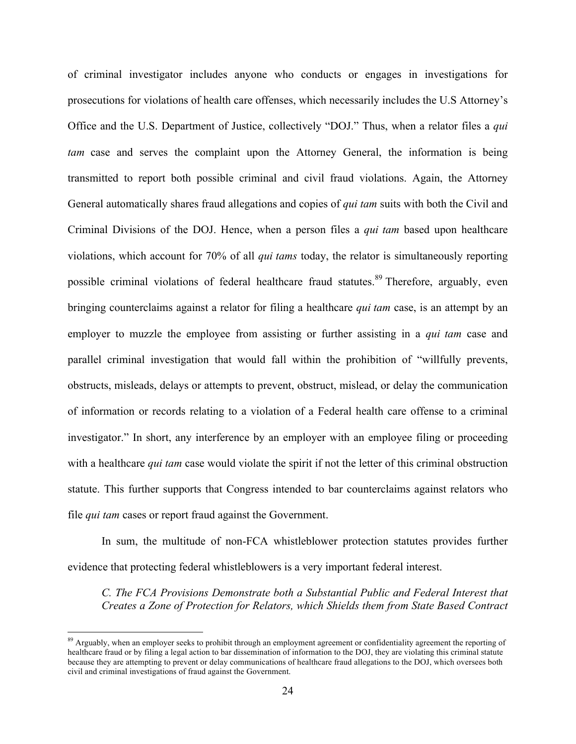of criminal investigator includes anyone who conducts or engages in investigations for prosecutions for violations of health care offenses, which necessarily includes the U.S Attorney's Office and the U.S. Department of Justice, collectively "DOJ." Thus, when a relator files a *qui tam* case and serves the complaint upon the Attorney General, the information is being transmitted to report both possible criminal and civil fraud violations. Again, the Attorney General automatically shares fraud allegations and copies of *qui tam* suits with both the Civil and Criminal Divisions of the DOJ. Hence, when a person files a *qui tam* based upon healthcare violations, which account for 70% of all *qui tams* today, the relator is simultaneously reporting possible criminal violations of federal healthcare fraud statutes.<sup>89</sup> Therefore, arguably, even bringing counterclaims against a relator for filing a healthcare *qui tam* case, is an attempt by an employer to muzzle the employee from assisting or further assisting in a *qui tam* case and parallel criminal investigation that would fall within the prohibition of "willfully prevents, obstructs, misleads, delays or attempts to prevent, obstruct, mislead, or delay the communication of information or records relating to a violation of a Federal health care offense to a criminal investigator." In short, any interference by an employer with an employee filing or proceeding with a healthcare *qui tam* case would violate the spirit if not the letter of this criminal obstruction statute. This further supports that Congress intended to bar counterclaims against relators who file *qui tam* cases or report fraud against the Government.

In sum, the multitude of non-FCA whistleblower protection statutes provides further evidence that protecting federal whistleblowers is a very important federal interest.

*C. The FCA Provisions Demonstrate both a Substantial Public and Federal Interest that Creates a Zone of Protection for Relators, which Shields them from State Based Contract* 

<sup>&</sup>lt;sup>89</sup> Arguably, when an employer seeks to prohibit through an employment agreement or confidentiality agreement the reporting of healthcare fraud or by filing a legal action to bar dissemination of information to the DOJ, they are violating this criminal statute because they are attempting to prevent or delay communications of healthcare fraud allegations to the DOJ, which oversees both civil and criminal investigations of fraud against the Government.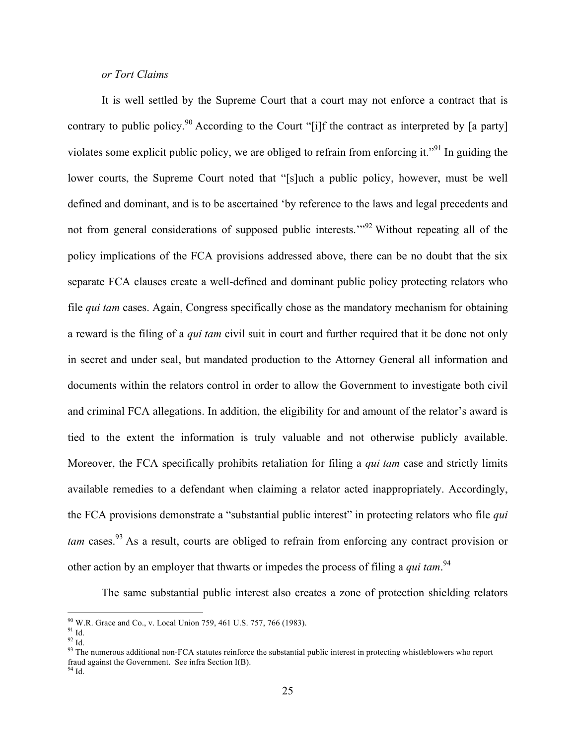#### *or Tort Claims*

It is well settled by the Supreme Court that a court may not enforce a contract that is contrary to public policy.<sup>90</sup> According to the Court "[i]f the contract as interpreted by [a party] violates some explicit public policy, we are obliged to refrain from enforcing it."<sup>91</sup> In guiding the lower courts, the Supreme Court noted that "[s]uch a public policy, however, must be well defined and dominant, and is to be ascertained 'by reference to the laws and legal precedents and not from general considerations of supposed public interests.<sup>"92</sup> Without repeating all of the policy implications of the FCA provisions addressed above, there can be no doubt that the six separate FCA clauses create a well-defined and dominant public policy protecting relators who file *qui tam* cases. Again, Congress specifically chose as the mandatory mechanism for obtaining a reward is the filing of a *qui tam* civil suit in court and further required that it be done not only in secret and under seal, but mandated production to the Attorney General all information and documents within the relators control in order to allow the Government to investigate both civil and criminal FCA allegations. In addition, the eligibility for and amount of the relator's award is tied to the extent the information is truly valuable and not otherwise publicly available. Moreover, the FCA specifically prohibits retaliation for filing a *qui tam* case and strictly limits available remedies to a defendant when claiming a relator acted inappropriately. Accordingly, the FCA provisions demonstrate a "substantial public interest" in protecting relators who file *qui tam* cases.<sup>93</sup> As a result, courts are obliged to refrain from enforcing any contract provision or other action by an employer that thwarts or impedes the process of filing a *qui tam*.<sup>94</sup>

The same substantial public interest also creates a zone of protection shielding relators

<sup>&</sup>lt;sup>90</sup> W.R. Grace and Co., v. Local Union 759, 461 U.S. 757, 766 (1983).<br><sup>91</sup> Id.<br><sup>92</sup> Id. 92 Id.<br><sup>93</sup> The numerous additional non-FCA statutes reinforce the substantial public interest in protecting whistleblowers who repo fraud against the Government. See infra Section I(B). <sup>94</sup> Id.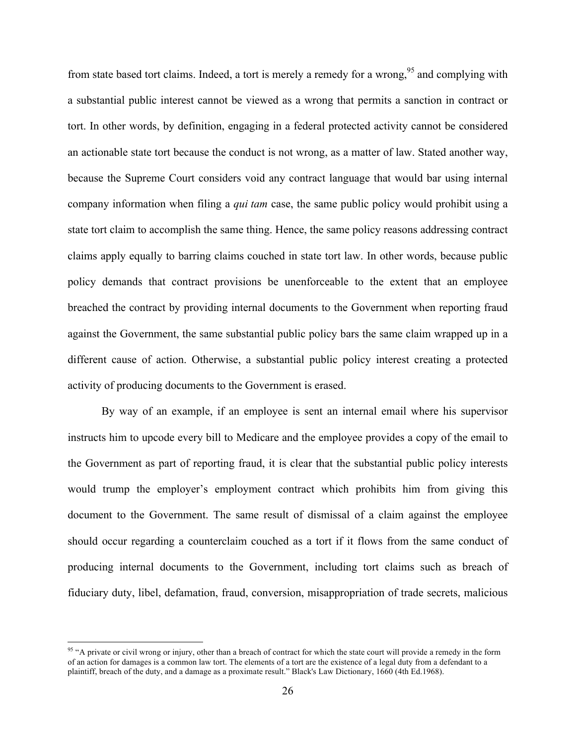from state based tort claims. Indeed, a tort is merely a remedy for a wrong,<sup>95</sup> and complying with a substantial public interest cannot be viewed as a wrong that permits a sanction in contract or tort. In other words, by definition, engaging in a federal protected activity cannot be considered an actionable state tort because the conduct is not wrong, as a matter of law. Stated another way, because the Supreme Court considers void any contract language that would bar using internal company information when filing a *qui tam* case, the same public policy would prohibit using a state tort claim to accomplish the same thing. Hence, the same policy reasons addressing contract claims apply equally to barring claims couched in state tort law. In other words, because public policy demands that contract provisions be unenforceable to the extent that an employee breached the contract by providing internal documents to the Government when reporting fraud against the Government, the same substantial public policy bars the same claim wrapped up in a different cause of action. Otherwise, a substantial public policy interest creating a protected activity of producing documents to the Government is erased.

By way of an example, if an employee is sent an internal email where his supervisor instructs him to upcode every bill to Medicare and the employee provides a copy of the email to the Government as part of reporting fraud, it is clear that the substantial public policy interests would trump the employer's employment contract which prohibits him from giving this document to the Government. The same result of dismissal of a claim against the employee should occur regarding a counterclaim couched as a tort if it flows from the same conduct of producing internal documents to the Government, including tort claims such as breach of fiduciary duty, libel, defamation, fraud, conversion, misappropriation of trade secrets, malicious

<sup>&</sup>lt;sup>95</sup> "A private or civil wrong or injury, other than a breach of contract for which the state court will provide a remedy in the form of an action for damages is a common law tort. The elements of a tort are the existence of a legal duty from a defendant to a plaintiff, breach of the duty, and a damage as a proximate result." Black's Law Dictionary, 1660 (4th Ed.1968).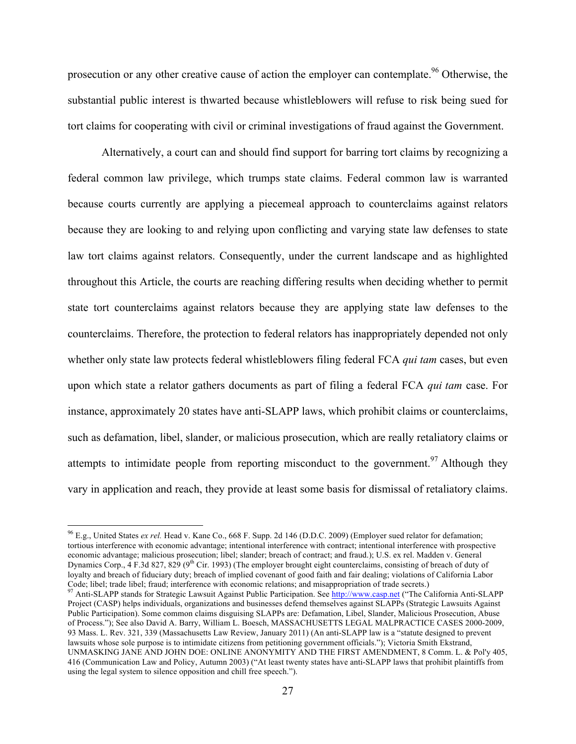prosecution or any other creative cause of action the employer can contemplate.<sup>96</sup> Otherwise, the substantial public interest is thwarted because whistleblowers will refuse to risk being sued for tort claims for cooperating with civil or criminal investigations of fraud against the Government.

Alternatively, a court can and should find support for barring tort claims by recognizing a federal common law privilege, which trumps state claims. Federal common law is warranted because courts currently are applying a piecemeal approach to counterclaims against relators because they are looking to and relying upon conflicting and varying state law defenses to state law tort claims against relators. Consequently, under the current landscape and as highlighted throughout this Article, the courts are reaching differing results when deciding whether to permit state tort counterclaims against relators because they are applying state law defenses to the counterclaims. Therefore, the protection to federal relators has inappropriately depended not only whether only state law protects federal whistleblowers filing federal FCA *qui tam* cases, but even upon which state a relator gathers documents as part of filing a federal FCA *qui tam* case. For instance, approximately 20 states have anti-SLAPP laws, which prohibit claims or counterclaims, such as defamation, libel, slander, or malicious prosecution, which are really retaliatory claims or attempts to intimidate people from reporting misconduct to the government.<sup>97</sup> Although they vary in application and reach, they provide at least some basis for dismissal of retaliatory claims.

 <sup>96</sup> E.g., United States *ex rel.* Head v. Kane Co., 668 F. Supp. 2d 146 (D.D.C. 2009) (Employer sued relator for defamation; tortious interference with economic advantage; intentional interference with contract; intentional interference with prospective economic advantage; malicious prosecution; libel; slander; breach of contract; and fraud.); U.S. ex rel. Madden v. General Dynamics Corp.,  $4$  F.3d 827, 829 (9<sup>th</sup> Cir. 1993) (The employer brought eight counterclaims, consisting of breach of duty of loyalty and breach of fiduciary duty; breach of implied covenant of good faith and fair dealing; violations of California Labor Code; libel; trade libel; fraud; interference with economic relations; and misappropriation of trade secrets.)

<sup>&</sup>lt;sup>97</sup> Anti-SLAPP stands for Strategic Lawsuit Against Public Participation. See http://www.casp.net ("The California Anti-SLAPP Project (CASP) helps individuals, organizations and businesses defend themselves against SLAPPs (Strategic Lawsuits Against Public Participation). Some common claims disguising SLAPPs are: Defamation, Libel, Slander, Malicious Prosecution, Abuse of Process."); See also David A. Barry, William L. Boesch, MASSACHUSETTS LEGAL MALPRACTICE CASES 2000-2009, 93 Mass. L. Rev. 321, 339 (Massachusetts Law Review, January 2011) (An anti-SLAPP law is a "statute designed to prevent lawsuits whose sole purpose is to intimidate citizens from petitioning government officials."); Victoria Smith Ekstrand, UNMASKING JANE AND JOHN DOE: ONLINE ANONYMITY AND THE FIRST AMENDMENT, 8 Comm. L. & Pol'y 405, 416 (Communication Law and Policy, Autumn 2003) ("At least twenty states have anti-SLAPP laws that prohibit plaintiffs from using the legal system to silence opposition and chill free speech.").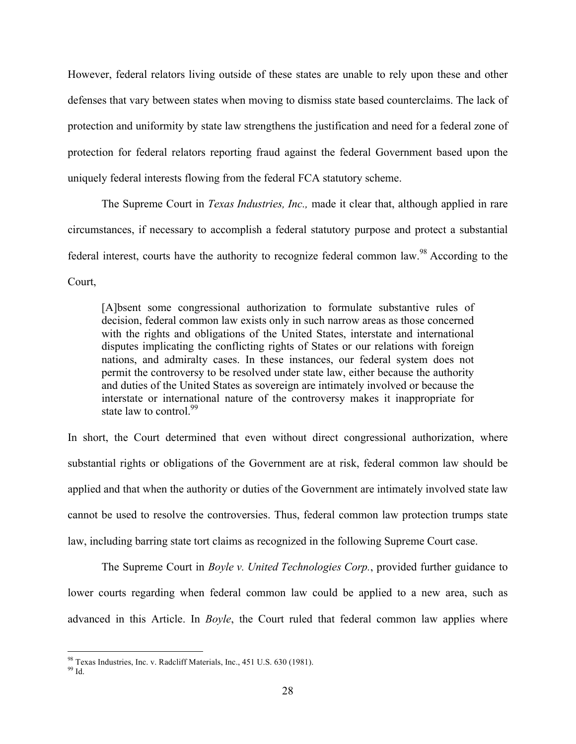However, federal relators living outside of these states are unable to rely upon these and other defenses that vary between states when moving to dismiss state based counterclaims. The lack of protection and uniformity by state law strengthens the justification and need for a federal zone of protection for federal relators reporting fraud against the federal Government based upon the uniquely federal interests flowing from the federal FCA statutory scheme.

The Supreme Court in *Texas Industries, Inc.,* made it clear that, although applied in rare circumstances, if necessary to accomplish a federal statutory purpose and protect a substantial federal interest, courts have the authority to recognize federal common law.<sup>98</sup> According to the Court,

[A]bsent some congressional authorization to formulate substantive rules of decision, federal common law exists only in such narrow areas as those concerned with the rights and obligations of the United States, interstate and international disputes implicating the conflicting rights of States or our relations with foreign nations, and admiralty cases. In these instances, our federal system does not permit the controversy to be resolved under state law, either because the authority and duties of the United States as sovereign are intimately involved or because the interstate or international nature of the controversy makes it inappropriate for state law to control.<sup>99</sup>

In short, the Court determined that even without direct congressional authorization, where substantial rights or obligations of the Government are at risk, federal common law should be applied and that when the authority or duties of the Government are intimately involved state law cannot be used to resolve the controversies. Thus, federal common law protection trumps state law, including barring state tort claims as recognized in the following Supreme Court case.

The Supreme Court in *Boyle v. United Technologies Corp.*, provided further guidance to lower courts regarding when federal common law could be applied to a new area, such as advanced in this Article. In *Boyle*, the Court ruled that federal common law applies where

<sup>&</sup>lt;sup>98</sup> Texas Industries, Inc. v. Radcliff Materials, Inc., 451 U.S. 630 (1981). <sup>99</sup> <sub>Id</sub>.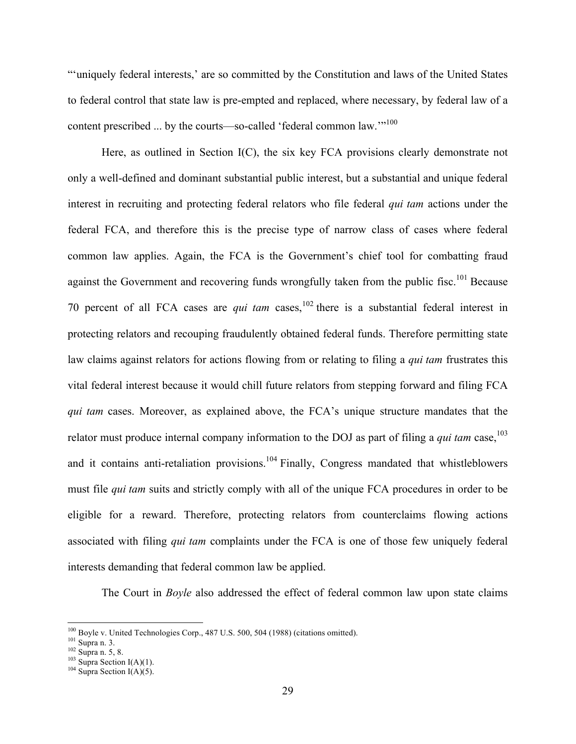"'uniquely federal interests,' are so committed by the Constitution and laws of the United States to federal control that state law is pre-empted and replaced, where necessary, by federal law of a content prescribed ... by the courts—so-called 'federal common law.'"<sup>100</sup>

Here, as outlined in Section I(C), the six key FCA provisions clearly demonstrate not only a well-defined and dominant substantial public interest, but a substantial and unique federal interest in recruiting and protecting federal relators who file federal *qui tam* actions under the federal FCA, and therefore this is the precise type of narrow class of cases where federal common law applies. Again, the FCA is the Government's chief tool for combatting fraud against the Government and recovering funds wrongfully taken from the public fisc.<sup>101</sup> Because 70 percent of all FCA cases are *qui tam* cases,<sup>102</sup> there is a substantial federal interest in protecting relators and recouping fraudulently obtained federal funds. Therefore permitting state law claims against relators for actions flowing from or relating to filing a *qui tam* frustrates this vital federal interest because it would chill future relators from stepping forward and filing FCA *qui tam* cases. Moreover, as explained above, the FCA's unique structure mandates that the relator must produce internal company information to the DOJ as part of filing a *qui tam* case,<sup>103</sup> and it contains anti-retaliation provisions.<sup>104</sup> Finally, Congress mandated that whistleblowers must file *qui tam* suits and strictly comply with all of the unique FCA procedures in order to be eligible for a reward. Therefore, protecting relators from counterclaims flowing actions associated with filing *qui tam* complaints under the FCA is one of those few uniquely federal interests demanding that federal common law be applied.

The Court in *Boyle* also addressed the effect of federal common law upon state claims

<sup>&</sup>lt;sup>100</sup> Boyle v. United Technologies Corp., 487 U.S. 500, 504 (1988) (citations omitted). <sup>101</sup> Supra n. 5, 8. <sup>102</sup> Supra Section I(A)(1). <sup>104</sup> Supra Section I(A)(5).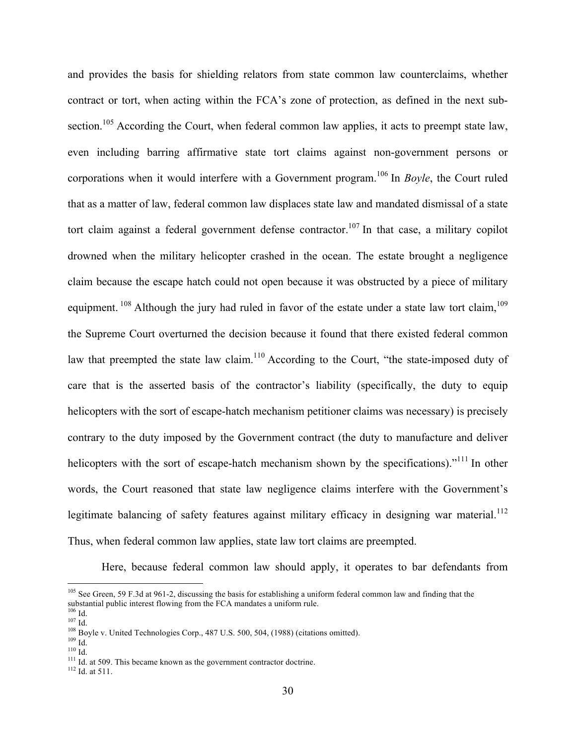and provides the basis for shielding relators from state common law counterclaims, whether contract or tort, when acting within the FCA's zone of protection, as defined in the next subsection.<sup>105</sup> According the Court, when federal common law applies, it acts to preempt state law, even including barring affirmative state tort claims against non-government persons or corporations when it would interfere with a Government program.<sup>106</sup> In *Boyle*, the Court ruled that as a matter of law, federal common law displaces state law and mandated dismissal of a state tort claim against a federal government defense contractor.<sup>107</sup> In that case, a military copilot drowned when the military helicopter crashed in the ocean. The estate brought a negligence claim because the escape hatch could not open because it was obstructed by a piece of military equipment. <sup>108</sup> Although the jury had ruled in favor of the estate under a state law tort claim, <sup>109</sup> the Supreme Court overturned the decision because it found that there existed federal common law that preempted the state law claim.<sup>110</sup> According to the Court, "the state-imposed duty of care that is the asserted basis of the contractor's liability (specifically, the duty to equip helicopters with the sort of escape-hatch mechanism petitioner claims was necessary) is precisely contrary to the duty imposed by the Government contract (the duty to manufacture and deliver helicopters with the sort of escape-hatch mechanism shown by the specifications)."<sup>111</sup> In other words, the Court reasoned that state law negligence claims interfere with the Government's legitimate balancing of safety features against military efficacy in designing war material.<sup>112</sup> Thus, when federal common law applies, state law tort claims are preempted.

Here, because federal common law should apply, it operates to bar defendants from

 $105$  See Green, 59 F.3d at 961-2, discussing the basis for establishing a uniform federal common law and finding that the substantial public interest flowing from the FCA mandates a uniform rule.<br><sup>106</sup> Id.

<sup>10.&</sup>lt;br>
<sup>106</sup> Id.<br>
<sup>108</sup> Boyle v. United Technologies Corp., 487 U.S. 500, 504, (1988) (citations omitted).<br>
<sup>109</sup> Id.<br>
<sup>110</sup> Id.<br>
<sup>111</sup> Id. at 509. This became known as the government contractor doctrine.<br><sup>112</sup> Id. at 511.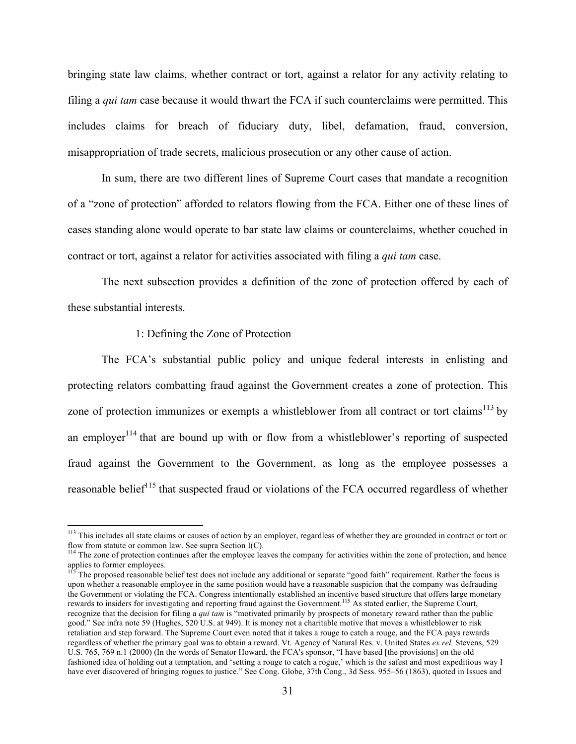bringing state law claims, whether contract or tort, against a relator for any activity relating to filing a *qui tam* case because it would thwart the FCA if such counterclaims were permitted. This includes claims for breach of fiduciary duty, libel, defamation, fraud, conversion, misappropriation of trade secrets, malicious prosecution or any other cause of action.

In sum, there are two different lines of Supreme Court cases that mandate a recognition of a "zone of protection" afforded to relators flowing from the FCA. Either one of these lines of cases standing alone would operate to bar state law claims or counterclaims, whether couched in contract or tort, against a relator for activities associated with filing a *qui tam* case.

The next subsection provides a definition of the zone of protection offered by each of these substantial interests.

#### 1: Defining the Zone of Protection

The FCA's substantial public policy and unique federal interests in enlisting and protecting relators combatting fraud against the Government creates a zone of protection. This zone of protection immunizes or exempts a whistleblower from all contract or tort claims<sup>113</sup> by an employer<sup>114</sup> that are bound up with or flow from a whistleblower's reporting of suspected fraud against the Government to the Government, as long as the employee possesses a reasonable belief<sup>115</sup> that suspected fraud or violations of the FCA occurred regardless of whether

<sup>115</sup> The proposed reasonable belief test does not include any additional or separate "good faith" requirement. Rather the focus is upon whether a reasonable employee in the same position would have a reasonable suspicion that the company was defrauding the Government or violating the FCA. Congress intentionally established an incentive based structure that offers large monetary rewards to insiders for investigating and reporting fraud against the Government.<sup>115</sup> As stated earlier, the Supreme Court, recognize that the decision for filing a *qui tam* is "motivated primarily by prospects of monetary reward rather than the public good." See infra note 59 (Hughes, 520 U.S. at 949). It is money not a charitable motive that moves a whistleblower to risk retaliation and step forward. The Supreme Court even noted that it takes a rouge to catch a rouge, and the FCA pays rewards regardless of whether the primary goal was to obtain a reward. Vt. Agency of Natural Res. v. United States *ex rel.* Stevens, 529 U.S. 765, 769 n.1 (2000) (In the words of Senator Howard, the FCA's sponsor, "I have based [the provisions] on the old fashioned idea of holding out a temptation, and 'setting a rouge to catch a rogue,' which is the safest and most expeditious way I have ever discovered of bringing rogues to justice." See Cong. Globe, 37th Cong., 3d Sess. 955–56 (1863), quoted in Issues and

 $113$  This includes all state claims or causes of action by an employer, regardless of whether they are grounded in contract or tort or flow from statute or common law. See supra Section  $I(C)$ .

 $114$  The zone of protection continues after the employee leaves the company for activities within the zone of protection, and hence applies to former employees.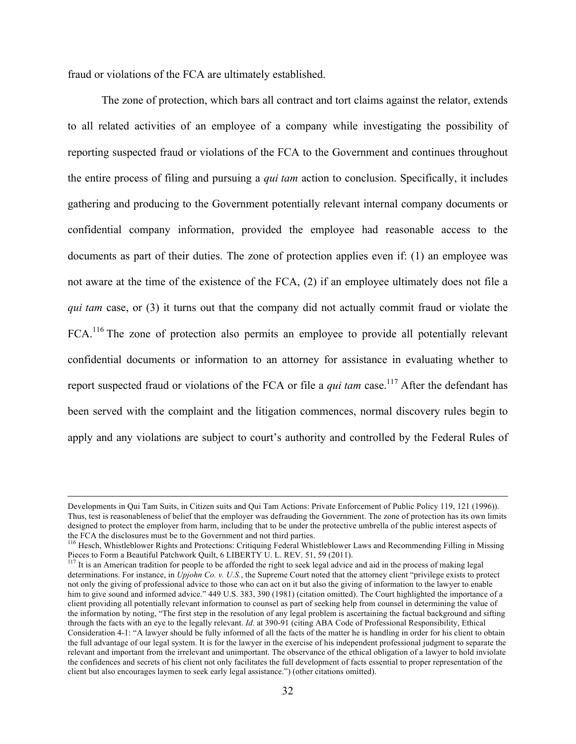fraud or violations of the FCA are ultimately established.

The zone of protection, which bars all contract and tort claims against the relator, extends to all related activities of an employee of a company while investigating the possibility of reporting suspected fraud or violations of the FCA to the Government and continues throughout the entire process of filing and pursuing a *qui tam* action to conclusion. Specifically, it includes gathering and producing to the Government potentially relevant internal company documents or confidential company information, provided the employee had reasonable access to the documents as part of their duties. The zone of protection applies even if: (1) an employee was not aware at the time of the existence of the FCA, (2) if an employee ultimately does not file a *qui tam* case, or (3) it turns out that the company did not actually commit fraud or violate the FCA.<sup>116</sup> The zone of protection also permits an employee to provide all potentially relevant confidential documents or information to an attorney for assistance in evaluating whether to report suspected fraud or violations of the FCA or file a *qui tam* case.<sup>117</sup> After the defendant has been served with the complaint and the litigation commences, normal discovery rules begin to apply and any violations are subject to court's authority and controlled by the Federal Rules of

Developments in Qui Tam Suits, in Citizen suits and Qui Tam Actions: Private Enforcement of Public Policy 119, 121 (1996)). Thus, test is reasonableness of belief that the employer was defrauding the Government. The zone of protection has its own limits designed to protect the employer from harm, including that to be under the protective umbrella of the public interest aspects of the FCA the disclosures must be to the Government and not third parties.

<sup>&</sup>lt;sup>116</sup> Hesch, Whistleblower Rights and Protections: Critiquing Federal Whistleblower Laws and Recommending Filling in Missing Pieces to Form a Beautiful Patchwork Quilt, 6 LIBERTY U. L. REV. 51, 59 (2011).

 $117$  It is an American tradition for people to be afforded the right to seek legal advice and aid in the process of making legal determinations. For instance, in *Upjohn Co. v. U.S.*, the Supreme Court noted that the attorney client "privilege exists to protect not only the giving of professional advice to those who can act on it but also the giving of information to the lawyer to enable him to give sound and informed advice." 449 U.S. 383, 390 (1981) (citation omitted). The Court highlighted the importance of a client providing all potentially relevant information to counsel as part of seeking help from counsel in determining the value of the information by noting, "The first step in the resolution of any legal problem is ascertaining the factual background and sifting through the facts with an eye to the legally relevant. *Id.* at 390-91 (citing ABA Code of Professional Responsibility, Ethical Consideration 4-1: "A lawyer should be fully informed of all the facts of the matter he is handling in order for his client to obtain the full advantage of our legal system. It is for the lawyer in the exercise of his independent professional judgment to separate the relevant and important from the irrelevant and unimportant. The observance of the ethical obligation of a lawyer to hold inviolate the confidences and secrets of his client not only facilitates the full development of facts essential to proper representation of the client but also encourages laymen to seek early legal assistance.") (other citations omitted).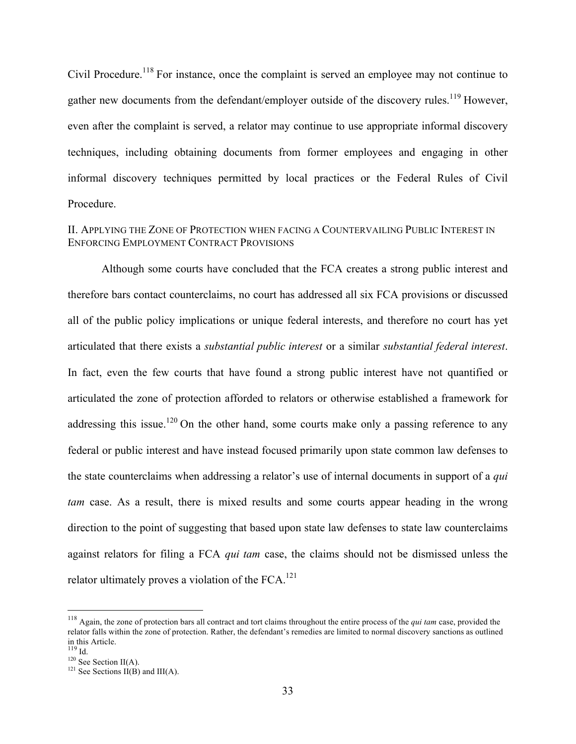Civil Procedure.<sup>118</sup> For instance, once the complaint is served an employee may not continue to gather new documents from the defendant/employer outside of the discovery rules.<sup>119</sup> However, even after the complaint is served, a relator may continue to use appropriate informal discovery techniques, including obtaining documents from former employees and engaging in other informal discovery techniques permitted by local practices or the Federal Rules of Civil Procedure.

#### II. APPLYING THE ZONE OF PROTECTION WHEN FACING A COUNTERVAILING PUBLIC INTEREST IN ENFORCING EMPLOYMENT CONTRACT PROVISIONS

Although some courts have concluded that the FCA creates a strong public interest and therefore bars contact counterclaims, no court has addressed all six FCA provisions or discussed all of the public policy implications or unique federal interests, and therefore no court has yet articulated that there exists a *substantial public interest* or a similar *substantial federal interest*. In fact, even the few courts that have found a strong public interest have not quantified or articulated the zone of protection afforded to relators or otherwise established a framework for addressing this issue.<sup>120</sup> On the other hand, some courts make only a passing reference to any federal or public interest and have instead focused primarily upon state common law defenses to the state counterclaims when addressing a relator's use of internal documents in support of a *qui tam* case. As a result, there is mixed results and some courts appear heading in the wrong direction to the point of suggesting that based upon state law defenses to state law counterclaims against relators for filing a FCA *qui tam* case, the claims should not be dismissed unless the relator ultimately proves a violation of the  $FCA$ .<sup>121</sup>

 <sup>118</sup> Again, the zone of protection bars all contract and tort claims throughout the entire process of the *qui tam* case, provided the relator falls within the zone of protection. Rather, the defendant's remedies are limited to normal discovery sanctions as outlined in this Article.<br>
<sup>119</sup> Id.<br>
<sup>120</sup> See Section II(A).<br>
<sup>121</sup> See Sections II(B) and III(A).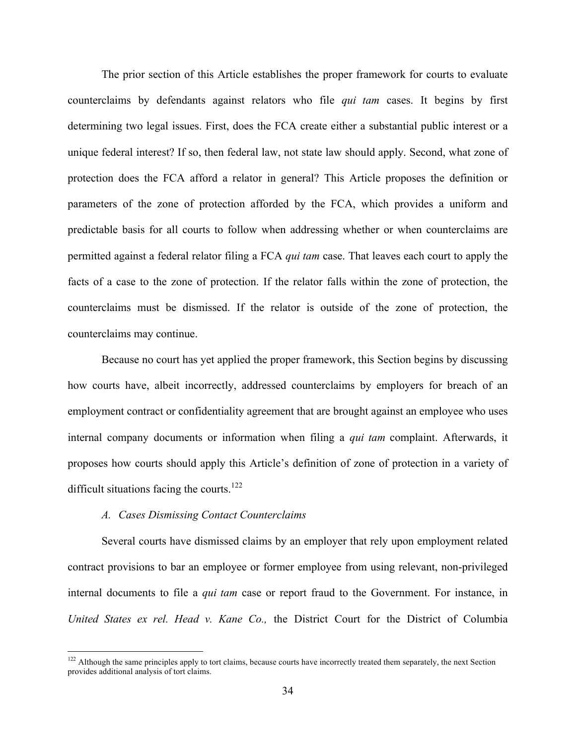The prior section of this Article establishes the proper framework for courts to evaluate counterclaims by defendants against relators who file *qui tam* cases. It begins by first determining two legal issues. First, does the FCA create either a substantial public interest or a unique federal interest? If so, then federal law, not state law should apply. Second, what zone of protection does the FCA afford a relator in general? This Article proposes the definition or parameters of the zone of protection afforded by the FCA, which provides a uniform and predictable basis for all courts to follow when addressing whether or when counterclaims are permitted against a federal relator filing a FCA *qui tam* case. That leaves each court to apply the facts of a case to the zone of protection. If the relator falls within the zone of protection, the counterclaims must be dismissed. If the relator is outside of the zone of protection, the counterclaims may continue.

Because no court has yet applied the proper framework, this Section begins by discussing how courts have, albeit incorrectly, addressed counterclaims by employers for breach of an employment contract or confidentiality agreement that are brought against an employee who uses internal company documents or information when filing a *qui tam* complaint. Afterwards, it proposes how courts should apply this Article's definition of zone of protection in a variety of difficult situations facing the courts.<sup>122</sup>

#### *A. Cases Dismissing Contact Counterclaims*

Several courts have dismissed claims by an employer that rely upon employment related contract provisions to bar an employee or former employee from using relevant, non-privileged internal documents to file a *qui tam* case or report fraud to the Government. For instance, in *United States ex rel. Head v. Kane Co.,* the District Court for the District of Columbia

<sup>&</sup>lt;sup>122</sup> Although the same principles apply to tort claims, because courts have incorrectly treated them separately, the next Section provides additional analysis of tort claims.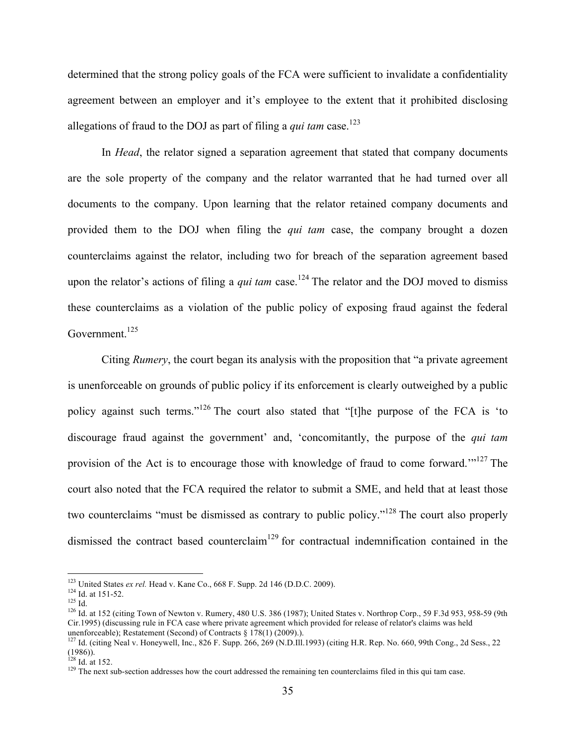determined that the strong policy goals of the FCA were sufficient to invalidate a confidentiality agreement between an employer and it's employee to the extent that it prohibited disclosing allegations of fraud to the DOJ as part of filing a *qui tam* case. 123

In *Head*, the relator signed a separation agreement that stated that company documents are the sole property of the company and the relator warranted that he had turned over all documents to the company. Upon learning that the relator retained company documents and provided them to the DOJ when filing the *qui tam* case, the company brought a dozen counterclaims against the relator, including two for breach of the separation agreement based upon the relator's actions of filing a *qui tam* case.<sup>124</sup> The relator and the DOJ moved to dismiss these counterclaims as a violation of the public policy of exposing fraud against the federal Government.<sup>125</sup>

Citing *Rumery*, the court began its analysis with the proposition that "a private agreement is unenforceable on grounds of public policy if its enforcement is clearly outweighed by a public policy against such terms."<sup>126</sup> The court also stated that "[t]he purpose of the FCA is 'to discourage fraud against the government' and, 'concomitantly, the purpose of the *qui tam* provision of the Act is to encourage those with knowledge of fraud to come forward."<sup>127</sup> The court also noted that the FCA required the relator to submit a SME, and held that at least those two counterclaims "must be dismissed as contrary to public policy."<sup>128</sup> The court also properly dismissed the contract based counterclaim<sup>129</sup> for contractual indemnification contained in the

<sup>&</sup>lt;sup>123</sup> United States *ex rel.* Head v. Kane Co., 668 F. Supp. 2d 146 (D.D.C. 2009).<br><sup>124</sup> Id. at 151-52.<br><sup>125</sup> Id. at 152 (citing Town of Newton v. Rumery, 480 U.S. 386 (1987); United States v. Northrop Corp., 59 F.3d 953, Cir.1995) (discussing rule in FCA case where private agreement which provided for release of relator's claims was held unenforceable); Restatement (Second) of Contracts § 178(1) (2009).).

<sup>&</sup>lt;sup>127</sup> Id. (citing Neal v. Honeywell, Inc., 826 F. Supp. 266, 269 (N.D.Ill.1993) (citing H.R. Rep. No. 660, 99th Cong., 2d Sess., 22  $(1986)$ ).<br><sup>128</sup> Id. at 152.

<sup>&</sup>lt;sup>129</sup> The next sub-section addresses how the court addressed the remaining ten counterclaims filed in this qui tam case.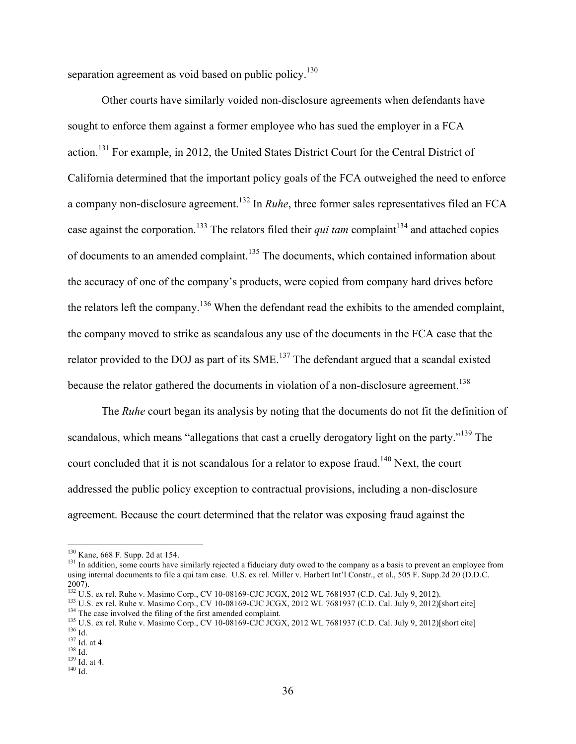separation agreement as void based on public policy.<sup>130</sup>

Other courts have similarly voided non-disclosure agreements when defendants have sought to enforce them against a former employee who has sued the employer in a FCA action.<sup>131</sup> For example, in 2012, the United States District Court for the Central District of California determined that the important policy goals of the FCA outweighed the need to enforce a company non-disclosure agreement.132 In *Ruhe*, three former sales representatives filed an FCA case against the corporation.<sup>133</sup> The relators filed their *qui tam* complaint<sup>134</sup> and attached copies of documents to an amended complaint.<sup>135</sup> The documents, which contained information about the accuracy of one of the company's products, were copied from company hard drives before the relators left the company.<sup>136</sup> When the defendant read the exhibits to the amended complaint, the company moved to strike as scandalous any use of the documents in the FCA case that the relator provided to the DOJ as part of its SME.<sup>137</sup> The defendant argued that a scandal existed because the relator gathered the documents in violation of a non-disclosure agreement.<sup>138</sup>

The *Ruhe* court began its analysis by noting that the documents do not fit the definition of scandalous, which means "allegations that cast a cruelly derogatory light on the party."<sup>139</sup> The court concluded that it is not scandalous for a relator to expose fraud.<sup>140</sup> Next, the court addressed the public policy exception to contractual provisions, including a non-disclosure agreement. Because the court determined that the relator was exposing fraud against the

<sup>&</sup>lt;sup>130</sup> Kane, 668 F. Supp. 2d at 154.<br><sup>131</sup> In addition, some courts have similarly rejected a fiduciary duty owed to the company as a basis to prevent an employee from using internal documents to file a qui tam case. U.S. ex rel. Miller v. Harbert Int'l Constr., et al., 505 F. Supp.2d 20 (D.D.C. 2007).<br><sup>132</sup> U.S. ex rel. Ruhe v. Masimo Corp., CV 10-08169-CJC JCGX, 2012 WL 7681937 (C.D. Cal. July 9, 2012).

<sup>&</sup>lt;sup>133</sup> U.S. ex rel. Ruhe v. Masimo Corp., CV 10-08169-CJC JCGX, 2012 WL 7681937 (C.D. Cal. July 9, 2012)[short cite]<br><sup>134</sup> The case involved the filing of the first amended complaint.<br><sup>135</sup> U.S. ex rel. Ruhe v. Masimo Corp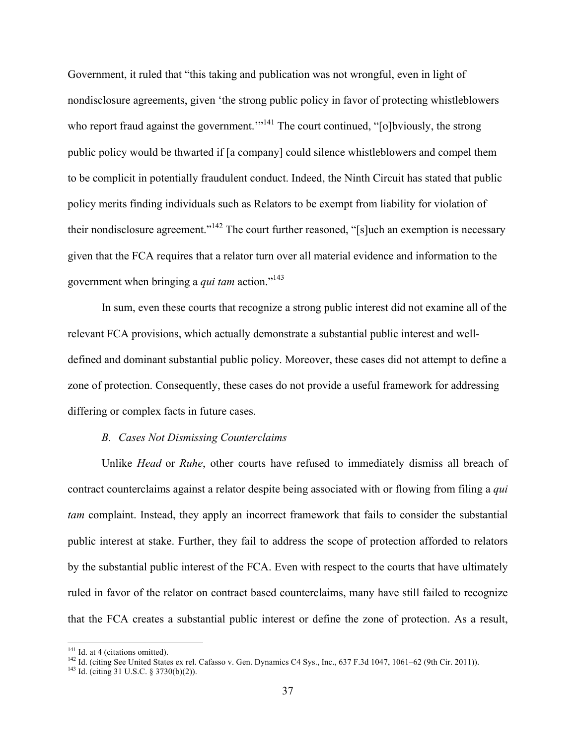Government, it ruled that "this taking and publication was not wrongful, even in light of nondisclosure agreements, given 'the strong public policy in favor of protecting whistleblowers who report fraud against the government.<sup> $m141$ </sup> The court continued, "[o]bviously, the strong public policy would be thwarted if [a company] could silence whistleblowers and compel them to be complicit in potentially fraudulent conduct. Indeed, the Ninth Circuit has stated that public policy merits finding individuals such as Relators to be exempt from liability for violation of their nondisclosure agreement."<sup>142</sup> The court further reasoned, "[s]uch an exemption is necessary given that the FCA requires that a relator turn over all material evidence and information to the government when bringing a *qui tam* action." 143

In sum, even these courts that recognize a strong public interest did not examine all of the relevant FCA provisions, which actually demonstrate a substantial public interest and welldefined and dominant substantial public policy. Moreover, these cases did not attempt to define a zone of protection. Consequently, these cases do not provide a useful framework for addressing differing or complex facts in future cases.

#### *B. Cases Not Dismissing Counterclaims*

Unlike *Head* or *Ruhe*, other courts have refused to immediately dismiss all breach of contract counterclaims against a relator despite being associated with or flowing from filing a *qui tam* complaint. Instead, they apply an incorrect framework that fails to consider the substantial public interest at stake. Further, they fail to address the scope of protection afforded to relators by the substantial public interest of the FCA. Even with respect to the courts that have ultimately ruled in favor of the relator on contract based counterclaims, many have still failed to recognize that the FCA creates a substantial public interest or define the zone of protection. As a result,

<sup>&</sup>lt;sup>141</sup> Id. at 4 (citations omitted). <sup>142</sup> Id. (citing See United States ex rel. Cafasso v. Gen. Dynamics C4 Sys., Inc., 637 F.3d 1047, 1061–62 (9th Cir. 2011)). <sup>143</sup> Id. (citing 31 U.S.C. § 3730(b)(2)).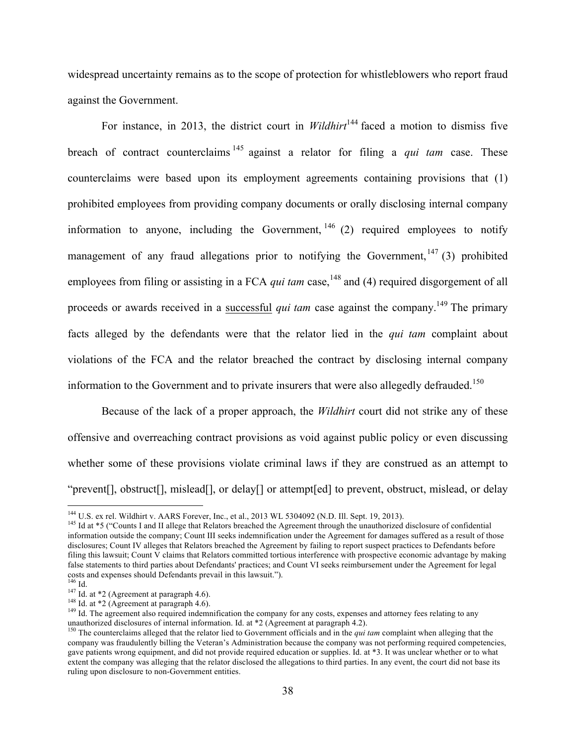widespread uncertainty remains as to the scope of protection for whistleblowers who report fraud against the Government.

For instance, in 2013, the district court in *Wildhirt*<sup>144</sup> faced a motion to dismiss five breach of contract counterclaims <sup>145</sup> against a relator for filing a *qui tam* case. These counterclaims were based upon its employment agreements containing provisions that (1) prohibited employees from providing company documents or orally disclosing internal company information to anyone, including the Government,  $146$  (2) required employees to notify management of any fraud allegations prior to notifying the Government,  $147$  (3) prohibited employees from filing or assisting in a FCA *qui tam* case,<sup>148</sup> and (4) required disgorgement of all proceeds or awards received in a successful *qui tam* case against the company.<sup>149</sup> The primary facts alleged by the defendants were that the relator lied in the *qui tam* complaint about violations of the FCA and the relator breached the contract by disclosing internal company information to the Government and to private insurers that were also allegedly defrauded.<sup>150</sup>

Because of the lack of a proper approach, the *Wildhirt* court did not strike any of these offensive and overreaching contract provisions as void against public policy or even discussing whether some of these provisions violate criminal laws if they are construed as an attempt to "prevent[], obstruct[], mislead[], or delay[] or attempt[ed] to prevent, obstruct, mislead, or delay

<sup>&</sup>lt;sup>144</sup> U.S. ex rel. Wildhirt v. AARS Forever, Inc., et al., 2013 WL 5304092 (N.D. Ill. Sept. 19, 2013).<br><sup>145</sup> Id at \*5 ("Counts I and II allege that Relators breached the Agreement through the unauthorized disclosure of co

information outside the company; Count III seeks indemnification under the Agreement for damages suffered as a result of those disclosures; Count IV alleges that Relators breached the Agreement by failing to report suspect practices to Defendants before filing this lawsuit; Count V claims that Relators committed tortious interference with prospective economic advantage by making false statements to third parties about Defendants' practices; and Count VI seeks reimbursement under the Agreement for legal costs and expenses should Defendants prevail in this lawsuit.").<br><sup>146</sup> Id.

<sup>&</sup>lt;sup>147</sup> Id. at \*2 (Agreement at paragraph 4.6).<br><sup>148</sup> Id. at \*2 (Agreement at paragraph 4.6).<br><sup>148</sup> Id. The agreement also required indemnification the company for any costs, expenses and attorney fees relating to any unauthorized disclosures of internal information. Id. at \*2 (Agreement at paragraph 4.2).

<sup>&</sup>lt;sup>150</sup> The counterclaims alleged that the relator lied to Government officials and in the *qui tam* complaint when alleging that the company was fraudulently billing the Veteran's Administration because the company was not performing required competencies, gave patients wrong equipment, and did not provide required education or supplies. Id. at \*3. It was unclear whether or to what extent the company was alleging that the relator disclosed the allegations to third parties. In any event, the court did not base its ruling upon disclosure to non-Government entities.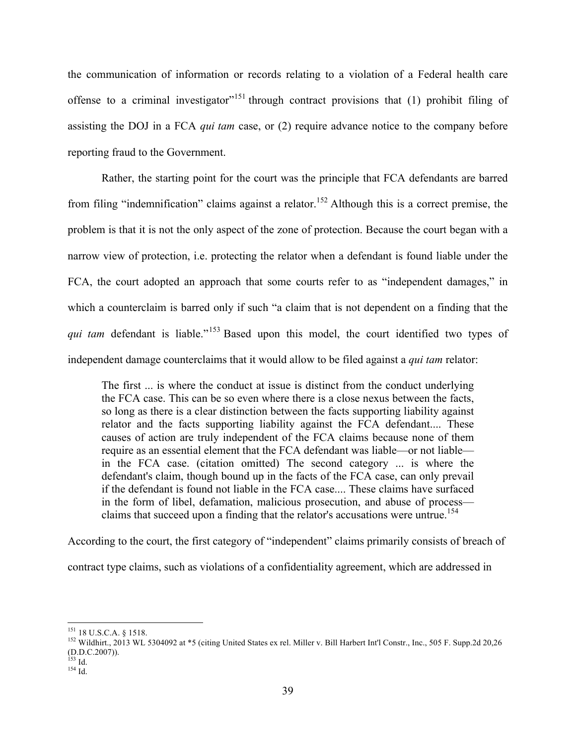the communication of information or records relating to a violation of a Federal health care offense to a criminal investigator<sup> $151$ </sup> through contract provisions that (1) prohibit filing of assisting the DOJ in a FCA *qui tam* case, or (2) require advance notice to the company before reporting fraud to the Government.

Rather, the starting point for the court was the principle that FCA defendants are barred from filing "indemnification" claims against a relator.<sup>152</sup> Although this is a correct premise, the problem is that it is not the only aspect of the zone of protection. Because the court began with a narrow view of protection, i.e. protecting the relator when a defendant is found liable under the FCA, the court adopted an approach that some courts refer to as "independent damages," in which a counterclaim is barred only if such "a claim that is not dependent on a finding that the *qui tam* defendant is liable."<sup>153</sup> Based upon this model, the court identified two types of independent damage counterclaims that it would allow to be filed against a *qui tam* relator:

The first ... is where the conduct at issue is distinct from the conduct underlying the FCA case. This can be so even where there is a close nexus between the facts, so long as there is a clear distinction between the facts supporting liability against relator and the facts supporting liability against the FCA defendant.... These causes of action are truly independent of the FCA claims because none of them require as an essential element that the FCA defendant was liable—or not liable in the FCA case. (citation omitted) The second category ... is where the defendant's claim, though bound up in the facts of the FCA case, can only prevail if the defendant is found not liable in the FCA case.... These claims have surfaced in the form of libel, defamation, malicious prosecution, and abuse of process claims that succeed upon a finding that the relator's accusations were untrue.<sup>154</sup>

According to the court, the first category of "independent" claims primarily consists of breach of contract type claims, such as violations of a confidentiality agreement, which are addressed in

<sup>&</sup>lt;sup>151</sup> 18 U.S.C.A. § 1518.<br><sup>152</sup> Wildhirt., 2013 WL 5304092 at \*5 (citing United States ex rel. Miller v. Bill Harbert Int'l Constr., Inc., 505 F. Supp.2d 20,26 (D.D.C.2007)).

 $\frac{153}{154}$  Id.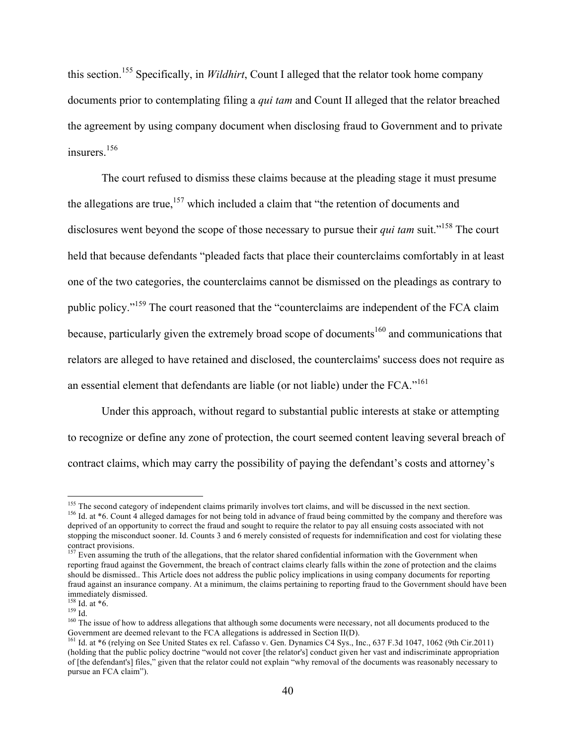this section. <sup>155</sup> Specifically, in *Wildhirt*, Count I alleged that the relator took home company documents prior to contemplating filing a *qui tam* and Count II alleged that the relator breached the agreement by using company document when disclosing fraud to Government and to private insurers<sup>156</sup>

The court refused to dismiss these claims because at the pleading stage it must presume the allegations are true,<sup>157</sup> which included a claim that "the retention of documents and disclosures went beyond the scope of those necessary to pursue their *qui tam* suit.<sup>"158</sup> The court held that because defendants "pleaded facts that place their counterclaims comfortably in at least one of the two categories, the counterclaims cannot be dismissed on the pleadings as contrary to public policy."<sup>159</sup> The court reasoned that the "counterclaims are independent of the FCA claim because, particularly given the extremely broad scope of documents<sup>160</sup> and communications that relators are alleged to have retained and disclosed, the counterclaims' success does not require as an essential element that defendants are liable (or not liable) under the FCA."<sup>161</sup>

Under this approach, without regard to substantial public interests at stake or attempting to recognize or define any zone of protection, the court seemed content leaving several breach of contract claims, which may carry the possibility of paying the defendant's costs and attorney's

<sup>&</sup>lt;sup>155</sup> The second category of independent claims primarily involves tort claims, and will be discussed in the next section.<br><sup>156</sup> Id. at  $*6$ . Count 4 alleged damages for not being told in advance of fraud being committed deprived of an opportunity to correct the fraud and sought to require the relator to pay all ensuing costs associated with not stopping the misconduct sooner. Id. Counts 3 and 6 merely consisted of requests for indemnification and cost for violating these contract provisions.

<sup>&</sup>lt;sup>157</sup> Even assuming the truth of the allegations, that the relator shared confidential information with the Government when reporting fraud against the Government, the breach of contract claims clearly falls within the zone of protection and the claims should be dismissed.. This Article does not address the public policy implications in using company documents for reporting fraud against an insurance company. At a minimum, the claims pertaining to reporting fraud to the Government should have been immediately dismissed.<br> $^{158}$  Id. at  $*6$ .

<sup>159</sup> Id. at \*6.<br><sup>159</sup> Id.<br><sup>160</sup> The issue of how to address allegations that although some documents were necessary, not all documents produced to the<br>Government are deemed relevant to the FCA allegations is addressed in S

<sup>&</sup>lt;sup>161</sup> Id. at \*6 (relying on See United States ex rel. Cafasso v. Gen. Dynamics C4 Sys., Inc., 637 F.3d 1047, 1062 (9th Cir.2011) (holding that the public policy doctrine "would not cover [the relator's] conduct given her vast and indiscriminate appropriation of [the defendant's] files," given that the relator could not explain "why removal of the documents was reasonably necessary to pursue an FCA claim").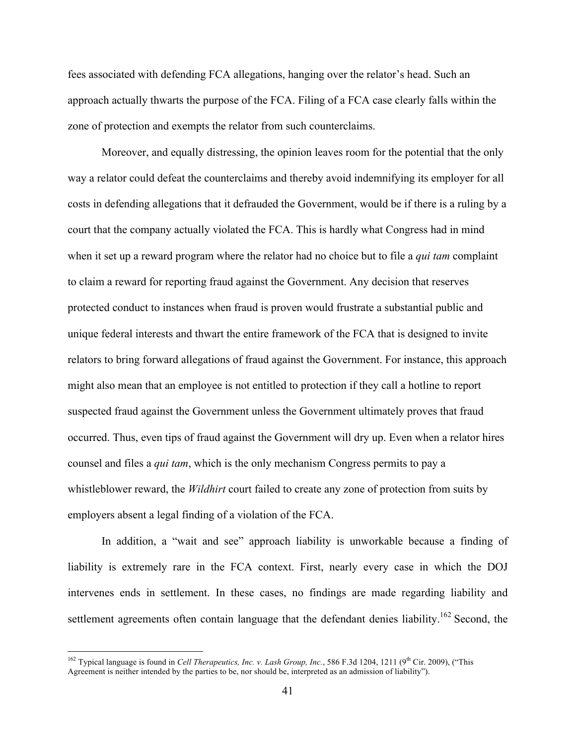fees associated with defending FCA allegations, hanging over the relator's head. Such an approach actually thwarts the purpose of the FCA. Filing of a FCA case clearly falls within the zone of protection and exempts the relator from such counterclaims.

Moreover, and equally distressing, the opinion leaves room for the potential that the only way a relator could defeat the counterclaims and thereby avoid indemnifying its employer for all costs in defending allegations that it defrauded the Government, would be if there is a ruling by a court that the company actually violated the FCA. This is hardly what Congress had in mind when it set up a reward program where the relator had no choice but to file a *qui tam* complaint to claim a reward for reporting fraud against the Government. Any decision that reserves protected conduct to instances when fraud is proven would frustrate a substantial public and unique federal interests and thwart the entire framework of the FCA that is designed to invite relators to bring forward allegations of fraud against the Government. For instance, this approach might also mean that an employee is not entitled to protection if they call a hotline to report suspected fraud against the Government unless the Government ultimately proves that fraud occurred. Thus, even tips of fraud against the Government will dry up. Even when a relator hires counsel and files a *qui tam*, which is the only mechanism Congress permits to pay a whistleblower reward, the *Wildhirt* court failed to create any zone of protection from suits by employers absent a legal finding of a violation of the FCA.

In addition, a "wait and see" approach liability is unworkable because a finding of liability is extremely rare in the FCA context. First, nearly every case in which the DOJ intervenes ends in settlement. In these cases, no findings are made regarding liability and settlement agreements often contain language that the defendant denies liability.<sup>162</sup> Second, the

<sup>&</sup>lt;sup>162</sup> Typical language is found in *Cell Therapeutics, Inc. v. Lash Group, Inc.*, 586 F.3d 1204, 1211 (9<sup>th</sup> Cir. 2009), ("This Agreement is neither intended by the parties to be, nor should be, interpreted as an admission of liability").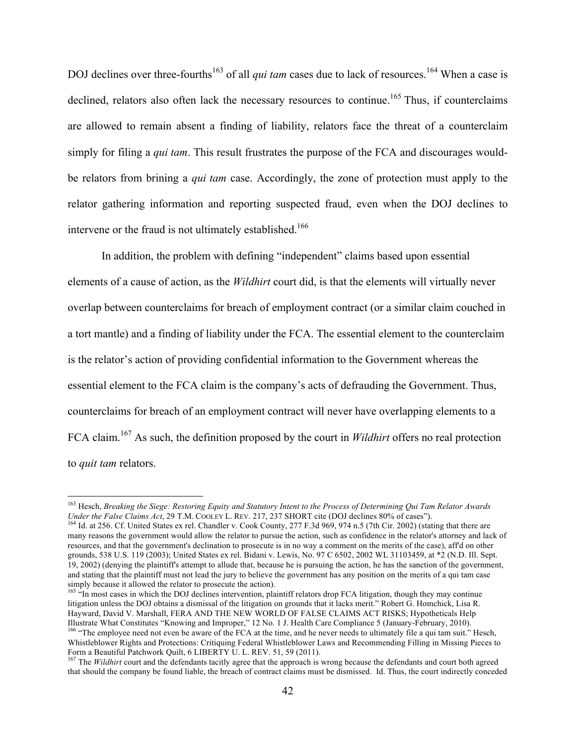DOJ declines over three-fourths<sup>163</sup> of all *qui tam* cases due to lack of resources.<sup>164</sup> When a case is declined, relators also often lack the necessary resources to continue.<sup>165</sup> Thus, if counterclaims are allowed to remain absent a finding of liability, relators face the threat of a counterclaim simply for filing a *qui tam*. This result frustrates the purpose of the FCA and discourages wouldbe relators from brining a *qui tam* case. Accordingly, the zone of protection must apply to the relator gathering information and reporting suspected fraud, even when the DOJ declines to intervene or the fraud is not ultimately established.<sup>166</sup>

In addition, the problem with defining "independent" claims based upon essential elements of a cause of action, as the *Wildhirt* court did, is that the elements will virtually never overlap between counterclaims for breach of employment contract (or a similar claim couched in a tort mantle) and a finding of liability under the FCA. The essential element to the counterclaim is the relator's action of providing confidential information to the Government whereas the essential element to the FCA claim is the company's acts of defrauding the Government. Thus, counterclaims for breach of an employment contract will never have overlapping elements to a FCA claim.167 As such, the definition proposed by the court in *Wildhirt* offers no real protection to *quit tam* relators.

 $165$  "In most cases in which the DOJ declines intervention, plaintiff relators drop FCA litigation, though they may continue litigation unless the DOJ obtains a dismissal of the litigation on grounds that it lacks merit." Robert G. Homchick, Lisa R. Hayward, David V. Marshall, FERA AND THE NEW WORLD OF FALSE CLAIMS ACT RISKS; Hypotheticals Help Illustrate What Constitutes "Knowing and Improper," 12 No. 1 J. Health Care Compliance 5 (January-February, 2010).<br><sup>166</sup> "The emplovee need not even be aware of the FCA at the time, and he never needs to ultimately file a Whistleblower Rights and Protections: Critiquing Federal Whistleblower Laws and Recommending Filling in Missing Pieces to Form a Beautiful Patchwork Quilt, 6 LIBERTY U. L. REV. 51, 59 (2011).

 <sup>163</sup> Hesch, *Breaking the Siege: Restoring Equity and Statutory Intent to the Process of Determining Qui Tam Relator Awards* 

<sup>&</sup>lt;sup>164</sup> Id. at 256. Cf. United States ex rel. Chandler v. Cook County, 277 F.3d 969, 974 n.5 (7th Cir. 2002) (stating that there are many reasons the government would allow the relator to pursue the action, such as confidence in the relator's attorney and lack of resources, and that the government's declination to prosecute is in no way a comment on the merits of the case), aff'd on other grounds, 538 U.S. 119 (2003); United States ex rel. Bidani v. Lewis, No. 97 C 6502, 2002 WL 31103459, at \*2 (N.D. Ill. Sept. 19, 2002) (denying the plaintiff's attempt to allude that, because he is pursuing the action, he has the sanction of the government, and stating that the plaintiff must not lead the jury to believe the government has any position on the merits of a qui tam case simply because it allowed the relator to prosecute the action).

<sup>&</sup>lt;sup>167</sup> The *Wildhirt* court and the defendants tacitly agree that the approach is wrong because the defendants and court both agreed that should the company be found liable, the breach of contract claims must be dismissed. Id. Thus, the court indirectly conceded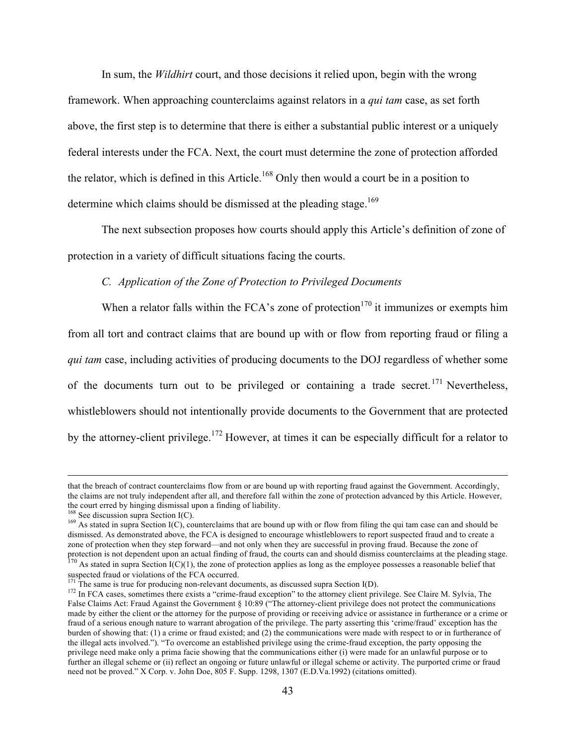In sum, the *Wildhirt* court, and those decisions it relied upon, begin with the wrong framework. When approaching counterclaims against relators in a *qui tam* case, as set forth above, the first step is to determine that there is either a substantial public interest or a uniquely federal interests under the FCA. Next, the court must determine the zone of protection afforded the relator, which is defined in this Article.<sup>168</sup> Only then would a court be in a position to determine which claims should be dismissed at the pleading stage.<sup>169</sup>

The next subsection proposes how courts should apply this Article's definition of zone of protection in a variety of difficult situations facing the courts.

#### *C. Application of the Zone of Protection to Privileged Documents*

When a relator falls within the FCA's zone of protection<sup>170</sup> it immunizes or exempts him from all tort and contract claims that are bound up with or flow from reporting fraud or filing a *qui tam* case, including activities of producing documents to the DOJ regardless of whether some of the documents turn out to be privileged or containing a trade secret.<sup>171</sup> Nevertheless, whistleblowers should not intentionally provide documents to the Government that are protected by the attorney-client privilege.<sup>172</sup> However, at times it can be especially difficult for a relator to

that the breach of contract counterclaims flow from or are bound up with reporting fraud against the Government. Accordingly, the claims are not truly independent after all, and therefore fall within the zone of protection advanced by this Article. However, the court erred by hinging dismissal upon a finding of liability.<br><sup>168</sup> See discussion supra Section  $I(C)$ .

 $^{169}$  As stated in supra Section I(C), counterclaims that are bound up with or flow from filing the qui tam case can and should be dismissed. As demonstrated above, the FCA is designed to encourage whistleblowers to report suspected fraud and to create a zone of protection when they step forward—and not only when they are successful in proving fraud. Because the zone of protection is not dependent upon an actual finding of fraud, the courts can and should dismiss counterclaims at the pleading stage.<br><sup>170</sup> As stated in supra Section I(C)(1), the zone of protection applies as long as the em

suspected fraud or violations of the FCA occurred.<br><sup>171</sup> The same is true for producing non-relevant documents, as discussed supra Section I(D).<br><sup>172</sup> In FCA cases, sometimes there exists a "crime-fraud exception" to the a

False Claims Act: Fraud Against the Government § 10:89 ("The attorney-client privilege does not protect the communications made by either the client or the attorney for the purpose of providing or receiving advice or assistance in furtherance or a crime or fraud of a serious enough nature to warrant abrogation of the privilege. The party asserting this 'crime/fraud' exception has the burden of showing that: (1) a crime or fraud existed; and (2) the communications were made with respect to or in furtherance of the illegal acts involved."). "To overcome an established privilege using the crime-fraud exception, the party opposing the privilege need make only a prima facie showing that the communications either (i) were made for an unlawful purpose or to further an illegal scheme or (ii) reflect an ongoing or future unlawful or illegal scheme or activity. The purported crime or fraud need not be proved." X Corp. v. John Doe, 805 F. Supp. 1298, 1307 (E.D.Va.1992) (citations omitted).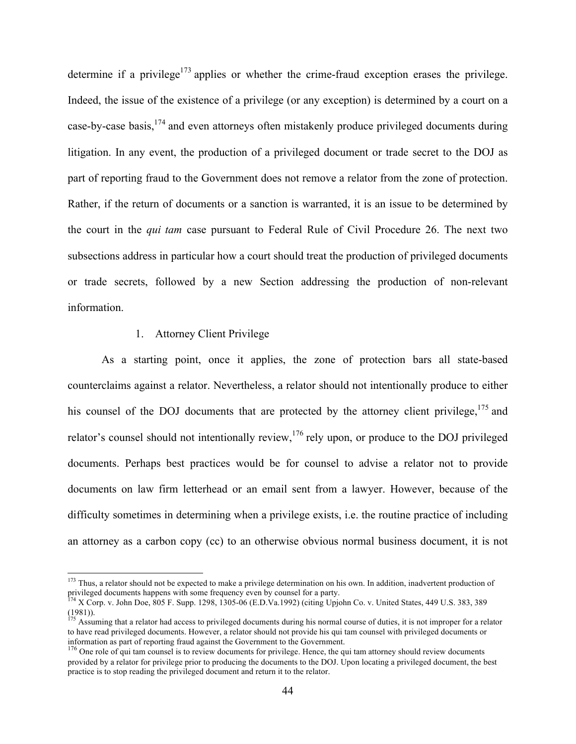determine if a privilege<sup>173</sup> applies or whether the crime-fraud exception erases the privilege. Indeed, the issue of the existence of a privilege (or any exception) is determined by a court on a case-by-case basis, <sup>174</sup> and even attorneys often mistakenly produce privileged documents during litigation. In any event, the production of a privileged document or trade secret to the DOJ as part of reporting fraud to the Government does not remove a relator from the zone of protection. Rather, if the return of documents or a sanction is warranted, it is an issue to be determined by the court in the *qui tam* case pursuant to Federal Rule of Civil Procedure 26. The next two subsections address in particular how a court should treat the production of privileged documents or trade secrets, followed by a new Section addressing the production of non-relevant information.

#### 1. Attorney Client Privilege

As a starting point, once it applies, the zone of protection bars all state-based counterclaims against a relator. Nevertheless, a relator should not intentionally produce to either his counsel of the DOJ documents that are protected by the attorney client privilege,<sup>175</sup> and relator's counsel should not intentionally review,<sup>176</sup> rely upon, or produce to the DOJ privileged documents. Perhaps best practices would be for counsel to advise a relator not to provide documents on law firm letterhead or an email sent from a lawyer. However, because of the difficulty sometimes in determining when a privilege exists, i.e. the routine practice of including an attorney as a carbon copy (cc) to an otherwise obvious normal business document, it is not

<sup>&</sup>lt;sup>173</sup> Thus, a relator should not be expected to make a privilege determination on his own. In addition, inadvertent production of privileged documents happens with some frequency even by counsel for a party.<br><sup>174</sup> X Corp. v. John Doe, 805 F. Supp. 1298, 1305-06 (E.D.Va.1992) (citing Upjohn Co. v. United States, 449 U.S. 383, 389

<sup>(1981)).</sup>

<sup>&</sup>lt;sup>175</sup> Assuming that a relator had access to privileged documents during his normal course of duties, it is not improper for a relator to have read privileged documents. However, a relator should not provide his qui tam counsel with privileged documents or information as part of reporting fraud against the Government to the Government.

<sup>&</sup>lt;sup>176</sup> One role of qui tam counsel is to review documents for privilege. Hence, the qui tam attorney should review documents provided by a relator for privilege prior to producing the documents to the DOJ. Upon locating a privileged document, the best practice is to stop reading the privileged document and return it to the relator.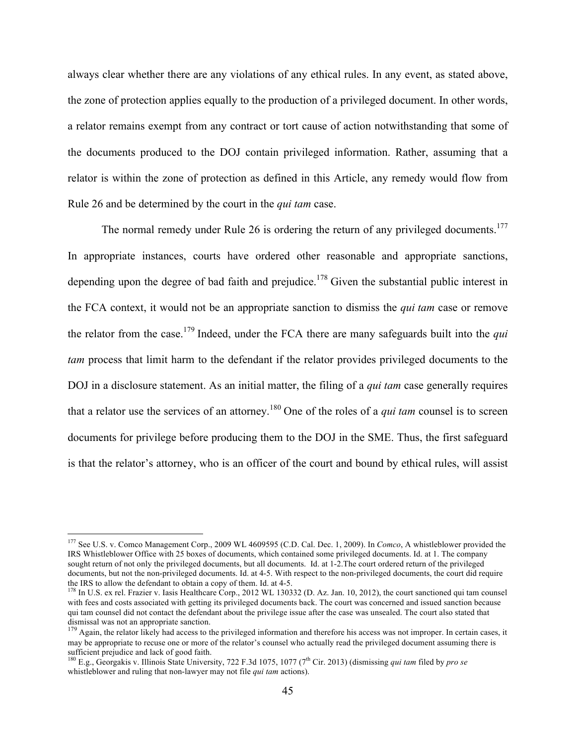always clear whether there are any violations of any ethical rules. In any event, as stated above, the zone of protection applies equally to the production of a privileged document. In other words, a relator remains exempt from any contract or tort cause of action notwithstanding that some of the documents produced to the DOJ contain privileged information. Rather, assuming that a relator is within the zone of protection as defined in this Article, any remedy would flow from Rule 26 and be determined by the court in the *qui tam* case.

The normal remedy under Rule 26 is ordering the return of any privileged documents.<sup>177</sup> In appropriate instances, courts have ordered other reasonable and appropriate sanctions, depending upon the degree of bad faith and prejudice.<sup>178</sup> Given the substantial public interest in the FCA context, it would not be an appropriate sanction to dismiss the *qui tam* case or remove the relator from the case. <sup>179</sup> Indeed, under the FCA there are many safeguards built into the *qui tam* process that limit harm to the defendant if the relator provides privileged documents to the DOJ in a disclosure statement. As an initial matter, the filing of a *qui tam* case generally requires that a relator use the services of an attorney.<sup>180</sup> One of the roles of a *qui tam* counsel is to screen documents for privilege before producing them to the DOJ in the SME. Thus, the first safeguard is that the relator's attorney, who is an officer of the court and bound by ethical rules, will assist

 <sup>177</sup> See U.S. v. Comco Management Corp., 2009 WL 4609595 (C.D. Cal. Dec. 1, 2009). In *Comco*, A whistleblower provided the IRS Whistleblower Office with 25 boxes of documents, which contained some privileged documents. Id. at 1. The company sought return of not only the privileged documents, but all documents. Id. at 1-2.The court ordered return of the privileged documents, but not the non-privileged documents. Id. at 4-5. With respect to the non-privileged documents, the court did require the IRS to allow the defendant to obtain a copy of them. Id. at 4-5.<br><sup>178</sup> In U.S. ex rel. Frazier v. Iasis Healthcare Corp., 2012 WL 130332 (D. Az. Jan. 10, 2012), the court sanctioned qui tam counsel

with fees and costs associated with getting its privileged documents back. The court was concerned and issued sanction because qui tam counsel did not contact the defendant about the privilege issue after the case was unsealed. The court also stated that dismissal was not an appropriate sanction.

<sup>&</sup>lt;sup>179</sup> Again, the relator likely had access to the privileged information and therefore his access was not improper. In certain cases, it may be appropriate to recuse one or more of the relator's counsel who actually read the privileged document assuming there is sufficient prejudice and lack of good faith.<br><sup>180</sup> E.g., Georgakis v. Illinois State University, 722 F.3d 1075, 1077 (7<sup>th</sup> Cir. 2013) (dismissing *qui tam* filed by *pro se* 

whistleblower and ruling that non-lawyer may not file *qui tam* actions).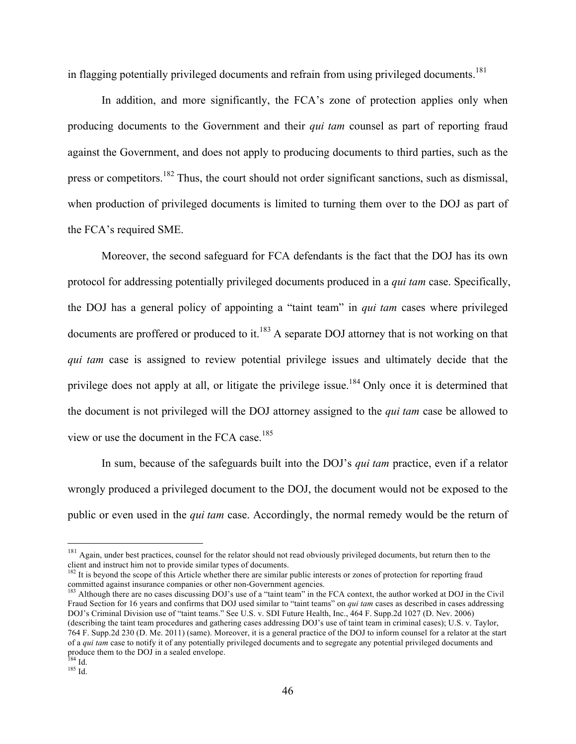in flagging potentially privileged documents and refrain from using privileged documents.<sup>181</sup>

In addition, and more significantly, the FCA's zone of protection applies only when producing documents to the Government and their *qui tam* counsel as part of reporting fraud against the Government, and does not apply to producing documents to third parties, such as the press or competitors.<sup>182</sup> Thus, the court should not order significant sanctions, such as dismissal, when production of privileged documents is limited to turning them over to the DOJ as part of the FCA's required SME.

Moreover, the second safeguard for FCA defendants is the fact that the DOJ has its own protocol for addressing potentially privileged documents produced in a *qui tam* case. Specifically, the DOJ has a general policy of appointing a "taint team" in *qui tam* cases where privileged documents are proffered or produced to it.<sup>183</sup> A separate DOJ attorney that is not working on that *qui tam* case is assigned to review potential privilege issues and ultimately decide that the privilege does not apply at all, or litigate the privilege issue.<sup>184</sup> Only once it is determined that the document is not privileged will the DOJ attorney assigned to the *qui tam* case be allowed to view or use the document in the FCA case.<sup>185</sup>

In sum, because of the safeguards built into the DOJ's *qui tam* practice, even if a relator wrongly produced a privileged document to the DOJ, the document would not be exposed to the public or even used in the *qui tam* case. Accordingly, the normal remedy would be the return of

<sup>182</sup> It is beyond the scope of this Article whether there are similar public interests or zones of protection for reporting fraud committed against insurance companies or other non-Government agencies.<br><sup>183</sup> Although there are no cases discussing DOJ's use of a "taint team" in the FCA context, the author worked at DOJ in the Civil

Fraud Section for 16 years and confirms that DOJ used similar to "taint teams" on *qui tam* cases as described in cases addressing DOJ's Criminal Division use of "taint teams." See U.S. v. SDI Future Health, Inc., 464 F. Supp.2d 1027 (D. Nev. 2006) (describing the taint team procedures and gathering cases addressing DOJ's use of taint team in criminal cases); U.S. v. Taylor, 764 F. Supp.2d 230 (D. Me. 2011) (same). Moreover, it is a general practice of the DOJ to inform counsel for a relator at the start of a *qui tam* case to notify it of any potentially privileged documents and to segregate any potential privileged documents and produce them to the DOJ in a sealed envelope.

<sup>&</sup>lt;sup>181</sup> Again, under best practices, counsel for the relator should not read obviously privileged documents, but return then to the client and instruct him not to provide similar types of documents.

<sup>&</sup>lt;sup>184</sup> Id.<br><sup>185</sup> Id.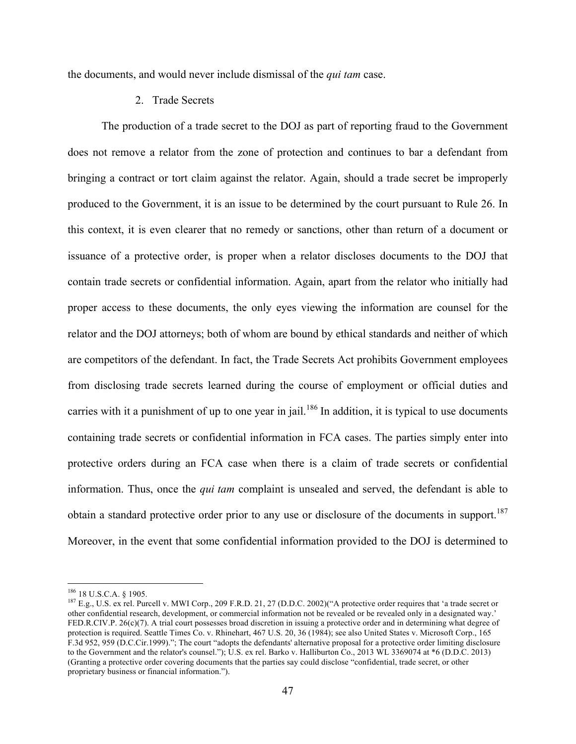the documents, and would never include dismissal of the *qui tam* case.

#### 2. Trade Secrets

The production of a trade secret to the DOJ as part of reporting fraud to the Government does not remove a relator from the zone of protection and continues to bar a defendant from bringing a contract or tort claim against the relator. Again, should a trade secret be improperly produced to the Government, it is an issue to be determined by the court pursuant to Rule 26. In this context, it is even clearer that no remedy or sanctions, other than return of a document or issuance of a protective order, is proper when a relator discloses documents to the DOJ that contain trade secrets or confidential information. Again, apart from the relator who initially had proper access to these documents, the only eyes viewing the information are counsel for the relator and the DOJ attorneys; both of whom are bound by ethical standards and neither of which are competitors of the defendant. In fact, the Trade Secrets Act prohibits Government employees from disclosing trade secrets learned during the course of employment or official duties and carries with it a punishment of up to one year in jail.<sup>186</sup> In addition, it is typical to use documents containing trade secrets or confidential information in FCA cases. The parties simply enter into protective orders during an FCA case when there is a claim of trade secrets or confidential information. Thus, once the *qui tam* complaint is unsealed and served, the defendant is able to obtain a standard protective order prior to any use or disclosure of the documents in support.<sup>187</sup> Moreover, in the event that some confidential information provided to the DOJ is determined to

<sup>&</sup>lt;sup>186</sup> 18 U.S.C.A. § 1905.<br><sup>187</sup> E.g., U.S. ex rel. Purcell v. MWI Corp., 209 F.R.D. 21, 27 (D.D.C. 2002)("A protective order requires that 'a trade secret or other confidential research, development, or commercial information not be revealed or be revealed only in a designated way.' FED.R.CIV.P. 26(c)(7). A trial court possesses broad discretion in issuing a protective order and in determining what degree of protection is required. Seattle Times Co. v. Rhinehart, 467 U.S. 20, 36 (1984); see also United States v. Microsoft Corp., 165 F.3d 952, 959 (D.C.Cir.1999)."; The court "adopts the defendants' alternative proposal for a protective order limiting disclosure to the Government and the relator's counsel."); U.S. ex rel. Barko v. Halliburton Co., 2013 WL 3369074 at \*6 (D.D.C. 2013) (Granting a protective order covering documents that the parties say could disclose "confidential, trade secret, or other proprietary business or financial information.").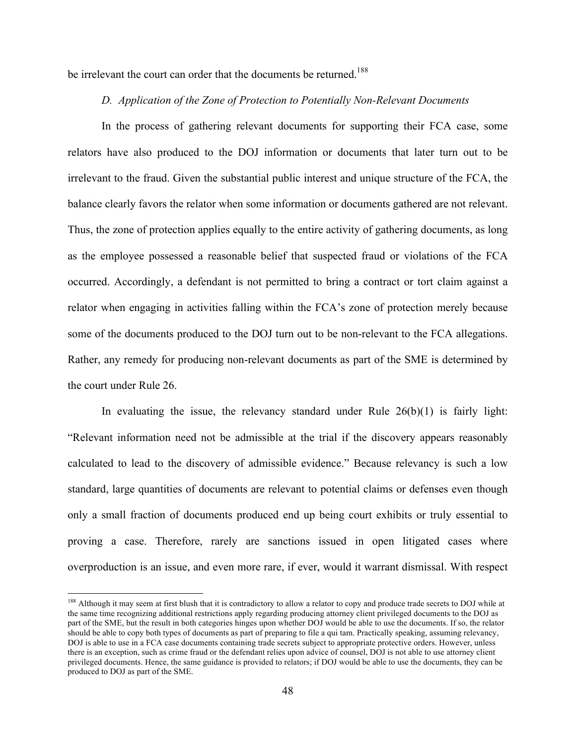be irrelevant the court can order that the documents be returned.<sup>188</sup>

#### *D. Application of the Zone of Protection to Potentially Non-Relevant Documents*

In the process of gathering relevant documents for supporting their FCA case, some relators have also produced to the DOJ information or documents that later turn out to be irrelevant to the fraud. Given the substantial public interest and unique structure of the FCA, the balance clearly favors the relator when some information or documents gathered are not relevant. Thus, the zone of protection applies equally to the entire activity of gathering documents, as long as the employee possessed a reasonable belief that suspected fraud or violations of the FCA occurred. Accordingly, a defendant is not permitted to bring a contract or tort claim against a relator when engaging in activities falling within the FCA's zone of protection merely because some of the documents produced to the DOJ turn out to be non-relevant to the FCA allegations. Rather, any remedy for producing non-relevant documents as part of the SME is determined by the court under Rule 26.

In evaluating the issue, the relevancy standard under Rule  $26(b)(1)$  is fairly light: "Relevant information need not be admissible at the trial if the discovery appears reasonably calculated to lead to the discovery of admissible evidence." Because relevancy is such a low standard, large quantities of documents are relevant to potential claims or defenses even though only a small fraction of documents produced end up being court exhibits or truly essential to proving a case. Therefore, rarely are sanctions issued in open litigated cases where overproduction is an issue, and even more rare, if ever, would it warrant dismissal. With respect

<sup>&</sup>lt;sup>188</sup> Although it may seem at first blush that it is contradictory to allow a relator to copy and produce trade secrets to DOJ while at the same time recognizing additional restrictions apply regarding producing attorney client privileged documents to the DOJ as part of the SME, but the result in both categories hinges upon whether DOJ would be able to use the documents. If so, the relator should be able to copy both types of documents as part of preparing to file a qui tam. Practically speaking, assuming relevancy, DOJ is able to use in a FCA case documents containing trade secrets subject to appropriate protective orders. However, unless there is an exception, such as crime fraud or the defendant relies upon advice of counsel, DOJ is not able to use attorney client privileged documents. Hence, the same guidance is provided to relators; if DOJ would be able to use the documents, they can be produced to DOJ as part of the SME.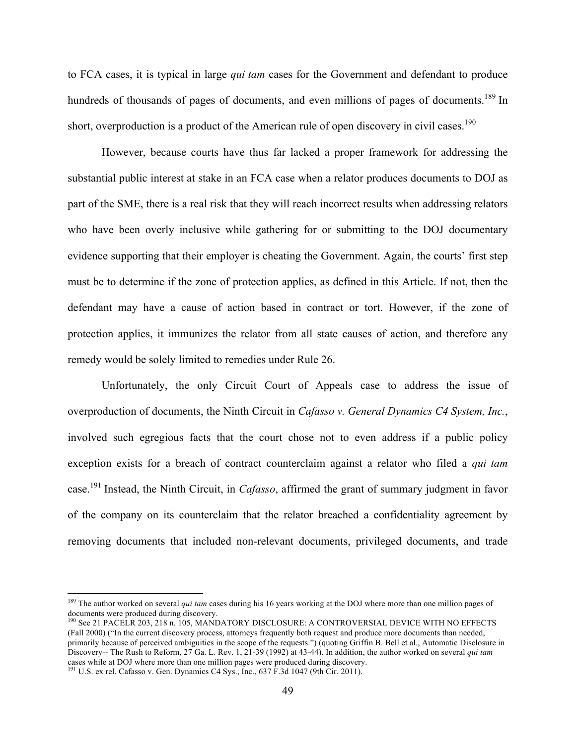to FCA cases, it is typical in large *qui tam* cases for the Government and defendant to produce hundreds of thousands of pages of documents, and even millions of pages of documents.<sup>189</sup> In short, overproduction is a product of the American rule of open discovery in civil cases.<sup>190</sup>

However, because courts have thus far lacked a proper framework for addressing the substantial public interest at stake in an FCA case when a relator produces documents to DOJ as part of the SME, there is a real risk that they will reach incorrect results when addressing relators who have been overly inclusive while gathering for or submitting to the DOJ documentary evidence supporting that their employer is cheating the Government. Again, the courts' first step must be to determine if the zone of protection applies, as defined in this Article. If not, then the defendant may have a cause of action based in contract or tort. However, if the zone of protection applies, it immunizes the relator from all state causes of action, and therefore any remedy would be solely limited to remedies under Rule 26.

Unfortunately, the only Circuit Court of Appeals case to address the issue of overproduction of documents, the Ninth Circuit in *Cafasso v. General Dynamics C4 System, Inc.*, involved such egregious facts that the court chose not to even address if a public policy exception exists for a breach of contract counterclaim against a relator who filed a *qui tam* case.<sup>191</sup> Instead, the Ninth Circuit, in *Cafasso*, affirmed the grant of summary judgment in favor of the company on its counterclaim that the relator breached a confidentiality agreement by removing documents that included non-relevant documents, privileged documents, and trade

<sup>&</sup>lt;sup>189</sup> The author worked on several *qui tam* cases during his 16 years working at the DOJ where more than one million pages of documents were produced during discovery.

<sup>&</sup>lt;sup>190</sup> See 21 PACELR 203, 218 n. 105, MANDATORY DISCLOSURE: A CONTROVERSIAL DEVICE WITH NO EFFECTS (Fall 2000) ("In the current discovery process, attorneys frequently both request and produce more documents than needed, primarily because of perceived ambiguities in the scope of the requests.") (quoting Griffin B. Bell et al., Automatic Disclosure in Discovery-- The Rush to Reform, 27 Ga. L. Rev. 1, 21-39 (1992) at 43-44). In addition, the author worked on several *qui tam* cases while at DOJ where more than one million pages were produced during discovery.

 $191$  U.S. ex rel. Cafasso v. Gen. Dynamics C4 Sys., Inc., 637 F.3d 1047 (9th Cir. 2011).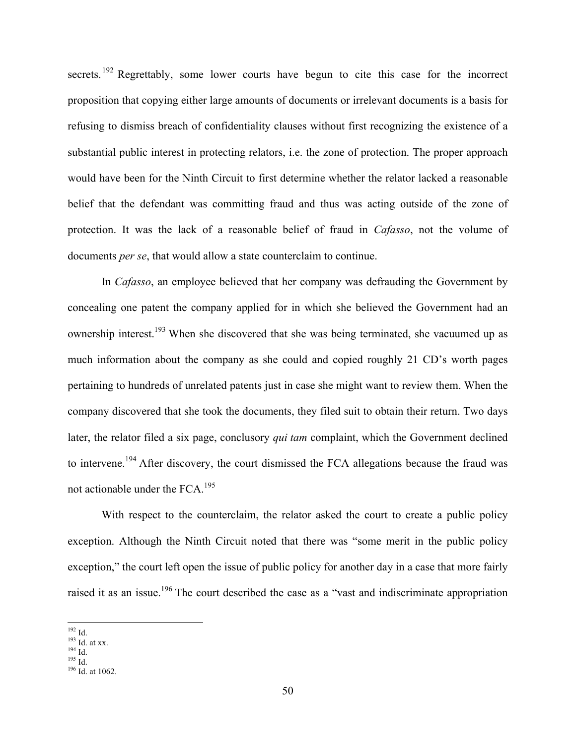secrets.<sup>192</sup> Regrettably, some lower courts have begun to cite this case for the incorrect proposition that copying either large amounts of documents or irrelevant documents is a basis for refusing to dismiss breach of confidentiality clauses without first recognizing the existence of a substantial public interest in protecting relators, i.e. the zone of protection. The proper approach would have been for the Ninth Circuit to first determine whether the relator lacked a reasonable belief that the defendant was committing fraud and thus was acting outside of the zone of protection. It was the lack of a reasonable belief of fraud in *Cafasso*, not the volume of documents *per se*, that would allow a state counterclaim to continue.

In *Cafasso*, an employee believed that her company was defrauding the Government by concealing one patent the company applied for in which she believed the Government had an ownership interest.<sup>193</sup> When she discovered that she was being terminated, she vacuumed up as much information about the company as she could and copied roughly 21 CD's worth pages pertaining to hundreds of unrelated patents just in case she might want to review them. When the company discovered that she took the documents, they filed suit to obtain their return. Two days later, the relator filed a six page, conclusory *qui tam* complaint, which the Government declined to intervene.<sup>194</sup> After discovery, the court dismissed the FCA allegations because the fraud was not actionable under the FCA.195

With respect to the counterclaim, the relator asked the court to create a public policy exception. Although the Ninth Circuit noted that there was "some merit in the public policy exception," the court left open the issue of public policy for another day in a case that more fairly raised it as an issue.<sup>196</sup> The court described the case as a "vast and indiscriminate appropriation"

<sup>192</sup> Id.<br>
193 Id. at xx.<br>
194 Id.<br>
195 Id.<br>
196 Id. at 1062.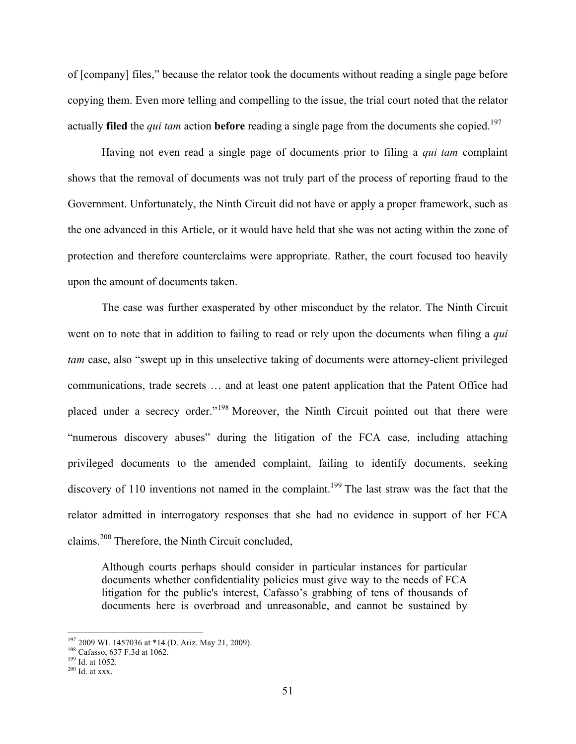of [company] files," because the relator took the documents without reading a single page before copying them. Even more telling and compelling to the issue, the trial court noted that the relator actually **filed** the *qui tam* action **before** reading a single page from the documents she copied.<sup>197</sup>

Having not even read a single page of documents prior to filing a *qui tam* complaint shows that the removal of documents was not truly part of the process of reporting fraud to the Government. Unfortunately, the Ninth Circuit did not have or apply a proper framework, such as the one advanced in this Article, or it would have held that she was not acting within the zone of protection and therefore counterclaims were appropriate. Rather, the court focused too heavily upon the amount of documents taken.

The case was further exasperated by other misconduct by the relator. The Ninth Circuit went on to note that in addition to failing to read or rely upon the documents when filing a *qui tam* case, also "swept up in this unselective taking of documents were attorney-client privileged communications, trade secrets … and at least one patent application that the Patent Office had placed under a secrecy order."<sup>198</sup> Moreover, the Ninth Circuit pointed out that there were "numerous discovery abuses" during the litigation of the FCA case, including attaching privileged documents to the amended complaint, failing to identify documents, seeking discovery of 110 inventions not named in the complaint.<sup>199</sup> The last straw was the fact that the relator admitted in interrogatory responses that she had no evidence in support of her FCA claims.<sup>200</sup> Therefore, the Ninth Circuit concluded,

Although courts perhaps should consider in particular instances for particular documents whether confidentiality policies must give way to the needs of FCA litigation for the public's interest, Cafasso's grabbing of tens of thousands of documents here is overbroad and unreasonable, and cannot be sustained by

<sup>&</sup>lt;sup>197</sup> 2009 WL 1457036 at \*14 (D. Ariz. May 21, 2009).<br><sup>198</sup> Cafasso, 637 F.3d at 1062.<br><sup>199</sup> Id. at 1052.<br><sup>200</sup> Id. at xxx.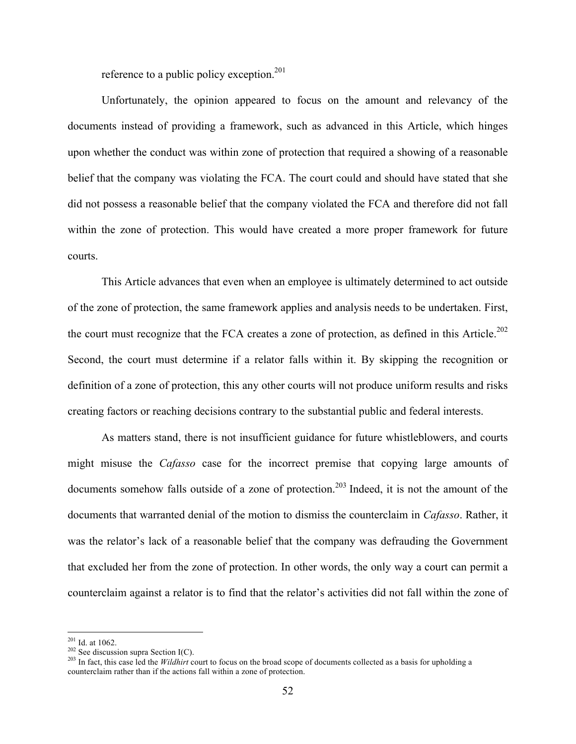reference to a public policy exception.<sup>201</sup>

Unfortunately, the opinion appeared to focus on the amount and relevancy of the documents instead of providing a framework, such as advanced in this Article, which hinges upon whether the conduct was within zone of protection that required a showing of a reasonable belief that the company was violating the FCA. The court could and should have stated that she did not possess a reasonable belief that the company violated the FCA and therefore did not fall within the zone of protection. This would have created a more proper framework for future courts.

This Article advances that even when an employee is ultimately determined to act outside of the zone of protection, the same framework applies and analysis needs to be undertaken. First, the court must recognize that the FCA creates a zone of protection, as defined in this Article.<sup>202</sup> Second, the court must determine if a relator falls within it. By skipping the recognition or definition of a zone of protection, this any other courts will not produce uniform results and risks creating factors or reaching decisions contrary to the substantial public and federal interests.

As matters stand, there is not insufficient guidance for future whistleblowers, and courts might misuse the *Cafasso* case for the incorrect premise that copying large amounts of documents somehow falls outside of a zone of protection.<sup>203</sup> Indeed, it is not the amount of the documents that warranted denial of the motion to dismiss the counterclaim in *Cafasso*. Rather, it was the relator's lack of a reasonable belief that the company was defrauding the Government that excluded her from the zone of protection. In other words, the only way a court can permit a counterclaim against a relator is to find that the relator's activities did not fall within the zone of

<sup>&</sup>lt;sup>201</sup> Id. at 1062.<br><sup>202</sup> See discussion supra Section I(C).<br><sup>203</sup> In fact, this case led the *Wildhirt* court to focus on the broad scope of documents collected as a basis for upholding a counterclaim rather than if the actions fall within a zone of protection.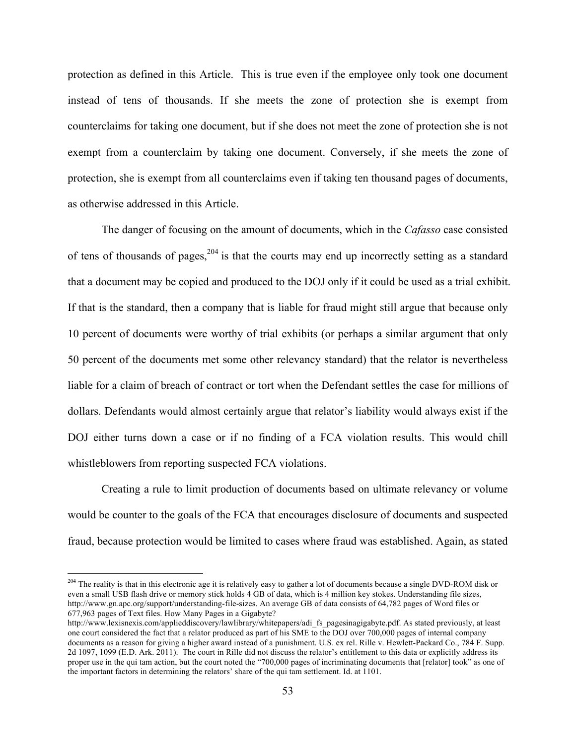protection as defined in this Article. This is true even if the employee only took one document instead of tens of thousands. If she meets the zone of protection she is exempt from counterclaims for taking one document, but if she does not meet the zone of protection she is not exempt from a counterclaim by taking one document. Conversely, if she meets the zone of protection, she is exempt from all counterclaims even if taking ten thousand pages of documents, as otherwise addressed in this Article.

The danger of focusing on the amount of documents, which in the *Cafasso* case consisted of tens of thousands of pages,  $204$  is that the courts may end up incorrectly setting as a standard that a document may be copied and produced to the DOJ only if it could be used as a trial exhibit. If that is the standard, then a company that is liable for fraud might still argue that because only 10 percent of documents were worthy of trial exhibits (or perhaps a similar argument that only 50 percent of the documents met some other relevancy standard) that the relator is nevertheless liable for a claim of breach of contract or tort when the Defendant settles the case for millions of dollars. Defendants would almost certainly argue that relator's liability would always exist if the DOJ either turns down a case or if no finding of a FCA violation results. This would chill whistleblowers from reporting suspected FCA violations.

Creating a rule to limit production of documents based on ultimate relevancy or volume would be counter to the goals of the FCA that encourages disclosure of documents and suspected fraud, because protection would be limited to cases where fraud was established. Again, as stated

<sup>&</sup>lt;sup>204</sup> The reality is that in this electronic age it is relatively easy to gather a lot of documents because a single DVD-ROM disk or even a small USB flash drive or memory stick holds 4 GB of data, which is 4 million key stokes. Understanding file sizes, http://www.gn.apc.org/support/understanding-file-sizes. An average GB of data consists of 64,782 pages of Word files or 677,963 pages of Text files. How Many Pages in a Gigabyte?

http://www.lexisnexis.com/applieddiscovery/lawlibrary/whitepapers/adi fs\_pagesinagigabyte.pdf. As stated previously, at least one court considered the fact that a relator produced as part of his SME to the DOJ over 700,000 pages of internal company documents as a reason for giving a higher award instead of a punishment. U.S. ex rel. Rille v. Hewlett-Packard Co., 784 F. Supp. 2d 1097, 1099 (E.D. Ark. 2011). The court in Rille did not discuss the relator's entitlement to this data or explicitly address its proper use in the qui tam action, but the court noted the "700,000 pages of incriminating documents that [relator] took" as one of the important factors in determining the relators' share of the qui tam settlement. Id. at 1101.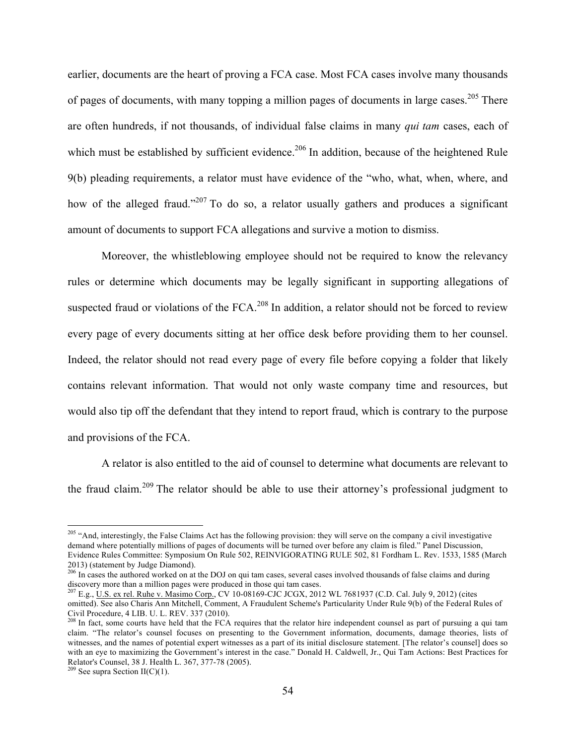earlier, documents are the heart of proving a FCA case. Most FCA cases involve many thousands of pages of documents, with many topping a million pages of documents in large cases.<sup>205</sup> There are often hundreds, if not thousands, of individual false claims in many *qui tam* cases, each of which must be established by sufficient evidence.<sup>206</sup> In addition, because of the heightened Rule 9(b) pleading requirements, a relator must have evidence of the "who, what, when, where, and how of the alleged fraud."<sup>207</sup> To do so, a relator usually gathers and produces a significant amount of documents to support FCA allegations and survive a motion to dismiss.

Moreover, the whistleblowing employee should not be required to know the relevancy rules or determine which documents may be legally significant in supporting allegations of suspected fraud or violations of the FCA.<sup>208</sup> In addition, a relator should not be forced to review every page of every documents sitting at her office desk before providing them to her counsel. Indeed, the relator should not read every page of every file before copying a folder that likely contains relevant information. That would not only waste company time and resources, but would also tip off the defendant that they intend to report fraud, which is contrary to the purpose and provisions of the FCA.

A relator is also entitled to the aid of counsel to determine what documents are relevant to the fraud claim.<sup>209</sup> The relator should be able to use their attorney's professional judgment to

<sup>&</sup>lt;sup>205</sup> "And, interestingly, the False Claims Act has the following provision: they will serve on the company a civil investigative demand where potentially millions of pages of documents will be turned over before any claim is filed." Panel Discussion, Evidence Rules Committee: Symposium On Rule 502, REINVIGORATING RULE 502, 81 Fordham L. Rev. 1533, 1585 (March 2013) (statement by Judge Diamond).

 $^{206}$  In cases the authored worked on at the DOJ on qui tam cases, several cases involved thousands of false claims and during discovery more than a million pages were produced in those qui tam cases.

<sup>207</sup> E.g., U.S. ex rel. Ruhe v. Masimo Corp., CV 10-08169-CJC JCGX, 2012 WL 7681937 (C.D. Cal. July 9, 2012) (cites omitted). See also Charis Ann Mitchell, Comment, A Fraudulent Scheme's Particularity Under Rule 9(b) of the Federal Rules of Civil Procedure, 4 LIB. U. L. REV. 337 (2010).

 $^{208}$  In fact, some courts have held that the FCA requires that the relator hire independent counsel as part of pursuing a qui tam claim. "The relator's counsel focuses on presenting to the Government information, documents, damage theories, lists of witnesses, and the names of potential expert witnesses as a part of its initial disclosure statement. [The relator's counsel] does so with an eye to maximizing the Government's interest in the case." Donald H. Caldwell, Jr., Qui Tam Actions: Best Practices for Relator's Counsel, 38 J. Health L. 367, 377-78 (2005).<br><sup>209</sup> See supra Section II(C)(1).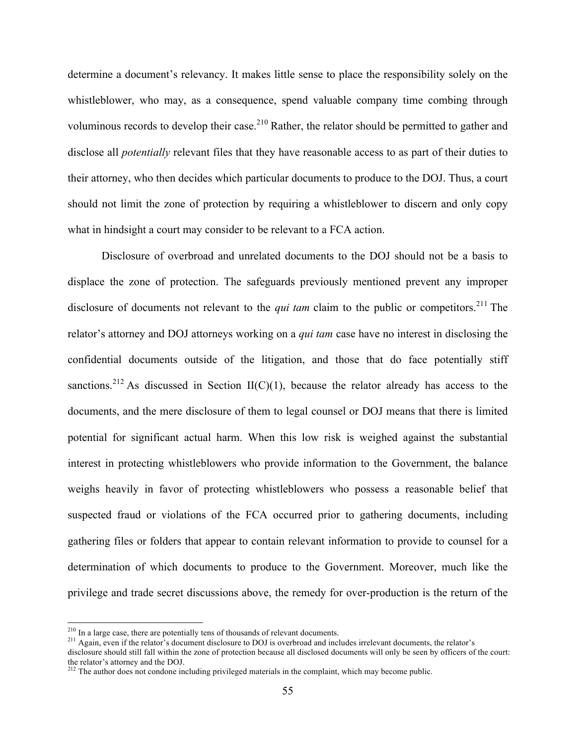determine a document's relevancy. It makes little sense to place the responsibility solely on the whistleblower, who may, as a consequence, spend valuable company time combing through voluminous records to develop their case.<sup>210</sup> Rather, the relator should be permitted to gather and disclose all *potentially* relevant files that they have reasonable access to as part of their duties to their attorney, who then decides which particular documents to produce to the DOJ. Thus, a court should not limit the zone of protection by requiring a whistleblower to discern and only copy what in hindsight a court may consider to be relevant to a FCA action.

Disclosure of overbroad and unrelated documents to the DOJ should not be a basis to displace the zone of protection. The safeguards previously mentioned prevent any improper disclosure of documents not relevant to the *qui tam* claim to the public or competitors. <sup>211</sup> The relator's attorney and DOJ attorneys working on a *qui tam* case have no interest in disclosing the confidential documents outside of the litigation, and those that do face potentially stiff sanctions.<sup>212</sup> As discussed in Section II(C)(1), because the relator already has access to the documents, and the mere disclosure of them to legal counsel or DOJ means that there is limited potential for significant actual harm. When this low risk is weighed against the substantial interest in protecting whistleblowers who provide information to the Government, the balance weighs heavily in favor of protecting whistleblowers who possess a reasonable belief that suspected fraud or violations of the FCA occurred prior to gathering documents, including gathering files or folders that appear to contain relevant information to provide to counsel for a determination of which documents to produce to the Government. Moreover, much like the privilege and trade secret discussions above, the remedy for over-production is the return of the

<sup>&</sup>lt;sup>210</sup> In a large case, there are potentially tens of thousands of relevant documents.<br><sup>211</sup> Again, even if the relator's document disclosure to DOJ is overbroad and includes irrelevant documents, the relator's

disclosure should still fall within the zone of protection because all disclosed documents will only be seen by officers of the court: the relator's attorney and the DOJ.

 $2^{212}$  The author does not condone including privileged materials in the complaint, which may become public.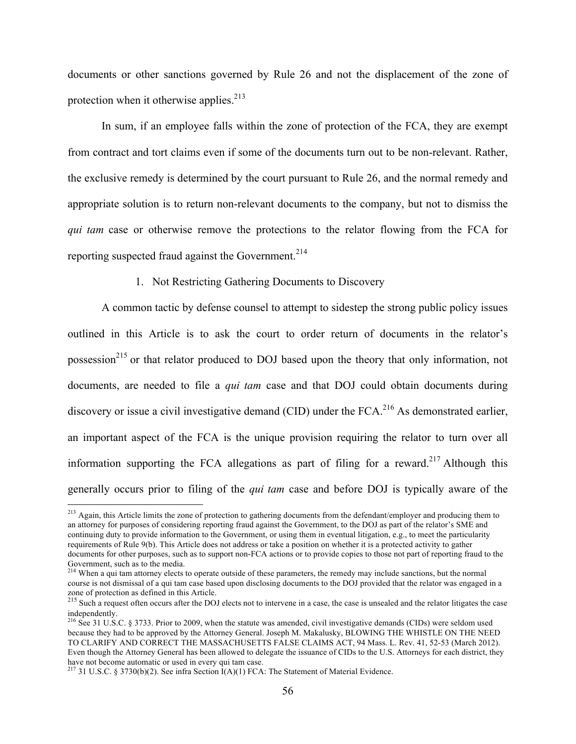documents or other sanctions governed by Rule 26 and not the displacement of the zone of protection when it otherwise applies.<sup>213</sup>

In sum, if an employee falls within the zone of protection of the FCA, they are exempt from contract and tort claims even if some of the documents turn out to be non-relevant. Rather, the exclusive remedy is determined by the court pursuant to Rule 26, and the normal remedy and appropriate solution is to return non-relevant documents to the company, but not to dismiss the *qui tam* case or otherwise remove the protections to the relator flowing from the FCA for reporting suspected fraud against the Government.<sup>214</sup>

1. Not Restricting Gathering Documents to Discovery

A common tactic by defense counsel to attempt to sidestep the strong public policy issues outlined in this Article is to ask the court to order return of documents in the relator's possession<sup>215</sup> or that relator produced to DOJ based upon the theory that only information, not documents, are needed to file a *qui tam* case and that DOJ could obtain documents during discovery or issue a civil investigative demand (CID) under the FCA.<sup>216</sup> As demonstrated earlier, an important aspect of the FCA is the unique provision requiring the relator to turn over all information supporting the FCA allegations as part of filing for a reward.<sup>217</sup> Although this generally occurs prior to filing of the *qui tam* case and before DOJ is typically aware of the

<sup>&</sup>lt;sup>213</sup> Again, this Article limits the zone of protection to gathering documents from the defendant/employer and producing them to an attorney for purposes of considering reporting fraud against the Government, to the DOJ as part of the relator's SME and continuing duty to provide information to the Government, or using them in eventual litigation, e.g., to meet the particularity requirements of Rule 9(b). This Article does not address or take a position on whether it is a protected activity to gather documents for other purposes, such as to support non-FCA actions or to provide copies to those not part of reporting fraud to the Government, such as to the media.

<sup>&</sup>lt;sup>214</sup> When a qui tam attorney elects to operate outside of these parameters, the remedy may include sanctions, but the normal course is not dismissal of a qui tam case based upon disclosing documents to the DOJ provided that the relator was engaged in a zone of protection as defined in this Article.

<sup>&</sup>lt;sup>215</sup> Such a request often occurs after the DOJ elects not to intervene in a case, the case is unsealed and the relator litigates the case independently.

<sup>&</sup>lt;sup>216</sup> See 31 U.S.C. § 3733. Prior to 2009, when the statute was amended, civil investigative demands (CIDs) were seldom used because they had to be approved by the Attorney General. Joseph M. Makalusky, BLOWING THE WHISTLE ON THE NEED TO CLARIFY AND CORRECT THE MASSACHUSETTS FALSE CLAIMS ACT, 94 Mass. L. Rev. 41, 52-53 (March 2012). Even though the Attorney General has been allowed to delegate the issuance of CIDs to the U.S. Attorneys for each district, they have not become automatic or used in every qui tam case.

<sup>&</sup>lt;sup>217</sup> 31 U.S.C. § 3730(b)(2). See infra Section  $I(A)(1)$  FCA: The Statement of Material Evidence.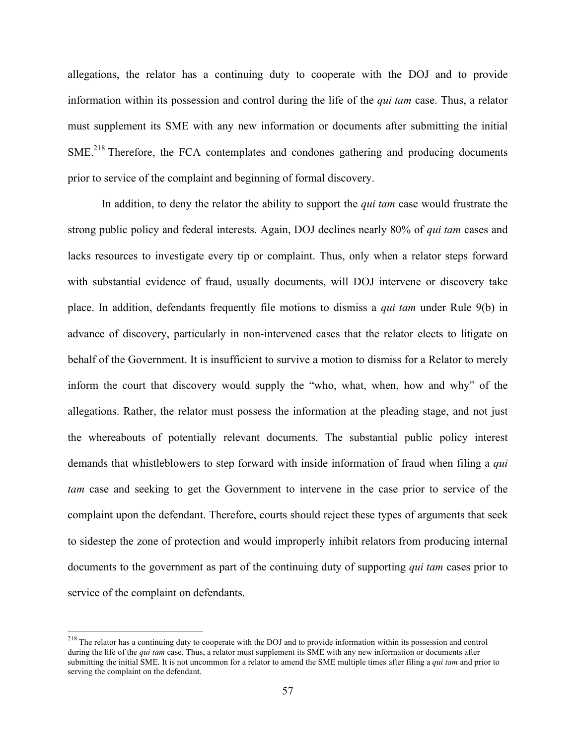allegations, the relator has a continuing duty to cooperate with the DOJ and to provide information within its possession and control during the life of the *qui tam* case. Thus, a relator must supplement its SME with any new information or documents after submitting the initial SME<sup>218</sup> Therefore, the FCA contemplates and condones gathering and producing documents prior to service of the complaint and beginning of formal discovery.

In addition, to deny the relator the ability to support the *qui tam* case would frustrate the strong public policy and federal interests. Again, DOJ declines nearly 80% of *qui tam* cases and lacks resources to investigate every tip or complaint. Thus, only when a relator steps forward with substantial evidence of fraud, usually documents, will DOJ intervene or discovery take place. In addition, defendants frequently file motions to dismiss a *qui tam* under Rule 9(b) in advance of discovery, particularly in non-intervened cases that the relator elects to litigate on behalf of the Government. It is insufficient to survive a motion to dismiss for a Relator to merely inform the court that discovery would supply the "who, what, when, how and why" of the allegations. Rather, the relator must possess the information at the pleading stage, and not just the whereabouts of potentially relevant documents. The substantial public policy interest demands that whistleblowers to step forward with inside information of fraud when filing a *qui tam* case and seeking to get the Government to intervene in the case prior to service of the complaint upon the defendant. Therefore, courts should reject these types of arguments that seek to sidestep the zone of protection and would improperly inhibit relators from producing internal documents to the government as part of the continuing duty of supporting *qui tam* cases prior to service of the complaint on defendants.

<sup>&</sup>lt;sup>218</sup> The relator has a continuing duty to cooperate with the DOJ and to provide information within its possession and control during the life of the *qui tam* case. Thus, a relator must supplement its SME with any new information or documents after submitting the initial SME. It is not uncommon for a relator to amend the SME multiple times after filing a *qui tam* and prior to serving the complaint on the defendant.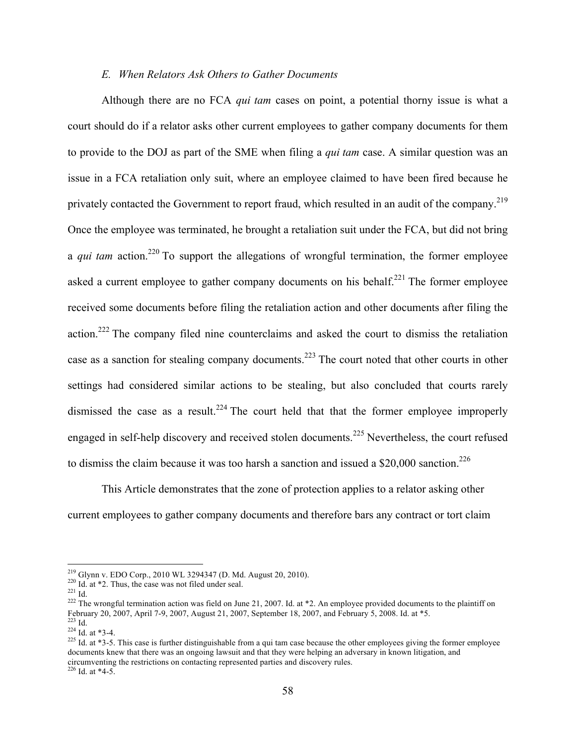#### *E. When Relators Ask Others to Gather Documents*

Although there are no FCA *qui tam* cases on point, a potential thorny issue is what a court should do if a relator asks other current employees to gather company documents for them to provide to the DOJ as part of the SME when filing a *qui tam* case. A similar question was an issue in a FCA retaliation only suit, where an employee claimed to have been fired because he privately contacted the Government to report fraud, which resulted in an audit of the company.<sup>219</sup> Once the employee was terminated, he brought a retaliation suit under the FCA, but did not bring a *qui tam* action.<sup>220</sup> To support the allegations of wrongful termination, the former employee asked a current employee to gather company documents on his behalf.<sup>221</sup> The former employee received some documents before filing the retaliation action and other documents after filing the action.<sup>222</sup> The company filed nine counterclaims and asked the court to dismiss the retaliation case as a sanction for stealing company documents.<sup>223</sup> The court noted that other courts in other settings had considered similar actions to be stealing, but also concluded that courts rarely dismissed the case as a result.<sup>224</sup> The court held that that the former employee improperly engaged in self-help discovery and received stolen documents.<sup>225</sup> Nevertheless, the court refused to dismiss the claim because it was too harsh a sanction and issued a  $$20,000$  sanction.<sup>226</sup>

This Article demonstrates that the zone of protection applies to a relator asking other current employees to gather company documents and therefore bars any contract or tort claim

<sup>&</sup>lt;sup>219</sup> Glynn v. EDO Corp., 2010 WL 3294347 (D. Md. August 20, 2010).<br><sup>220</sup> Id. at \*2. Thus, the case was not filed under seal.<br><sup>221</sup> Id.<br><sup>222</sup> The wrongful termination action was field on June 21, 2007. Id. at \*2. An emplo February 20, 2007, April 7-9, 2007, August 21, 2007, September 18, 2007, and February 5, 2008. Id. at \*5.<br>
<sup>223</sup> Id. at \*3-4.<br>
<sup>225</sup> Id. at \*3-5. This case is further distinguishable from a qui tam case because the other

documents knew that there was an ongoing lawsuit and that they were helping an adversary in known litigation, and circumventing the restrictions on contacting represented parties and discovery rules.  $226$  Id. at  $*4-5$ .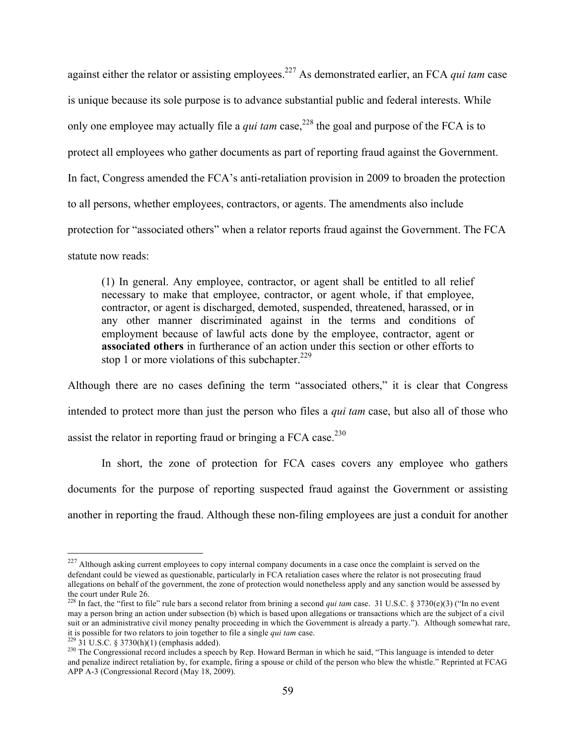against either the relator or assisting employees. <sup>227</sup> As demonstrated earlier, an FCA *qui tam* case is unique because its sole purpose is to advance substantial public and federal interests. While only one employee may actually file a *qui tam* case, <sup>228</sup> the goal and purpose of the FCA is to protect all employees who gather documents as part of reporting fraud against the Government. In fact, Congress amended the FCA's anti-retaliation provision in 2009 to broaden the protection to all persons, whether employees, contractors, or agents. The amendments also include protection for "associated others" when a relator reports fraud against the Government. The FCA statute now reads:

(1) In general. Any employee, contractor, or agent shall be entitled to all relief necessary to make that employee, contractor, or agent whole, if that employee, contractor, or agent is discharged, demoted, suspended, threatened, harassed, or in any other manner discriminated against in the terms and conditions of employment because of lawful acts done by the employee, contractor, agent or **associated others** in furtherance of an action under this section or other efforts to stop 1 or more violations of this subchapter.<sup>229</sup>

Although there are no cases defining the term "associated others," it is clear that Congress intended to protect more than just the person who files a *qui tam* case, but also all of those who assist the relator in reporting fraud or bringing a FCA case.<sup>230</sup>

In short, the zone of protection for FCA cases covers any employee who gathers documents for the purpose of reporting suspected fraud against the Government or assisting another in reporting the fraud. Although these non-filing employees are just a conduit for another

<sup>&</sup>lt;sup>227</sup> Although asking current employees to copy internal company documents in a case once the complaint is served on the defendant could be viewed as questionable, particularly in FCA retaliation cases where the relator is not prosecuting fraud allegations on behalf of the government, the zone of protection would nonetheless apply and any sanction would be assessed by the court under Rule 26.

<sup>&</sup>lt;sup>228</sup> In fact, the "first to file" rule bars a second relator from brining a second *qui tam* case. 31 U.S.C. § 3730(e)(3) ("In no event may a person bring an action under subsection (b) which is based upon allegations or transactions which are the subject of a civil suit or an administrative civil money penalty proceeding in which the Government is already a party."). Although somewhat rare, it is possible for two relators to join together to file a single *qui tam* case.<br><sup>229</sup> 31 U.

<sup>&</sup>lt;sup>230</sup> The Congressional record includes a speech by Rep. Howard Berman in which he said, "This language is intended to deter and penalize indirect retaliation by, for example, firing a spouse or child of the person who blew the whistle." Reprinted at FCAG APP A-3 (Congressional Record (May 18, 2009).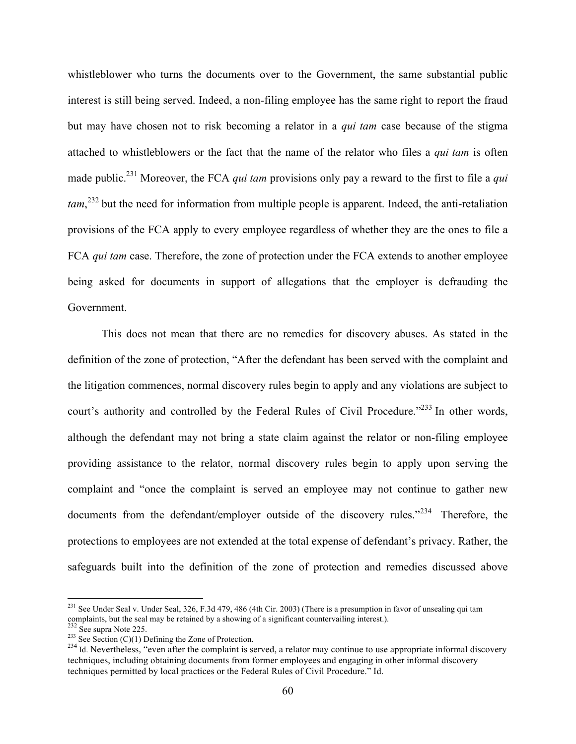whistleblower who turns the documents over to the Government, the same substantial public interest is still being served. Indeed, a non-filing employee has the same right to report the fraud but may have chosen not to risk becoming a relator in a *qui tam* case because of the stigma attached to whistleblowers or the fact that the name of the relator who files a *qui tam* is often made public.231 Moreover, the FCA *qui tam* provisions only pay a reward to the first to file a *qui tam*, <sup>232</sup> but the need for information from multiple people is apparent. Indeed, the anti-retaliation provisions of the FCA apply to every employee regardless of whether they are the ones to file a FCA *qui tam* case. Therefore, the zone of protection under the FCA extends to another employee being asked for documents in support of allegations that the employer is defrauding the Government.

This does not mean that there are no remedies for discovery abuses. As stated in the definition of the zone of protection, "After the defendant has been served with the complaint and the litigation commences, normal discovery rules begin to apply and any violations are subject to court's authority and controlled by the Federal Rules of Civil Procedure."<sup>233</sup> In other words, although the defendant may not bring a state claim against the relator or non-filing employee providing assistance to the relator, normal discovery rules begin to apply upon serving the complaint and "once the complaint is served an employee may not continue to gather new documents from the defendant/employer outside of the discovery rules."<sup>234</sup> Therefore, the protections to employees are not extended at the total expense of defendant's privacy. Rather, the safeguards built into the definition of the zone of protection and remedies discussed above

 $^{231}$  See Under Seal v. Under Seal, 326, F.3d 479, 486 (4th Cir. 2003) (There is a presumption in favor of unsealing qui tam complaints, but the seal may be retained by a showing of a significant countervailing interest.).<br>
<sup>232</sup> See supra Note 225.<br>
<sup>233</sup> See Section (C)(1) Defining the Zone of Protection.

 $^{234}$  Id. Nevertheless, "even after the complaint is served, a relator may continue to use appropriate informal discovery techniques, including obtaining documents from former employees and engaging in other informal discovery techniques permitted by local practices or the Federal Rules of Civil Procedure." Id.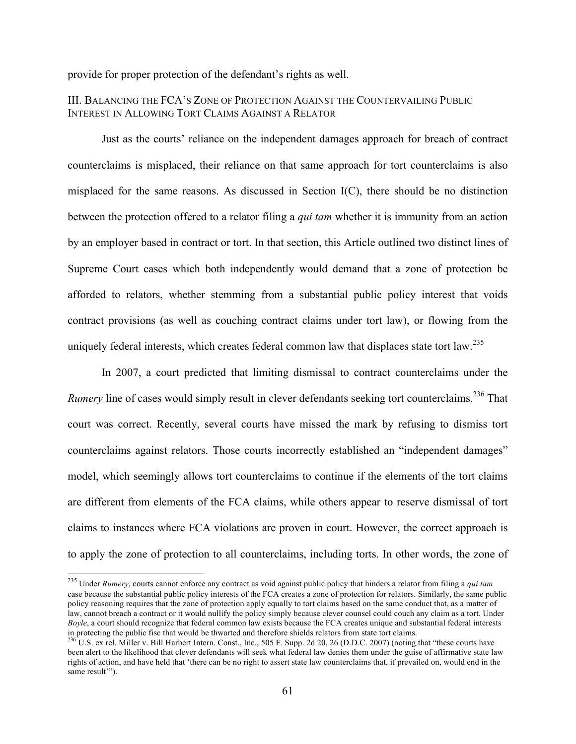provide for proper protection of the defendant's rights as well.

#### III. BALANCING THE FCA'S ZONE OF PROTECTION AGAINST THE COUNTERVAILING PUBLIC INTEREST IN ALLOWING TORT CLAIMS AGAINST A RELATOR

Just as the courts' reliance on the independent damages approach for breach of contract counterclaims is misplaced, their reliance on that same approach for tort counterclaims is also misplaced for the same reasons. As discussed in Section I(C), there should be no distinction between the protection offered to a relator filing a *qui tam* whether it is immunity from an action by an employer based in contract or tort. In that section, this Article outlined two distinct lines of Supreme Court cases which both independently would demand that a zone of protection be afforded to relators, whether stemming from a substantial public policy interest that voids contract provisions (as well as couching contract claims under tort law), or flowing from the uniquely federal interests, which creates federal common law that displaces state tort law.<sup>235</sup>

In 2007, a court predicted that limiting dismissal to contract counterclaims under the *Rumery* line of cases would simply result in clever defendants seeking tort counterclaims.<sup>236</sup> That court was correct. Recently, several courts have missed the mark by refusing to dismiss tort counterclaims against relators. Those courts incorrectly established an "independent damages" model, which seemingly allows tort counterclaims to continue if the elements of the tort claims are different from elements of the FCA claims, while others appear to reserve dismissal of tort claims to instances where FCA violations are proven in court. However, the correct approach is to apply the zone of protection to all counterclaims, including torts. In other words, the zone of

 <sup>235</sup> Under *Rumery*, courts cannot enforce any contract as void against public policy that hinders a relator from filing a *qui tam* case because the substantial public policy interests of the FCA creates a zone of protection for relators. Similarly, the same public policy reasoning requires that the zone of protection apply equally to tort claims based on the same conduct that, as a matter of law, cannot breach a contract or it would nullify the policy simply because clever counsel could couch any claim as a tort. Under *Boyle*, a court should recognize that federal common law exists because the FCA creates unique and substantial federal interests in protecting the public fisc that would be thwarted and therefore shields relators from state tort claims.<br><sup>236</sup> U.S. ex rel. Miller v. Bill Harbert Intern. Const., Inc., 505 F. Supp. 2d 20, 26 (D.D.C. 2007) (noting that

been alert to the likelihood that clever defendants will seek what federal law denies them under the guise of affirmative state law rights of action, and have held that 'there can be no right to assert state law counterclaims that, if prevailed on, would end in the same result"").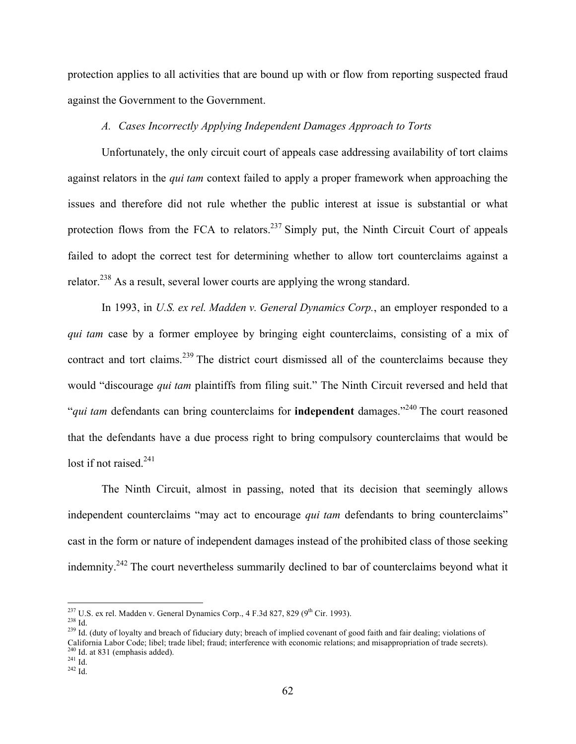protection applies to all activities that are bound up with or flow from reporting suspected fraud against the Government to the Government.

#### *A. Cases Incorrectly Applying Independent Damages Approach to Torts*

Unfortunately, the only circuit court of appeals case addressing availability of tort claims against relators in the *qui tam* context failed to apply a proper framework when approaching the issues and therefore did not rule whether the public interest at issue is substantial or what protection flows from the FCA to relators.<sup>237</sup> Simply put, the Ninth Circuit Court of appeals failed to adopt the correct test for determining whether to allow tort counterclaims against a relator.<sup>238</sup> As a result, several lower courts are applying the wrong standard.

In 1993, in *U.S. ex rel. Madden v. General Dynamics Corp.*, an employer responded to a *qui tam* case by a former employee by bringing eight counterclaims, consisting of a mix of contract and tort claims.<sup>239</sup> The district court dismissed all of the counterclaims because they would "discourage *qui tam* plaintiffs from filing suit." The Ninth Circuit reversed and held that "*qui tam* defendants can bring counterclaims for **independent** damages."<sup>240</sup> The court reasoned that the defendants have a due process right to bring compulsory counterclaims that would be lost if not raised.<sup>241</sup>

The Ninth Circuit, almost in passing, noted that its decision that seemingly allows independent counterclaims "may act to encourage *qui tam* defendants to bring counterclaims" cast in the form or nature of independent damages instead of the prohibited class of those seeking indemnity.<sup>242</sup> The court nevertheless summarily declined to bar of counterclaims beyond what it

<sup>&</sup>lt;sup>237</sup> U.S. ex rel. Madden v. General Dynamics Corp., 4 F.3d 827, 829 (9<sup>th</sup> Cir. 1993).<br><sup>238</sup> Id.<br><sup>239</sup> Id. (duty of lovalty and breach of fiduciary duty; breach of implied covenant of good faith and fair dealing; violati California Labor Code; libel; trade libel; fraud; interference with economic relations; and misappropriation of trade secrets).<br><sup>240</sup> Id. at 831 (emphasis added).<br><sup>241</sup> Id.<br><sup>242</sup> Id.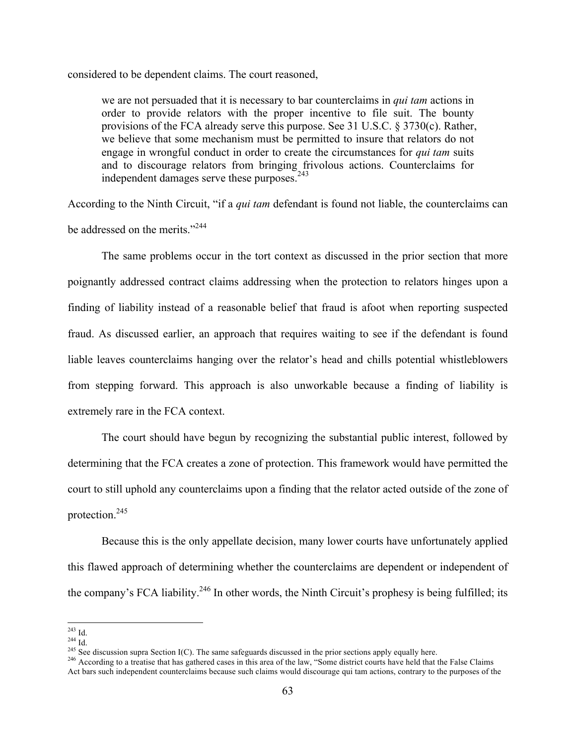considered to be dependent claims. The court reasoned,

we are not persuaded that it is necessary to bar counterclaims in *qui tam* actions in order to provide relators with the proper incentive to file suit. The bounty provisions of the FCA already serve this purpose. See 31 U.S.C. § 3730(c). Rather, we believe that some mechanism must be permitted to insure that relators do not engage in wrongful conduct in order to create the circumstances for *qui tam* suits and to discourage relators from bringing frivolous actions. Counterclaims for independent damages serve these purposes.<sup>243</sup>

According to the Ninth Circuit, "if a *qui tam* defendant is found not liable, the counterclaims can be addressed on the merits."<sup>244</sup>

The same problems occur in the tort context as discussed in the prior section that more poignantly addressed contract claims addressing when the protection to relators hinges upon a finding of liability instead of a reasonable belief that fraud is afoot when reporting suspected fraud. As discussed earlier, an approach that requires waiting to see if the defendant is found liable leaves counterclaims hanging over the relator's head and chills potential whistleblowers from stepping forward. This approach is also unworkable because a finding of liability is extremely rare in the FCA context.

The court should have begun by recognizing the substantial public interest, followed by determining that the FCA creates a zone of protection. This framework would have permitted the court to still uphold any counterclaims upon a finding that the relator acted outside of the zone of protection.245

Because this is the only appellate decision, many lower courts have unfortunately applied this flawed approach of determining whether the counterclaims are dependent or independent of the company's FCA liability.<sup>246</sup> In other words, the Ninth Circuit's prophesy is being fulfilled; its

<sup>&</sup>lt;sup>243</sup> Id.<br><sup>244</sup> Id.<br><sup>245</sup> See discussion supra Section I(C). The same safeguards discussed in the prior sections apply equally here.<br><sup>245</sup> According to a treatise that has gathered cases in this area of the law, "Some dis Act bars such independent counterclaims because such claims would discourage qui tam actions, contrary to the purposes of the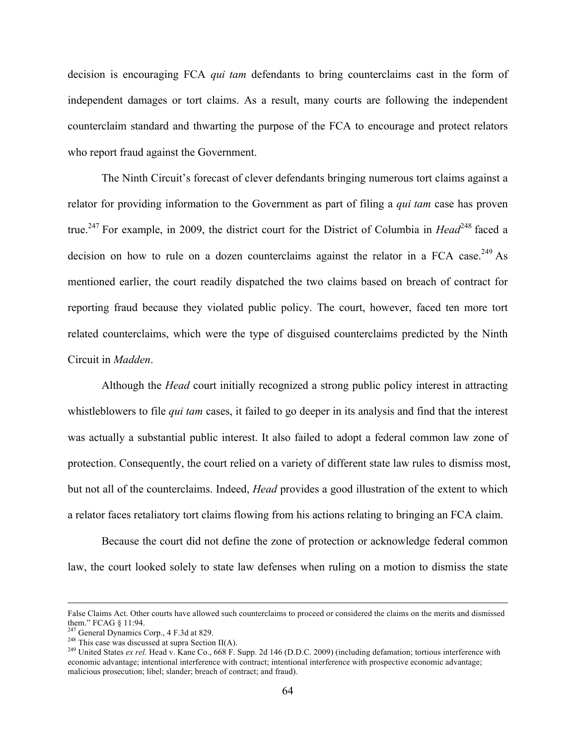decision is encouraging FCA *qui tam* defendants to bring counterclaims cast in the form of independent damages or tort claims. As a result, many courts are following the independent counterclaim standard and thwarting the purpose of the FCA to encourage and protect relators who report fraud against the Government.

The Ninth Circuit's forecast of clever defendants bringing numerous tort claims against a relator for providing information to the Government as part of filing a *qui tam* case has proven true.<sup>247</sup> For example, in 2009, the district court for the District of Columbia in *Head*<sup>248</sup> faced a decision on how to rule on a dozen counterclaims against the relator in a FCA case.<sup>249</sup> As mentioned earlier, the court readily dispatched the two claims based on breach of contract for reporting fraud because they violated public policy. The court, however, faced ten more tort related counterclaims, which were the type of disguised counterclaims predicted by the Ninth Circuit in *Madden*.

Although the *Head* court initially recognized a strong public policy interest in attracting whistleblowers to file *qui tam* cases, it failed to go deeper in its analysis and find that the interest was actually a substantial public interest. It also failed to adopt a federal common law zone of protection. Consequently, the court relied on a variety of different state law rules to dismiss most, but not all of the counterclaims. Indeed, *Head* provides a good illustration of the extent to which a relator faces retaliatory tort claims flowing from his actions relating to bringing an FCA claim.

Because the court did not define the zone of protection or acknowledge federal common law, the court looked solely to state law defenses when ruling on a motion to dismiss the state

False Claims Act. Other courts have allowed such counterclaims to proceed or considered the claims on the merits and dismissed them." FCAG § 11:94.<br><sup>247</sup> General Dynamics Corp., 4 F.3d at 829.

<sup>&</sup>lt;sup>248</sup> This case was discussed at supra Section II(A).<br><sup>249</sup> United States *ex rel*. Head v. Kane Co., 668 F. Supp. 2d 146 (D.D.C. 2009) (including defamation; tortious interference with economic advantage; intentional interference with contract; intentional interference with prospective economic advantage; malicious prosecution; libel; slander; breach of contract; and fraud).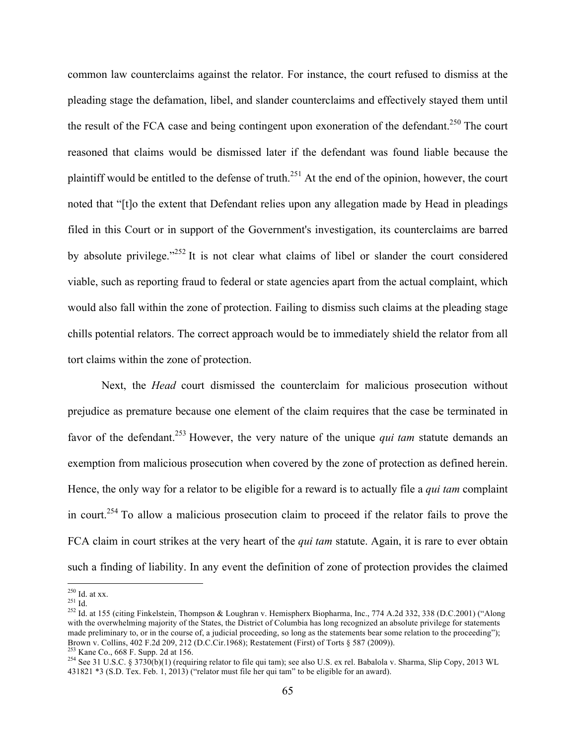common law counterclaims against the relator. For instance, the court refused to dismiss at the pleading stage the defamation, libel, and slander counterclaims and effectively stayed them until the result of the FCA case and being contingent upon exoneration of the defendant.<sup>250</sup> The court reasoned that claims would be dismissed later if the defendant was found liable because the plaintiff would be entitled to the defense of truth.<sup>251</sup> At the end of the opinion, however, the court noted that "[t]o the extent that Defendant relies upon any allegation made by Head in pleadings filed in this Court or in support of the Government's investigation, its counterclaims are barred by absolute privilege."<sup>252</sup> It is not clear what claims of libel or slander the court considered viable, such as reporting fraud to federal or state agencies apart from the actual complaint, which would also fall within the zone of protection. Failing to dismiss such claims at the pleading stage chills potential relators. The correct approach would be to immediately shield the relator from all tort claims within the zone of protection.

Next, the *Head* court dismissed the counterclaim for malicious prosecution without prejudice as premature because one element of the claim requires that the case be terminated in favor of the defendant.253 However, the very nature of the unique *qui tam* statute demands an exemption from malicious prosecution when covered by the zone of protection as defined herein. Hence, the only way for a relator to be eligible for a reward is to actually file a *qui tam* complaint in court.<sup>254</sup> To allow a malicious prosecution claim to proceed if the relator fails to prove the FCA claim in court strikes at the very heart of the *qui tam* statute. Again, it is rare to ever obtain such a finding of liability. In any event the definition of zone of protection provides the claimed

<sup>&</sup>lt;sup>250</sup> Id. at xx.<br><sup>251</sup> Id.<br><sup>252</sup> Id. at 155 (citing Finkelstein, Thompson & Loughran v. Hemispherx Biopharma, Inc., 774 A.2d 332, 338 (D.C.2001) ("Along with the overwhelming majority of the States, the District of Columbia has long recognized an absolute privilege for statements made preliminary to, or in the course of, a judicial proceeding, so long as the statements bear some relation to the proceeding");<br>Brown v. Collins. 402 F.2d 209. 212 (D.C.Cir.1968): Restatement (First) of Torts § 587 (200

<sup>&</sup>lt;sup>253</sup> Kane Co., 668 F. Supp. 2d at 156.<br><sup>254</sup> See 31 U.S.C. § 3730(b)(1) (requiring relator to file qui tam); see also U.S. ex rel. Babalola v. Sharma, Slip Copy, 2013 WL 431821 \*3 (S.D. Tex. Feb. 1, 2013) ("relator must file her qui tam" to be eligible for an award).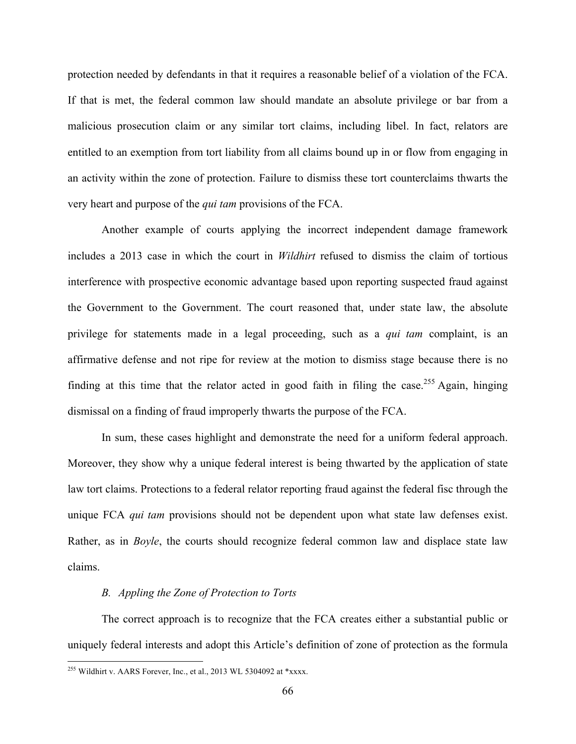protection needed by defendants in that it requires a reasonable belief of a violation of the FCA. If that is met, the federal common law should mandate an absolute privilege or bar from a malicious prosecution claim or any similar tort claims, including libel. In fact, relators are entitled to an exemption from tort liability from all claims bound up in or flow from engaging in an activity within the zone of protection. Failure to dismiss these tort counterclaims thwarts the very heart and purpose of the *qui tam* provisions of the FCA.

Another example of courts applying the incorrect independent damage framework includes a 2013 case in which the court in *Wildhirt* refused to dismiss the claim of tortious interference with prospective economic advantage based upon reporting suspected fraud against the Government to the Government. The court reasoned that, under state law, the absolute privilege for statements made in a legal proceeding, such as a *qui tam* complaint, is an affirmative defense and not ripe for review at the motion to dismiss stage because there is no finding at this time that the relator acted in good faith in filing the case.<sup>255</sup> Again, hinging dismissal on a finding of fraud improperly thwarts the purpose of the FCA.

In sum, these cases highlight and demonstrate the need for a uniform federal approach. Moreover, they show why a unique federal interest is being thwarted by the application of state law tort claims. Protections to a federal relator reporting fraud against the federal fisc through the unique FCA *qui tam* provisions should not be dependent upon what state law defenses exist. Rather, as in *Boyle*, the courts should recognize federal common law and displace state law claims.

#### *B. Appling the Zone of Protection to Torts*

The correct approach is to recognize that the FCA creates either a substantial public or uniquely federal interests and adopt this Article's definition of zone of protection as the formula

 $^{255}$  Wildhirt v. AARS Forever, Inc., et al., 2013 WL 5304092 at \*xxxx.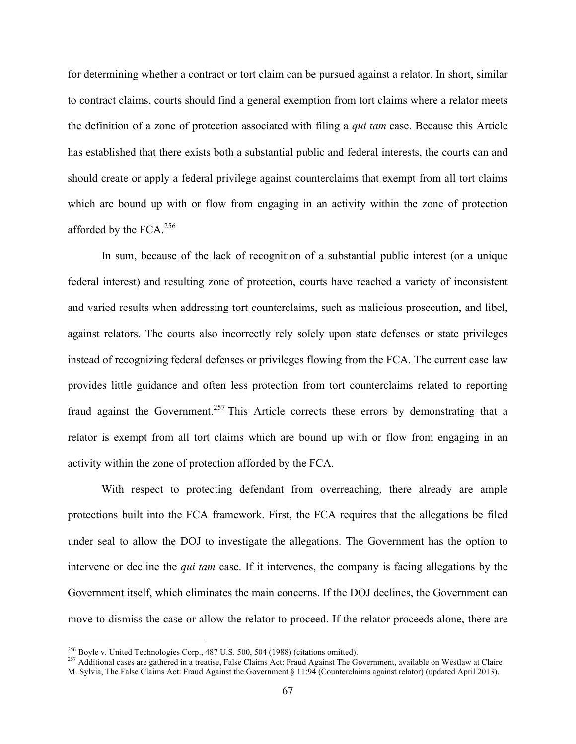for determining whether a contract or tort claim can be pursued against a relator. In short, similar to contract claims, courts should find a general exemption from tort claims where a relator meets the definition of a zone of protection associated with filing a *qui tam* case. Because this Article has established that there exists both a substantial public and federal interests, the courts can and should create or apply a federal privilege against counterclaims that exempt from all tort claims which are bound up with or flow from engaging in an activity within the zone of protection afforded by the FCA. $256$ 

In sum, because of the lack of recognition of a substantial public interest (or a unique federal interest) and resulting zone of protection, courts have reached a variety of inconsistent and varied results when addressing tort counterclaims, such as malicious prosecution, and libel, against relators. The courts also incorrectly rely solely upon state defenses or state privileges instead of recognizing federal defenses or privileges flowing from the FCA. The current case law provides little guidance and often less protection from tort counterclaims related to reporting fraud against the Government.<sup>257</sup> This Article corrects these errors by demonstrating that a relator is exempt from all tort claims which are bound up with or flow from engaging in an activity within the zone of protection afforded by the FCA.

With respect to protecting defendant from overreaching, there already are ample protections built into the FCA framework. First, the FCA requires that the allegations be filed under seal to allow the DOJ to investigate the allegations. The Government has the option to intervene or decline the *qui tam* case. If it intervenes, the company is facing allegations by the Government itself, which eliminates the main concerns. If the DOJ declines, the Government can move to dismiss the case or allow the relator to proceed. If the relator proceeds alone, there are

<sup>&</sup>lt;sup>256</sup> Boyle v. United Technologies Corp., 487 U.S. 500, 504 (1988) (citations omitted).<br><sup>257</sup> Additional cases are gathered in a treatise, False Claims Act: Fraud Against The Government, available on Westlaw at Claire M. Sylvia, The False Claims Act: Fraud Against the Government § 11:94 (Counterclaims against relator) (updated April 2013).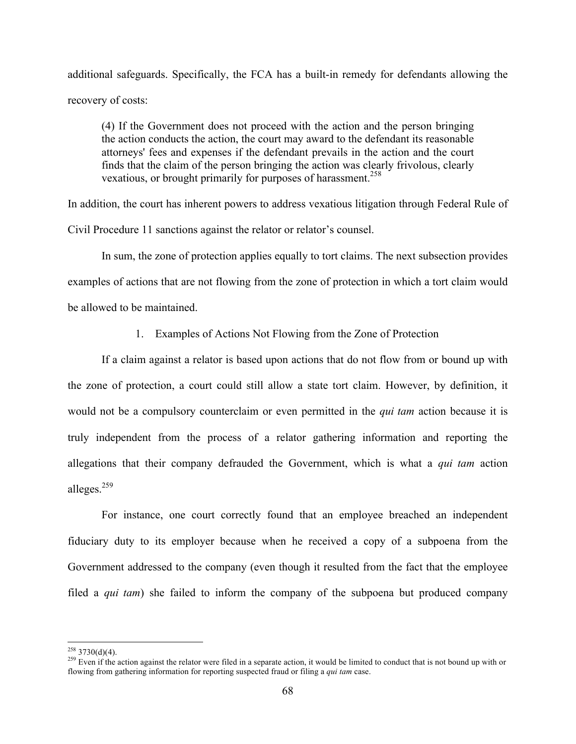additional safeguards. Specifically, the FCA has a built-in remedy for defendants allowing the recovery of costs:

(4) If the Government does not proceed with the action and the person bringing the action conducts the action, the court may award to the defendant its reasonable attorneys' fees and expenses if the defendant prevails in the action and the court finds that the claim of the person bringing the action was clearly frivolous, clearly vexatious, or brought primarily for purposes of harassment.<sup>258</sup>

In addition, the court has inherent powers to address vexatious litigation through Federal Rule of Civil Procedure 11 sanctions against the relator or relator's counsel.

In sum, the zone of protection applies equally to tort claims. The next subsection provides examples of actions that are not flowing from the zone of protection in which a tort claim would be allowed to be maintained.

1. Examples of Actions Not Flowing from the Zone of Protection

If a claim against a relator is based upon actions that do not flow from or bound up with the zone of protection, a court could still allow a state tort claim. However, by definition, it would not be a compulsory counterclaim or even permitted in the *qui tam* action because it is truly independent from the process of a relator gathering information and reporting the allegations that their company defrauded the Government, which is what a *qui tam* action alleges.<sup>259</sup>

For instance, one court correctly found that an employee breached an independent fiduciary duty to its employer because when he received a copy of a subpoena from the Government addressed to the company (even though it resulted from the fact that the employee filed a *qui tam*) she failed to inform the company of the subpoena but produced company

<sup>&</sup>lt;sup>258</sup> 3730(d)(4).<br><sup>259</sup> Even if the action against the relator were filed in a separate action, it would be limited to conduct that is not bound up with or flowing from gathering information for reporting suspected fraud or filing a *qui tam* case.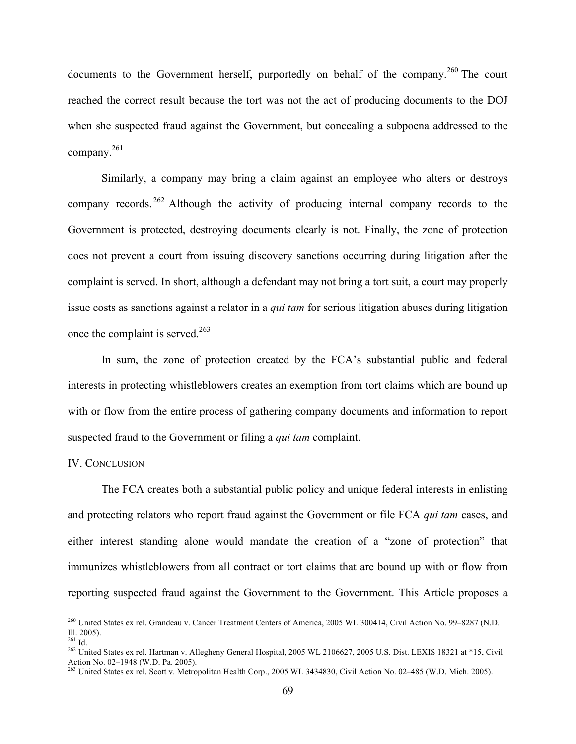documents to the Government herself, purportedly on behalf of the company.<sup>260</sup> The court reached the correct result because the tort was not the act of producing documents to the DOJ when she suspected fraud against the Government, but concealing a subpoena addressed to the company.<sup>261</sup>

Similarly, a company may bring a claim against an employee who alters or destroys company records. <sup>262</sup> Although the activity of producing internal company records to the Government is protected, destroying documents clearly is not. Finally, the zone of protection does not prevent a court from issuing discovery sanctions occurring during litigation after the complaint is served. In short, although a defendant may not bring a tort suit, a court may properly issue costs as sanctions against a relator in a *qui tam* for serious litigation abuses during litigation once the complaint is served. 263

In sum, the zone of protection created by the FCA's substantial public and federal interests in protecting whistleblowers creates an exemption from tort claims which are bound up with or flow from the entire process of gathering company documents and information to report suspected fraud to the Government or filing a *qui tam* complaint.

#### IV. CONCLUSION

The FCA creates both a substantial public policy and unique federal interests in enlisting and protecting relators who report fraud against the Government or file FCA *qui tam* cases, and either interest standing alone would mandate the creation of a "zone of protection" that immunizes whistleblowers from all contract or tort claims that are bound up with or flow from reporting suspected fraud against the Government to the Government. This Article proposes a

<sup>&</sup>lt;sup>260</sup> United States ex rel. Grandeau v. Cancer Treatment Centers of America, 2005 WL 300414, Civil Action No. 99–8287 (N.D.

Ill. 2005).<br><sup>261</sup> Id.<br><sup>262</sup> United States ex rel. Hartman v. Allegheny General Hospital, 2005 WL 2106627, 2005 U.S. Dist. LEXIS 18321 at \*15, Civil Action No. 02–1948 (W.D. Pa. 2005).<br><sup>263</sup> United States ex rel. Scott v. Metropolitan Health Corp., 2005 WL 3434830, Civil Action No. 02–485 (W.D. Mich. 2005).